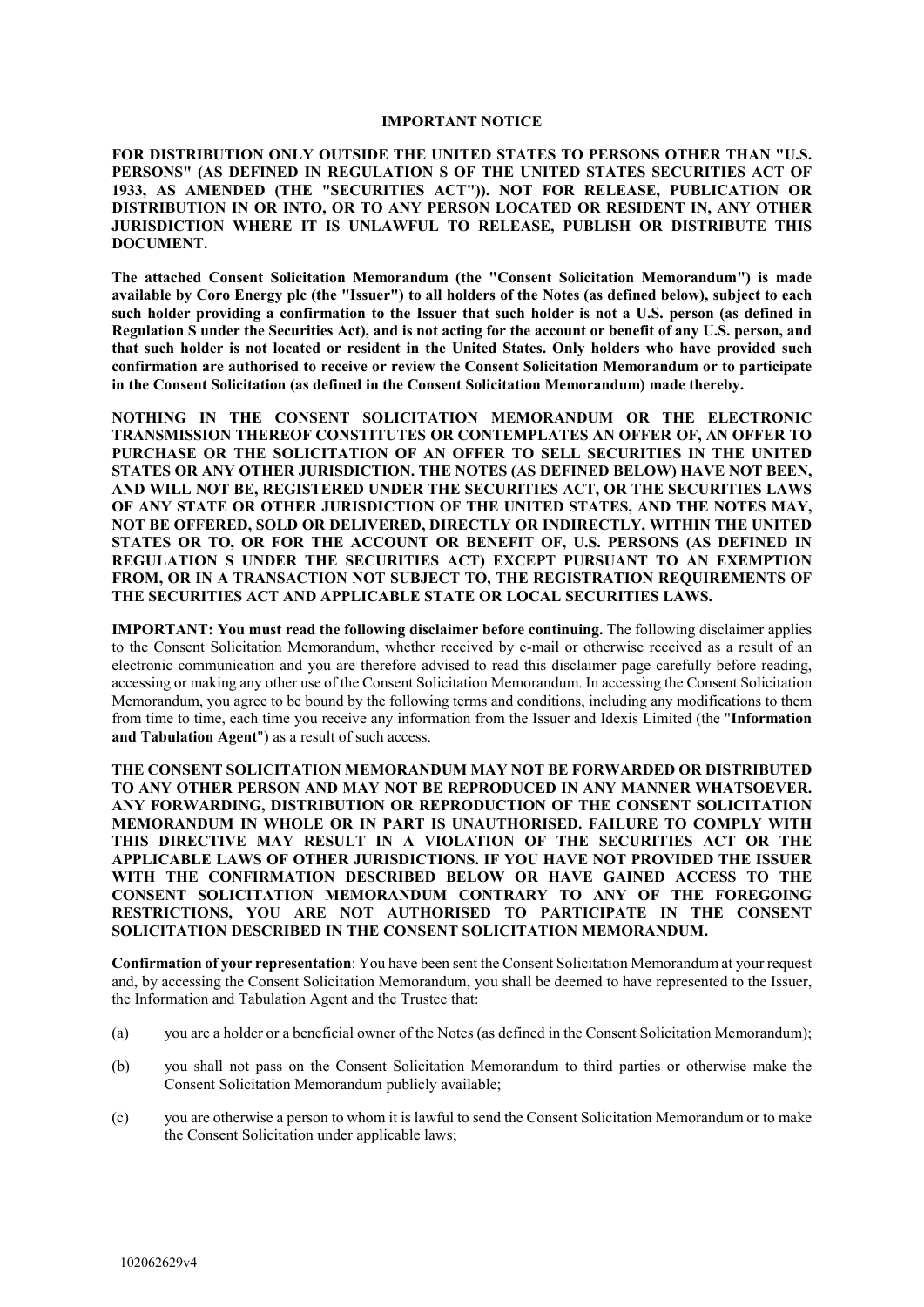#### **IMPORTANT NOTICE**

**FOR DISTRIBUTION ONLY OUTSIDE THE UNITED STATES TO PERSONS OTHER THAN "U.S. PERSONS" (AS DEFINED IN REGULATION S OF THE UNITED STATES SECURITIES ACT OF 1933, AS AMENDED (THE "SECURITIES ACT")). NOT FOR RELEASE, PUBLICATION OR DISTRIBUTION IN OR INTO, OR TO ANY PERSON LOCATED OR RESIDENT IN, ANY OTHER JURISDICTION WHERE IT IS UNLAWFUL TO RELEASE, PUBLISH OR DISTRIBUTE THIS DOCUMENT.**

**The attached Consent Solicitation Memorandum (the "Consent Solicitation Memorandum") is made available by Coro Energy plc (the "Issuer") to all holders of the Notes (as defined below), subject to each such holder providing a confirmation to the Issuer that such holder is not a U.S. person (as defined in Regulation S under the Securities Act), and is not acting for the account or benefit of any U.S. person, and that such holder is not located or resident in the United States. Only holders who have provided such confirmation are authorised to receive or review the Consent Solicitation Memorandum or to participate in the Consent Solicitation (as defined in the Consent Solicitation Memorandum) made thereby.** 

**NOTHING IN THE CONSENT SOLICITATION MEMORANDUM OR THE ELECTRONIC TRANSMISSION THEREOF CONSTITUTES OR CONTEMPLATES AN OFFER OF, AN OFFER TO PURCHASE OR THE SOLICITATION OF AN OFFER TO SELL SECURITIES IN THE UNITED STATES OR ANY OTHER JURISDICTION. THE NOTES (AS DEFINED BELOW) HAVE NOT BEEN, AND WILL NOT BE, REGISTERED UNDER THE SECURITIES ACT, OR THE SECURITIES LAWS OF ANY STATE OR OTHER JURISDICTION OF THE UNITED STATES, AND THE NOTES MAY, NOT BE OFFERED, SOLD OR DELIVERED, DIRECTLY OR INDIRECTLY, WITHIN THE UNITED STATES OR TO, OR FOR THE ACCOUNT OR BENEFIT OF, U.S. PERSONS (AS DEFINED IN REGULATION S UNDER THE SECURITIES ACT) EXCEPT PURSUANT TO AN EXEMPTION FROM, OR IN A TRANSACTION NOT SUBJECT TO, THE REGISTRATION REQUIREMENTS OF THE SECURITIES ACT AND APPLICABLE STATE OR LOCAL SECURITIES LAWS.**

**IMPORTANT: You must read the following disclaimer before continuing.** The following disclaimer applies to the Consent Solicitation Memorandum, whether received by e-mail or otherwise received as a result of an electronic communication and you are therefore advised to read this disclaimer page carefully before reading, accessing or making any other use of the Consent Solicitation Memorandum. In accessing the Consent Solicitation Memorandum, you agree to be bound by the following terms and conditions, including any modifications to them from time to time, each time you receive any information from the Issuer and Idexis Limited (the "**Information and Tabulation Agent**") as a result of such access.

**THE CONSENT SOLICITATION MEMORANDUM MAY NOT BE FORWARDED OR DISTRIBUTED TO ANY OTHER PERSON AND MAY NOT BE REPRODUCED IN ANY MANNER WHATSOEVER. ANY FORWARDING, DISTRIBUTION OR REPRODUCTION OF THE CONSENT SOLICITATION MEMORANDUM IN WHOLE OR IN PART IS UNAUTHORISED. FAILURE TO COMPLY WITH THIS DIRECTIVE MAY RESULT IN A VIOLATION OF THE SECURITIES ACT OR THE APPLICABLE LAWS OF OTHER JURISDICTIONS. IF YOU HAVE NOT PROVIDED THE ISSUER WITH THE CONFIRMATION DESCRIBED BELOW OR HAVE GAINED ACCESS TO THE CONSENT SOLICITATION MEMORANDUM CONTRARY TO ANY OF THE FOREGOING RESTRICTIONS, YOU ARE NOT AUTHORISED TO PARTICIPATE IN THE CONSENT SOLICITATION DESCRIBED IN THE CONSENT SOLICITATION MEMORANDUM.**

**Confirmation of your representation**: You have been sent the Consent Solicitation Memorandum at your request and, by accessing the Consent Solicitation Memorandum, you shall be deemed to have represented to the Issuer, the Information and Tabulation Agent and the Trustee that:

- (a) you are a holder or a beneficial owner of the Notes (as defined in the Consent Solicitation Memorandum);
- (b) you shall not pass on the Consent Solicitation Memorandum to third parties or otherwise make the Consent Solicitation Memorandum publicly available;
- (c) you are otherwise a person to whom it is lawful to send the Consent Solicitation Memorandum or to make the Consent Solicitation under applicable laws;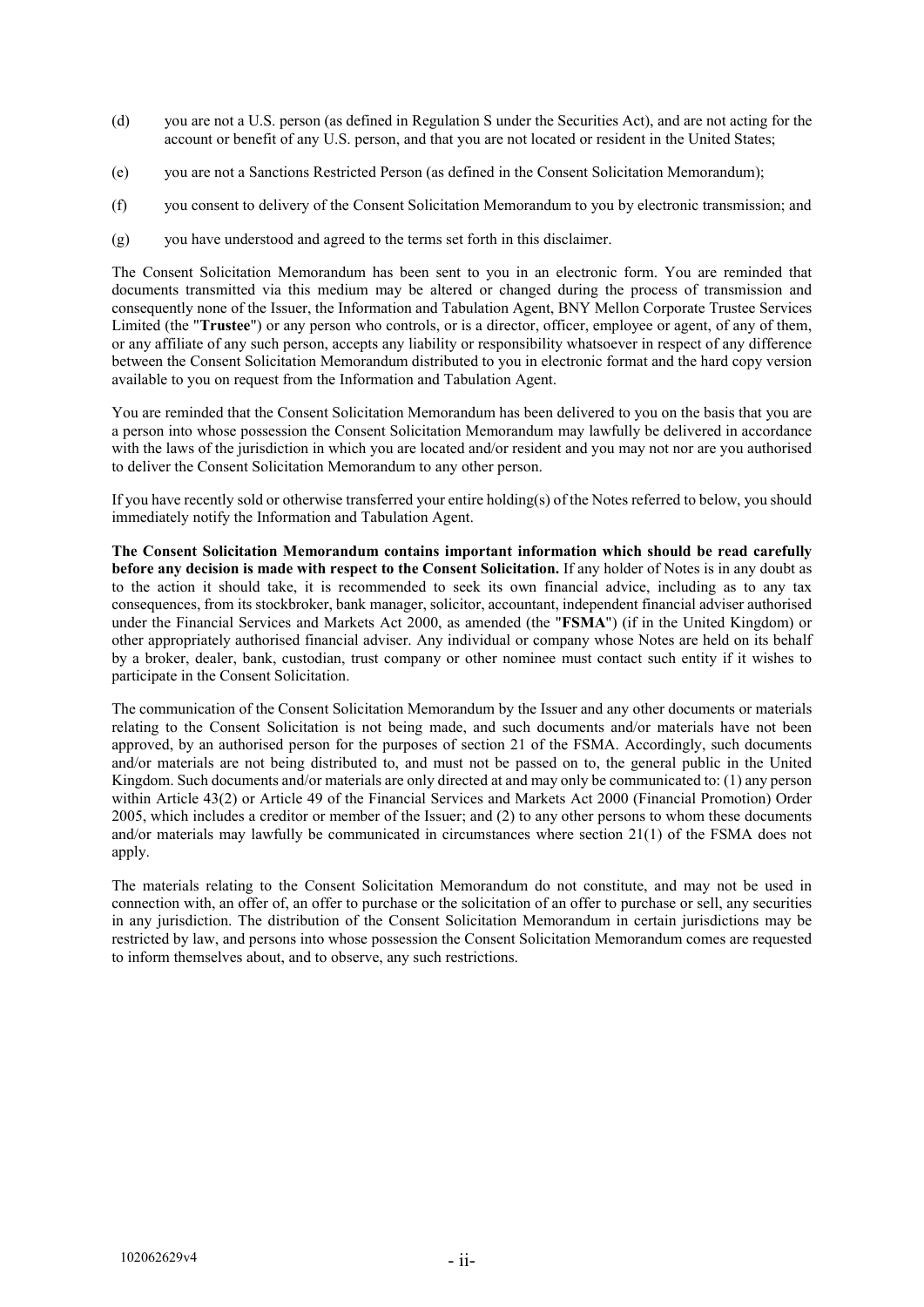- (d) you are not a U.S. person (as defined in Regulation S under the Securities Act), and are not acting for the account or benefit of any U.S. person, and that you are not located or resident in the United States;
- (e) you are not a Sanctions Restricted Person (as defined in the Consent Solicitation Memorandum);
- (f) you consent to delivery of the Consent Solicitation Memorandum to you by electronic transmission; and
- (g) you have understood and agreed to the terms set forth in this disclaimer.

The Consent Solicitation Memorandum has been sent to you in an electronic form. You are reminded that documents transmitted via this medium may be altered or changed during the process of transmission and consequently none of the Issuer, the Information and Tabulation Agent, BNY Mellon Corporate Trustee Services Limited (the "**Trustee**") or any person who controls, or is a director, officer, employee or agent, of any of them, or any affiliate of any such person, accepts any liability or responsibility whatsoever in respect of any difference between the Consent Solicitation Memorandum distributed to you in electronic format and the hard copy version available to you on request from the Information and Tabulation Agent.

You are reminded that the Consent Solicitation Memorandum has been delivered to you on the basis that you are a person into whose possession the Consent Solicitation Memorandum may lawfully be delivered in accordance with the laws of the jurisdiction in which you are located and/or resident and you may not nor are you authorised to deliver the Consent Solicitation Memorandum to any other person.

If you have recently sold or otherwise transferred your entire holding(s) of the Notes referred to below, you should immediately notify the Information and Tabulation Agent.

**The Consent Solicitation Memorandum contains important information which should be read carefully before any decision is made with respect to the Consent Solicitation.** If any holder of Notes is in any doubt as to the action it should take, it is recommended to seek its own financial advice, including as to any tax consequences, from its stockbroker, bank manager, solicitor, accountant, independent financial adviser authorised under the Financial Services and Markets Act 2000, as amended (the "**FSMA**") (if in the United Kingdom) or other appropriately authorised financial adviser. Any individual or company whose Notes are held on its behalf by a broker, dealer, bank, custodian, trust company or other nominee must contact such entity if it wishes to participate in the Consent Solicitation.

The communication of the Consent Solicitation Memorandum by the Issuer and any other documents or materials relating to the Consent Solicitation is not being made, and such documents and/or materials have not been approved, by an authorised person for the purposes of section 21 of the FSMA. Accordingly, such documents and/or materials are not being distributed to, and must not be passed on to, the general public in the United Kingdom. Such documents and/or materials are only directed at and may only be communicated to: (1) any person within Article 43(2) or Article 49 of the Financial Services and Markets Act 2000 (Financial Promotion) Order 2005, which includes a creditor or member of the Issuer; and (2) to any other persons to whom these documents and/or materials may lawfully be communicated in circumstances where section 21(1) of the FSMA does not apply.

The materials relating to the Consent Solicitation Memorandum do not constitute, and may not be used in connection with, an offer of, an offer to purchase or the solicitation of an offer to purchase or sell, any securities in any jurisdiction. The distribution of the Consent Solicitation Memorandum in certain jurisdictions may be restricted by law, and persons into whose possession the Consent Solicitation Memorandum comes are requested to inform themselves about, and to observe, any such restrictions.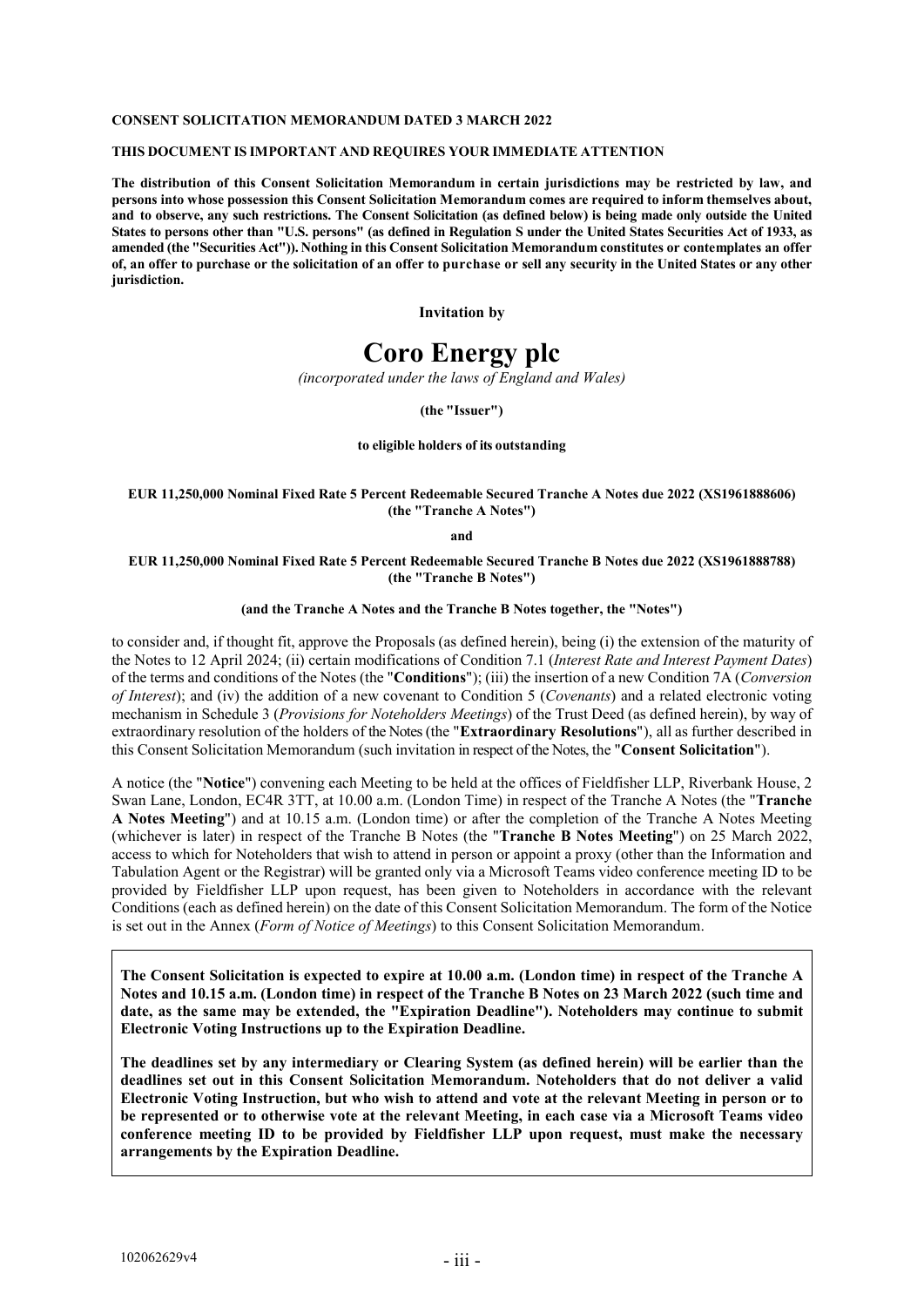#### **CONSENT SOLICITATION MEMORANDUM DATED 3 MARCH 2022**

#### **THIS DOCUMENT IS IMPORTANT AND REQUIRES YOUR IMMEDIATE ATTENTION**

**The distribution of this Consent Solicitation Memorandum in certain jurisdictions may be restricted by law, and persons into whose possession this Consent Solicitation Memorandum comes are required to inform themselves about, and to observe, any such restrictions. The Consent Solicitation (as defined below) is being made only outside the United States to persons other than "U.S. persons" (as defined in Regulation S under the United States Securities Act of 1933, as amended (the "Securities Act")). Nothing in this Consent Solicitation Memorandum constitutes or contemplates an offer** of, an offer to purchase or the solicitation of an offer to purchase or sell any security in the United States or any other **jurisdiction.**

**Invitation by**

# **Coro Energy plc**

*(incorporated under the laws of England and Wales)*

**(the "Issuer")**

#### **to eligible holders of its outstanding**

#### **EUR 11,250,000 Nominal Fixed Rate 5 Percent Redeemable Secured Tranche A Notes due 2022 (XS1961888606) (the "Tranche A Notes")**

**and** 

#### **EUR 11,250,000 Nominal Fixed Rate 5 Percent Redeemable Secured Tranche B Notes due 2022 (XS1961888788) (the "Tranche B Notes")**

#### **(and the Tranche A Notes and the Tranche B Notes together, the "Notes")**

to consider and, if thought fit, approve the Proposals (as defined herein), being (i) the extension of the maturity of the Notes to 12 April 2024; (ii) certain modifications of Condition 7.1 (*Interest Rate and Interest Payment Dates*) of the terms and conditions of the Notes (the "**Conditions**"); (iii) the insertion of a new Condition 7A (*Conversion of Interest*); and (iv) the addition of a new covenant to Condition 5 (*Covenants*) and a related electronic voting mechanism in Schedule 3 (*Provisions for Noteholders Meetings*) of the Trust Deed (as defined herein), by way of extraordinary resolution of the holders of the Notes(the "**Extraordinary Resolutions**"), all as further described in this Consent Solicitation Memorandum (such invitation in respect of the Notes, the "**Consent Solicitation**").

A notice (the "**Notice**") convening each Meeting to be held at the offices of Fieldfisher LLP, Riverbank House, 2 Swan Lane, London, EC4R 3TT, at 10.00 a.m. (London Time) in respect of the Tranche A Notes (the "**Tranche A Notes Meeting**") and at 10.15 a.m. (London time) or after the completion of the Tranche A Notes Meeting (whichever is later) in respect of the Tranche B Notes (the "**Tranche B Notes Meeting**") on 25 March 2022, access to which for Noteholders that wish to attend in person or appoint a proxy (other than the Information and Tabulation Agent or the Registrar) will be granted only via a Microsoft Teams video conference meeting ID to be provided by Fieldfisher LLP upon request, has been given to Noteholders in accordance with the relevant Conditions (each as defined herein) on the date of this Consent Solicitation Memorandum. The form of the Notice is set out in the Annex (*Form of Notice of Meetings*) to this Consent Solicitation Memorandum.

**The Consent Solicitation is expected to expire at 10.00 a.m. (London time) in respect of the Tranche A Notes and 10.15 a.m. (London time) in respect of the Tranche B Notes on 23 March 2022 (such time and date, as the same may be extended, the "Expiration Deadline"). Noteholders may continue to submit Electronic Voting Instructions up to the Expiration Deadline.**

**The deadlines set by any intermediary or Clearing System (as defined herein) will be earlier than the deadlines set out in this Consent Solicitation Memorandum. Noteholders that do not deliver a valid Electronic Voting Instruction, but who wish to attend and vote at the relevant Meeting in person or to be represented or to otherwise vote at the relevant Meeting, in each case via a Microsoft Teams video conference meeting ID to be provided by Fieldfisher LLP upon request, must make the necessary arrangements by the Expiration Deadline.**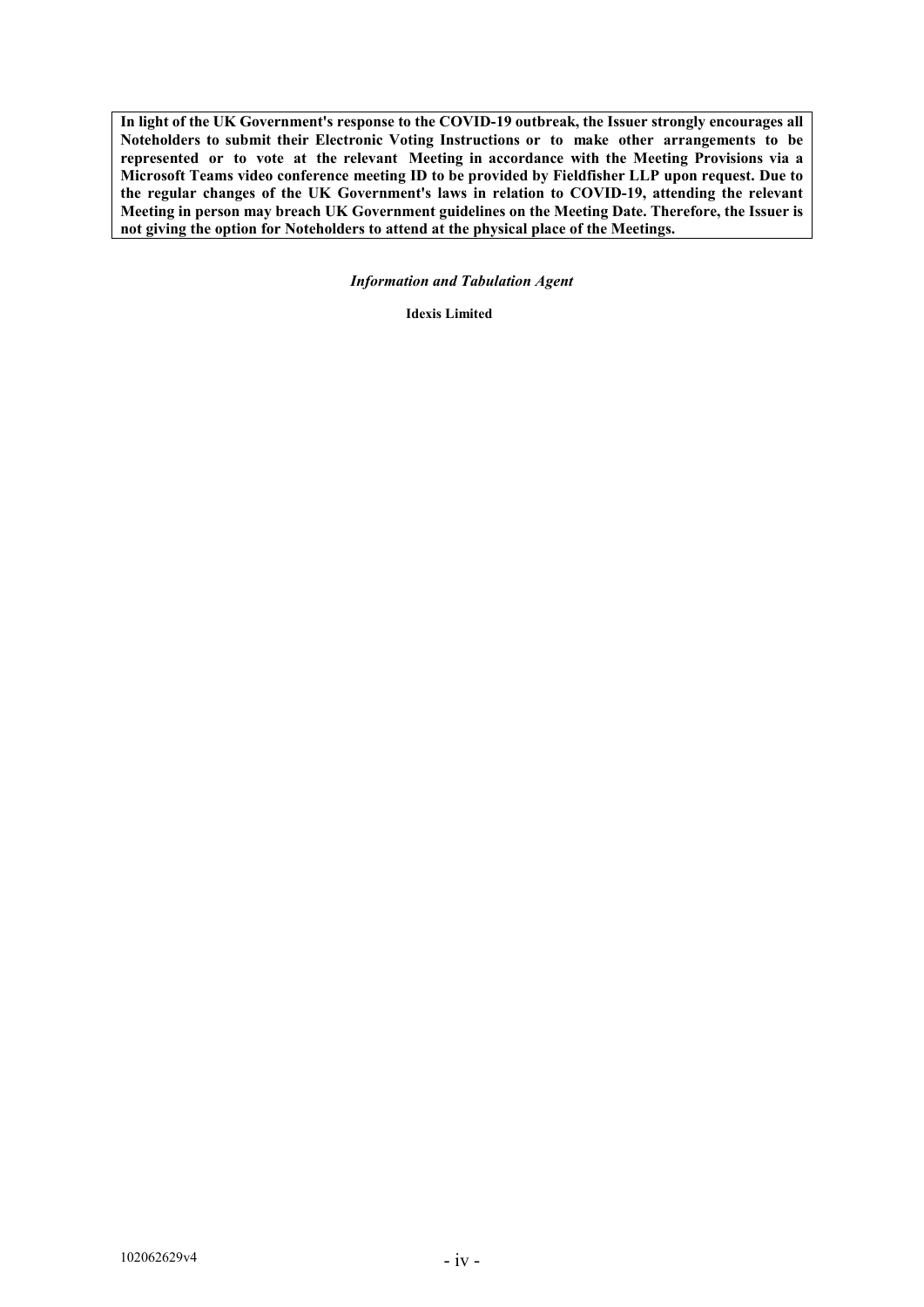**In light of the UK Government's response to the COVID-19 outbreak, the Issuer strongly encourages all Noteholders to submit their Electronic Voting Instructions or to make other arrangements to be represented or to vote at the relevant Meeting in accordance with the Meeting Provisions via a Microsoft Teams video conference meeting ID to be provided by Fieldfisher LLP upon request. Due to the regular changes of the UK Government's laws in relation to COVID-19, attending the relevant Meeting in person may breach UK Government guidelines on the Meeting Date. Therefore, the Issuer is not giving the option for Noteholders to attend at the physical place of the Meetings.**

*Information and Tabulation Agent*

**Idexis Limited**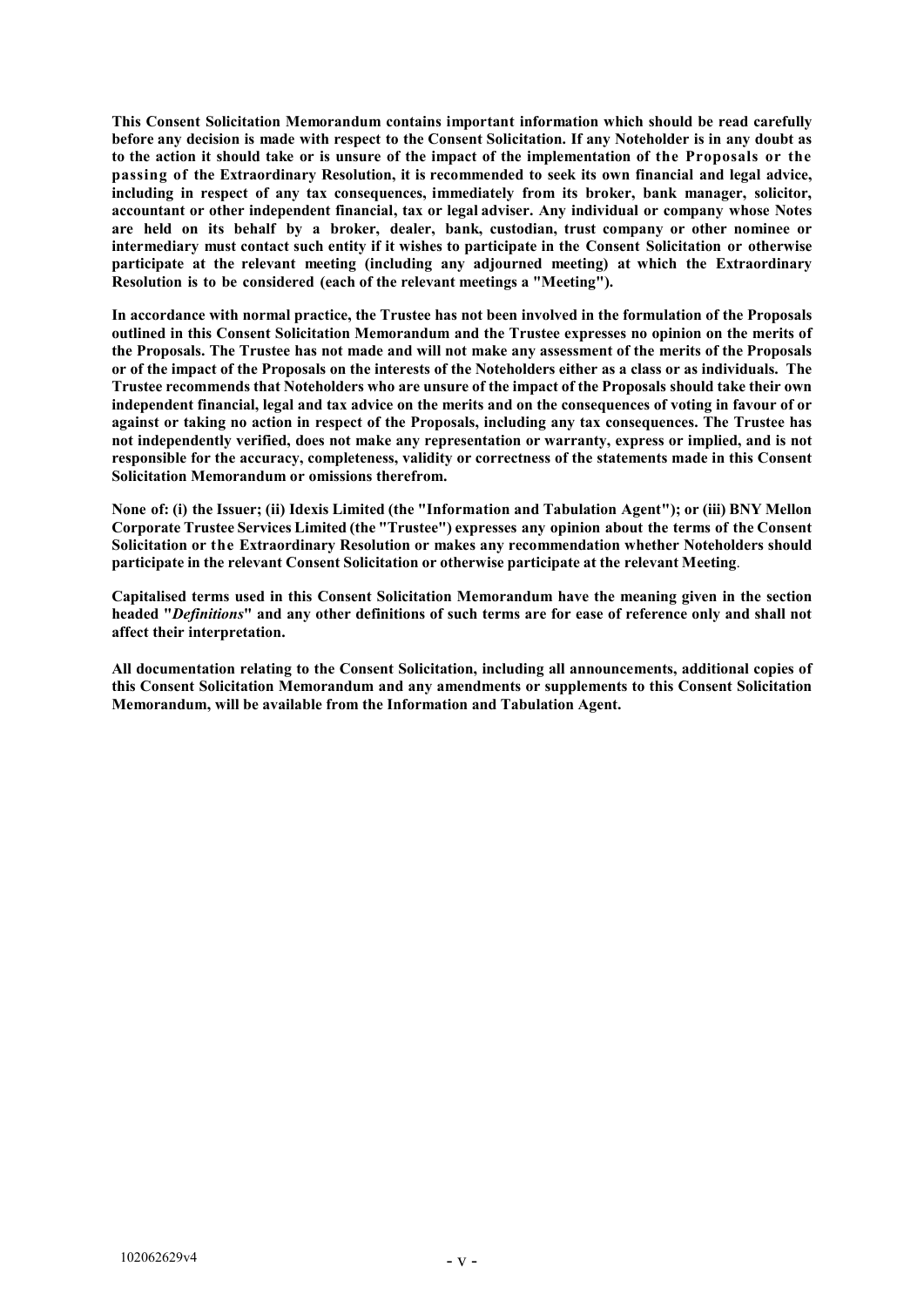**This Consent Solicitation Memorandum contains important information which should be read carefully** before any decision is made with respect to the Consent Solicitation. If any Noteholder is in any doubt as **to the action it should take or is unsure of the impact of the implementation of the Proposals or the passing of the Extraordinary Resolution, it is recommended to seek its own financial and legal advice, including in respect of any tax consequences, immediately from its broker, bank manager, solicitor, accountant or other independent financial, tax or legal adviser. Any individual or company whose Notes are held on its behalf by a broker, dealer, bank, custodian, trust company or other nominee or intermediary must contact such entity if it wishes to participate in the Consent Solicitation or otherwise participate at the relevant meeting (including any adjourned meeting) at which the Extraordinary Resolution is to be considered (each of the relevant meetings a "Meeting").**

**In accordance with normal practice, the Trustee has not been involved in the formulation of the Proposals outlined in this Consent Solicitation Memorandum and the Trustee expresses no opinion on the merits of the Proposals. The Trustee has not made and will not make any assessment of the merits of the Proposals or of the impact of the Proposals on the interests of the Noteholders either as a class or as individuals. The Trustee recommends that Noteholders who are unsure of the impact of the Proposals should take their own independent financial, legal and tax advice on the merits and on the consequences of voting in favour of or against or taking no action in respect of the Proposals, including any tax consequences. The Trustee has not independently verified, does not make any representation or warranty, express or implied, and is not responsible for the accuracy, completeness, validity or correctness of the statements made in this Consent Solicitation Memorandum or omissions therefrom.**

**None of: (i) the Issuer; (ii) Idexis Limited (the "Information and Tabulation Agent"); or (iii) BNY Mellon Corporate Trustee Services Limited (the "Trustee") expresses any opinion about the terms of the Consent Solicitation or the Extraordinary Resolution or makes any recommendation whether Noteholders should participate in the relevant Consent Solicitation or otherwise participate at the relevant Meeting**.

**Capitalised terms used in this Consent Solicitation Memorandum have the meaning given in the section headed "***Definitions***" and any other definitions of such terms are for ease of reference only and shall not affect their interpretation.**

**All documentation relating to the Consent Solicitation, including all announcements, additional copies of this Consent Solicitation Memorandum and any amendments or supplements to this Consent Solicitation Memorandum, will be available from the Information and Tabulation Agent.**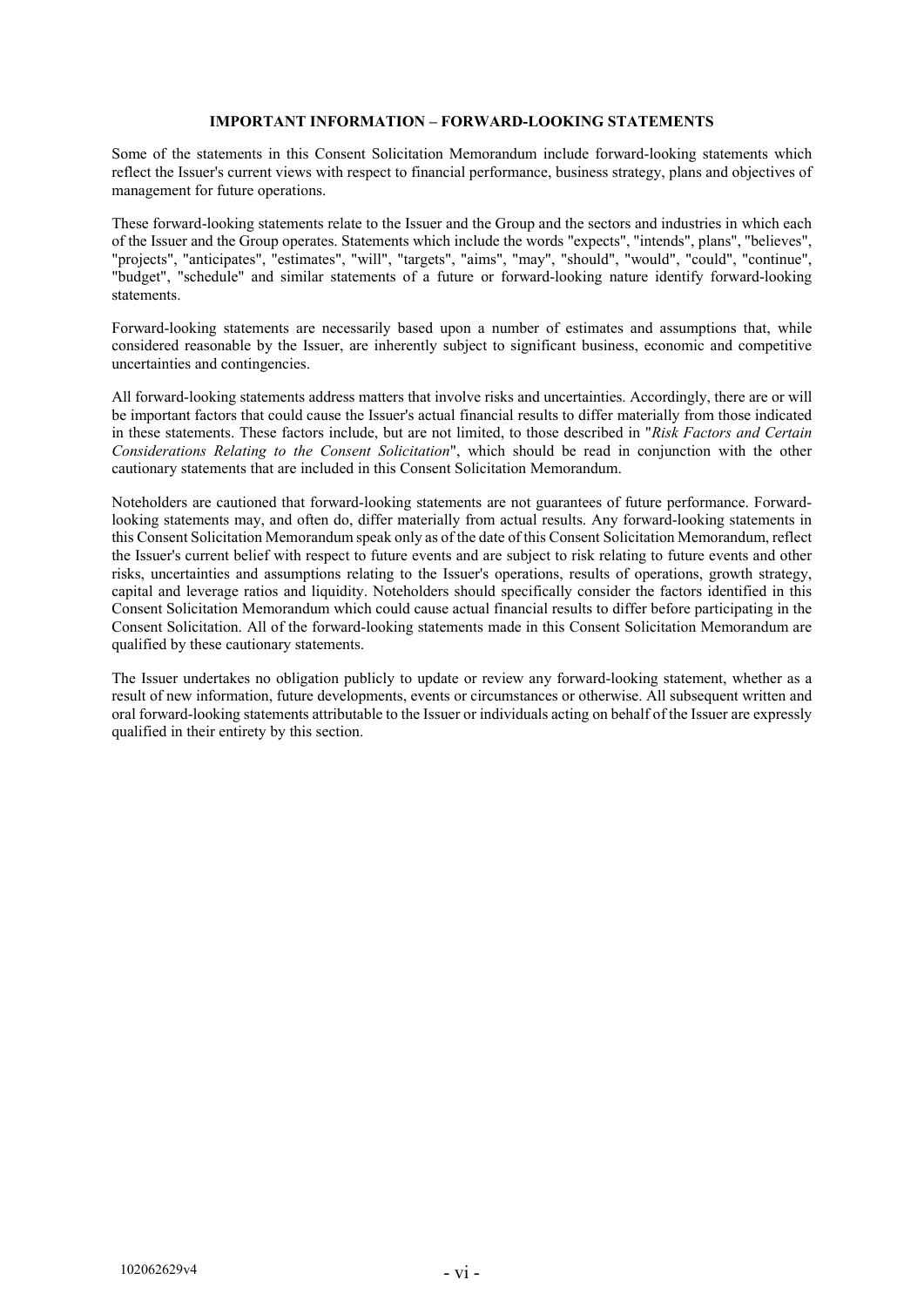# **IMPORTANT INFORMATION – FORWARD-LOOKING STATEMENTS**

Some of the statements in this Consent Solicitation Memorandum include forward-looking statements which reflect the Issuer's current views with respect to financial performance, business strategy, plans and objectives of management for future operations.

These forward-looking statements relate to the Issuer and the Group and the sectors and industries in which each of the Issuer and the Group operates. Statements which include the words "expects", "intends", plans", "believes", "projects", "anticipates", "estimates", "will", "targets", "aims", "may", "should", "would", "could", "continue", "budget", "schedule" and similar statements of a future or forward-looking nature identify forward-looking statements.

Forward-looking statements are necessarily based upon a number of estimates and assumptions that, while considered reasonable by the Issuer, are inherently subject to significant business, economic and competitive uncertainties and contingencies.

All forward-looking statements address matters that involve risks and uncertainties. Accordingly, there are or will be important factors that could cause the Issuer's actual financial results to differ materially from those indicated in these statements. These factors include, but are not limited, to those described in "*Risk Factors and Certain Considerations Relating to the Consent Solicitation*", which should be read in conjunction with the other cautionary statements that are included in this Consent Solicitation Memorandum.

Noteholders are cautioned that forward-looking statements are not guarantees of future performance. Forwardlooking statements may, and often do, differ materially from actual results. Any forward-looking statements in this Consent Solicitation Memorandum speak only as of the date of this Consent Solicitation Memorandum, reflect the Issuer's current belief with respect to future events and are subject to risk relating to future events and other risks, uncertainties and assumptions relating to the Issuer's operations, results of operations, growth strategy, capital and leverage ratios and liquidity. Noteholders should specifically consider the factors identified in this Consent Solicitation Memorandum which could cause actual financial results to differ before participating in the Consent Solicitation. All of the forward-looking statements made in this Consent Solicitation Memorandum are qualified by these cautionary statements.

The Issuer undertakes no obligation publicly to update or review any forward-looking statement, whether as a result of new information, future developments, events or circumstances or otherwise. All subsequent written and oral forward-looking statements attributable to the Issuer or individuals acting on behalf of the Issuer are expressly qualified in their entirety by this section.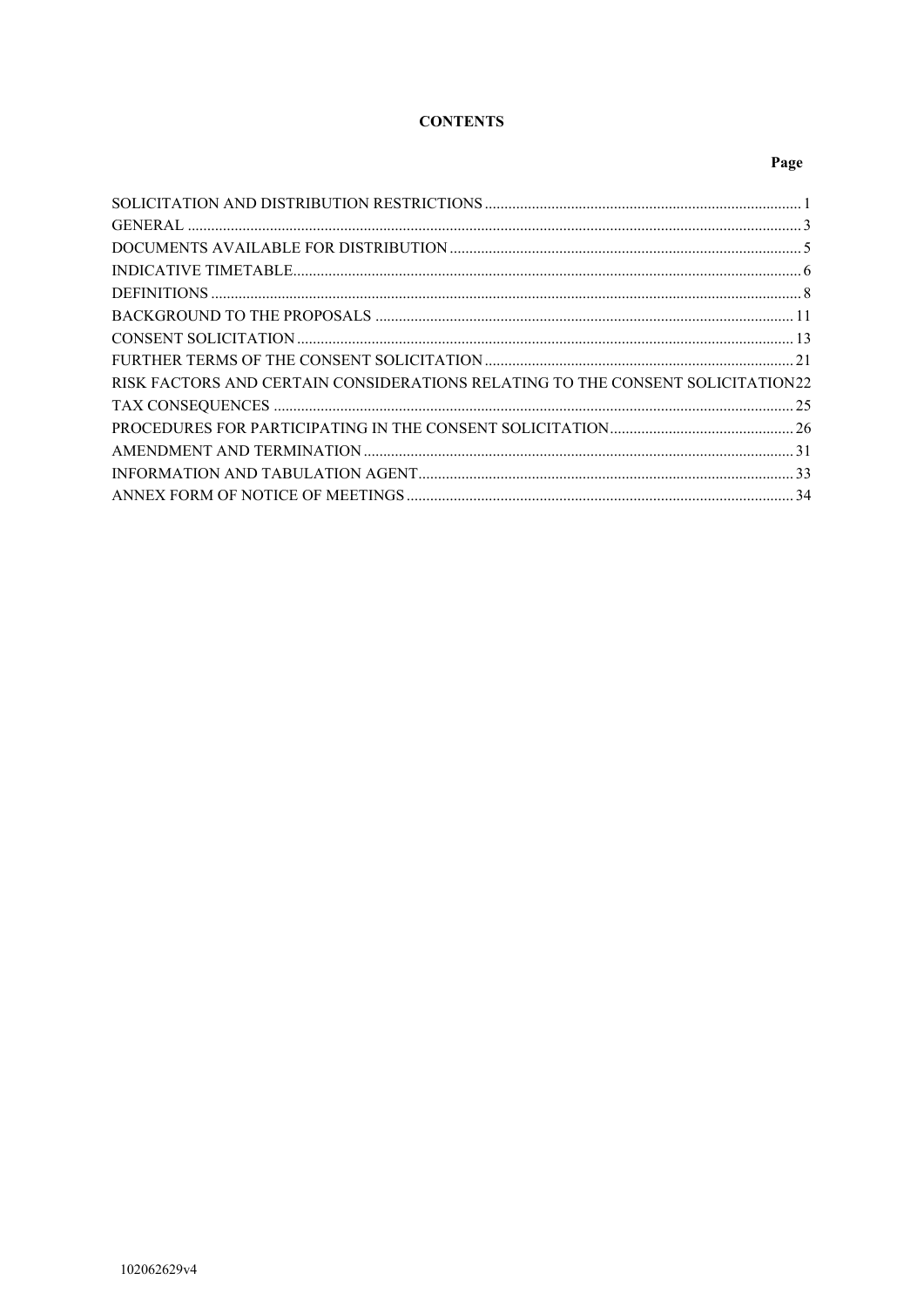# **CONTENTS**

# Page

| RISK FACTORS AND CERTAIN CONSIDERATIONS RELATING TO THE CONSENT SOLICITATION22 |  |
|--------------------------------------------------------------------------------|--|
|                                                                                |  |
|                                                                                |  |
|                                                                                |  |
|                                                                                |  |
|                                                                                |  |
|                                                                                |  |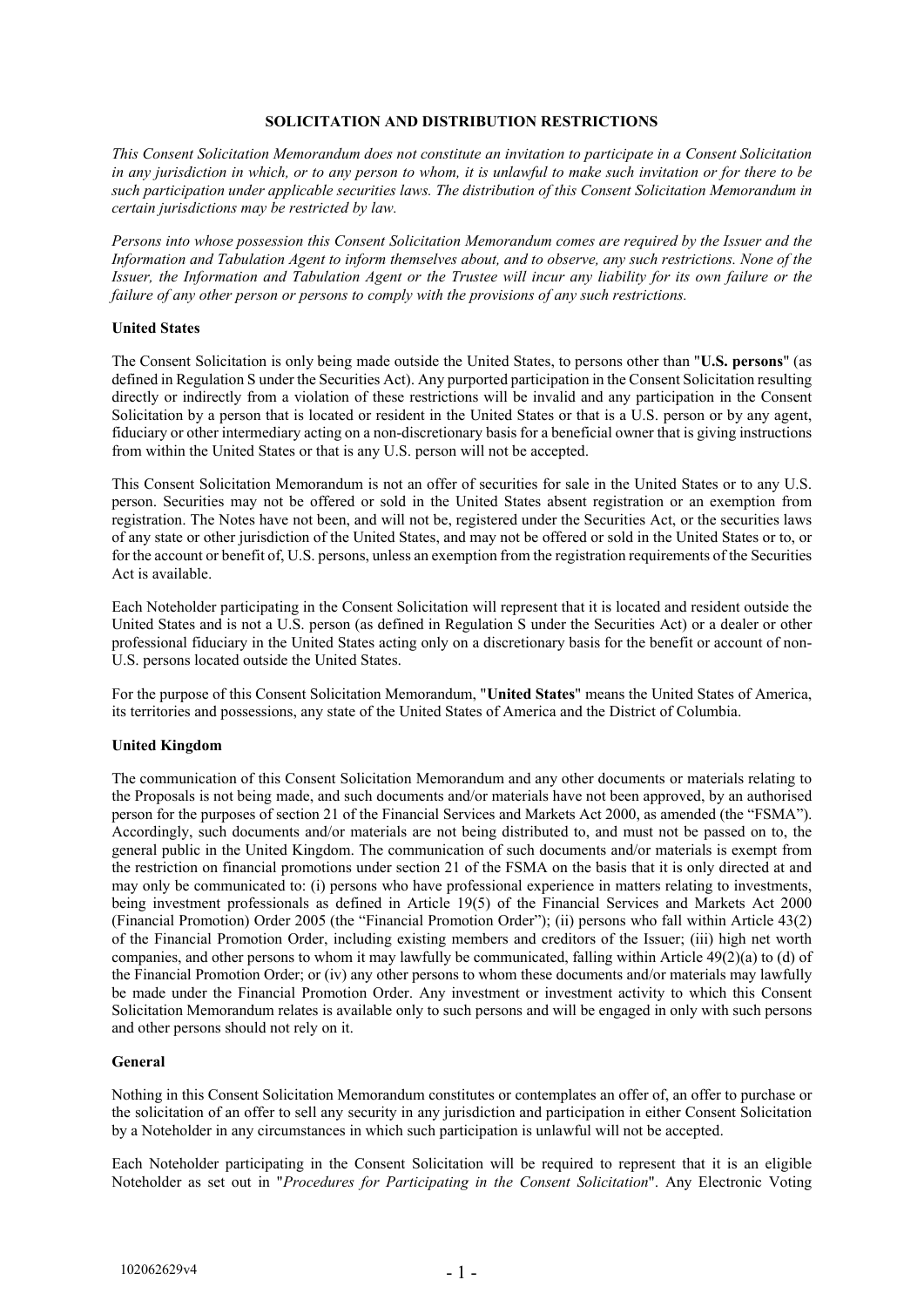# **SOLICITATION AND DISTRIBUTION RESTRICTIONS**

*This Consent Solicitation Memorandum does not constitute an invitation to participate in a Consent Solicitation in any jurisdiction in which, or to any person to whom, it is unlawful to make such invitation or for there to be such participation under applicable securities laws. The distribution of this Consent Solicitation Memorandum in certain jurisdictions may be restricted by law.*

*Persons into whose possession this Consent Solicitation Memorandum comes are required by the Issuer and the Information and Tabulation Agent to inform themselves about, and to observe, any such restrictions. None of the Issuer, the Information and Tabulation Agent or the Trustee will incur any liability for its own failure or the failure of any other person or persons to comply with the provisions of any such restrictions.*

# **United States**

The Consent Solicitation is only being made outside the United States, to persons other than "**U.S. persons**" (as defined in Regulation S under the Securities Act). Any purported participation in the Consent Solicitation resulting directly or indirectly from a violation of these restrictions will be invalid and any participation in the Consent Solicitation by a person that is located or resident in the United States or that is a U.S. person or by any agent, fiduciary or other intermediary acting on a non-discretionary basis for a beneficial owner that is giving instructions from within the United States or that is any U.S. person will not be accepted.

This Consent Solicitation Memorandum is not an offer of securities for sale in the United States or to any U.S. person. Securities may not be offered or sold in the United States absent registration or an exemption from registration. The Notes have not been, and will not be, registered under the Securities Act, or the securities laws of any state or other jurisdiction of the United States, and may not be offered or sold in the United States or to, or for the account or benefit of, U.S. persons, unless an exemption from the registration requirements of the Securities Act is available.

Each Noteholder participating in the Consent Solicitation will represent that it is located and resident outside the United States and is not a U.S. person (as defined in Regulation S under the Securities Act) or a dealer or other professional fiduciary in the United States acting only on a discretionary basis for the benefit or account of non-U.S. persons located outside the United States.

For the purpose of this Consent Solicitation Memorandum, "**United States**" means the United States of America, its territories and possessions, any state of the United States of America and the District of Columbia.

# **United Kingdom**

The communication of this Consent Solicitation Memorandum and any other documents or materials relating to the Proposals is not being made, and such documents and/or materials have not been approved, by an authorised person for the purposes of section 21 of the Financial Services and Markets Act 2000, as amended (the "FSMA"). Accordingly, such documents and/or materials are not being distributed to, and must not be passed on to, the general public in the United Kingdom. The communication of such documents and/or materials is exempt from the restriction on financial promotions under section 21 of the FSMA on the basis that it is only directed at and may only be communicated to: (i) persons who have professional experience in matters relating to investments, being investment professionals as defined in Article 19(5) of the Financial Services and Markets Act 2000 (Financial Promotion) Order 2005 (the "Financial Promotion Order"); (ii) persons who fall within Article 43(2) of the Financial Promotion Order, including existing members and creditors of the Issuer; (iii) high net worth companies, and other persons to whom it may lawfully be communicated, falling within Article 49(2)(a) to (d) of the Financial Promotion Order; or (iv) any other persons to whom these documents and/or materials may lawfully be made under the Financial Promotion Order. Any investment or investment activity to which this Consent Solicitation Memorandum relates is available only to such persons and will be engaged in only with such persons and other persons should not rely on it.

# **General**

Nothing in this Consent Solicitation Memorandum constitutes or contemplates an offer of, an offer to purchase or the solicitation of an offer to sell any security in any jurisdiction and participation in either Consent Solicitation by a Noteholder in any circumstances in which such participation is unlawful will not be accepted.

Each Noteholder participating in the Consent Solicitation will be required to represent that it is an eligible Noteholder as set out in "*Procedures for Participating in the Consent Solicitation*". Any Electronic Voting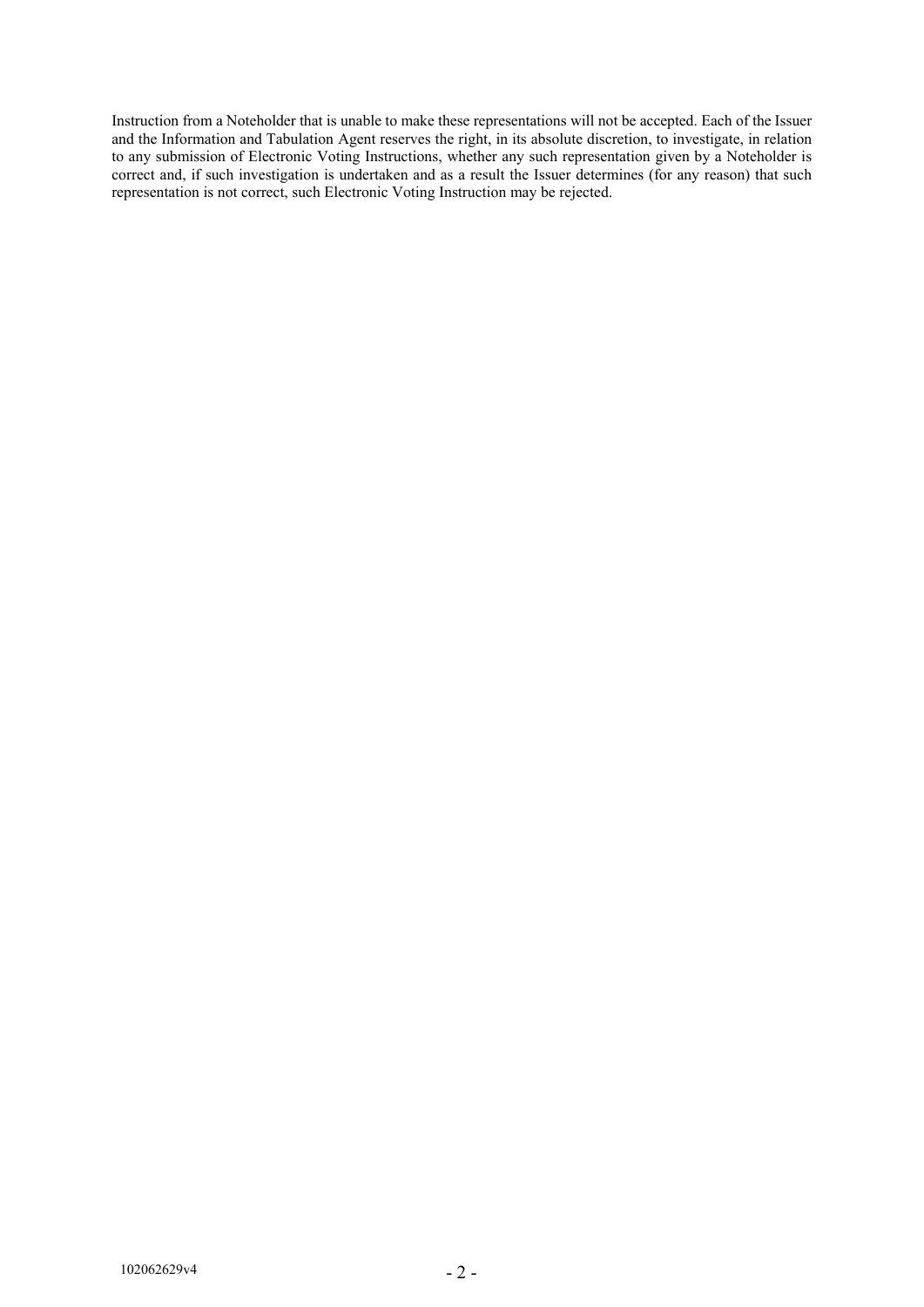Instruction from a Noteholder that is unable to make these representations will not be accepted. Each of the Issuer and the Information and Tabulation Agent reserves the right, in its absolute discretion, to investigate, in relation the any submission of Electronic Voting Instructions, whether any such representation given by a Noteholder is correct and, if such investigation is undertaken and as a result the Issuer determines (for any reason) that such representation is not correct, such Electronic Voting Instruction may be rejected.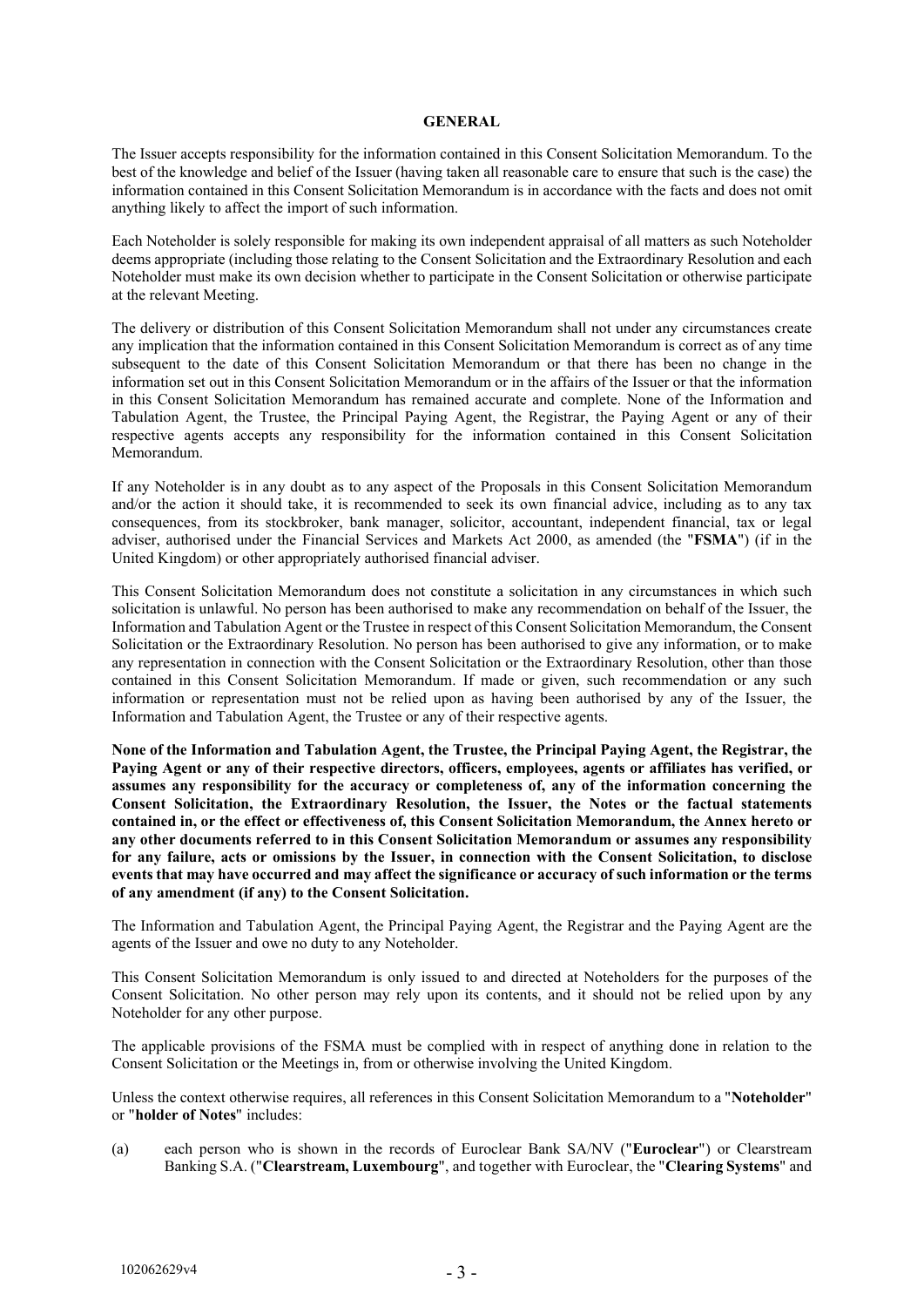#### **GENERAL**

The Issuer accepts responsibility for the information contained in this Consent Solicitation Memorandum. To the best of the knowledge and belief of the Issuer (having taken all reasonable care to ensure that such is the case) the information contained in this Consent Solicitation Memorandum is in accordance with the facts and does not omit anything likely to affect the import of such information.

Each Noteholder is solely responsible for making its own independent appraisal of all matters as such Noteholder deems appropriate (including those relating to the Consent Solicitation and the Extraordinary Resolution and each Noteholder must make its own decision whether to participate in the Consent Solicitation or otherwise participate at the relevant Meeting.

The delivery or distribution of this Consent Solicitation Memorandum shall not under any circumstances create any implication that the information contained in this Consent Solicitation Memorandum is correct as of any time subsequent to the date of this Consent Solicitation Memorandum or that there has been no change in the information set out in this Consent Solicitation Memorandum or in the affairs of the Issuer or that the information in this Consent Solicitation Memorandum has remained accurate and complete. None of the Information and Tabulation Agent, the Trustee, the Principal Paying Agent, the Registrar, the Paying Agent or any of their respective agents accepts any responsibility for the information contained in this Consent Solicitation Memorandum.

If any Noteholder is in any doubt as to any aspect of the Proposals in this Consent Solicitation Memorandum and/or the action it should take, it is recommended to seek its own financial advice, including as to any tax consequences, from its stockbroker, bank manager, solicitor, accountant, independent financial, tax or legal adviser, authorised under the Financial Services and Markets Act 2000, as amended (the "**FSMA**") (if in the United Kingdom) or other appropriately authorised financial adviser.

This Consent Solicitation Memorandum does not constitute a solicitation in any circumstances in which such solicitation is unlawful. No person has been authorised to make any recommendation on behalf of the Issuer, the Information and Tabulation Agent or the Trustee in respect of this Consent Solicitation Memorandum, the Consent Solicitation or the Extraordinary Resolution. No person has been authorised to give any information, or to make any representation in connection with the Consent Solicitation or the Extraordinary Resolution, other than those contained in this Consent Solicitation Memorandum. If made or given, such recommendation or any such information or representation must not be relied upon as having been authorised by any of the Issuer, the Information and Tabulation Agent, the Trustee or any of their respective agents.

**None of the Information and Tabulation Agent, the Trustee, the Principal Paying Agent, the Registrar, the Paying Agent or any of their respective directors, officers, employees, agents or affiliates has verified, or assumes any responsibility for the accuracy or completeness of, any of the information concerning the Consent Solicitation, the Extraordinary Resolution, the Issuer, the Notes or the factual statements contained in, or the effect or effectiveness of, this Consent Solicitation Memorandum, the Annex hereto or any other documents referred to in this Consent Solicitation Memorandum or assumes any responsibility for any failure, acts or omissions by the Issuer, in connection with the Consent Solicitation, to disclose events that may have occurred and may affect the significance or accuracy of such information or the terms of any amendment (if any) to the Consent Solicitation.**

The Information and Tabulation Agent, the Principal Paying Agent, the Registrar and the Paying Agent are the agents of the Issuer and owe no duty to any Noteholder.

This Consent Solicitation Memorandum is only issued to and directed at Noteholders for the purposes of the Consent Solicitation. No other person may rely upon its contents, and it should not be relied upon by any Noteholder for any other purpose.

The applicable provisions of the FSMA must be complied with in respect of anything done in relation to the Consent Solicitation or the Meetings in, from or otherwise involving the United Kingdom.

Unless the context otherwise requires, all references in this Consent Solicitation Memorandum to a "**Noteholder**" or "**holder of Notes**" includes:

(a) each person who is shown in the records of Euroclear Bank SA/NV ("**Euroclear**") or Clearstream Banking S.A. ("**Clearstream, Luxembourg**", and together with Euroclear, the "**Clearing Systems**" and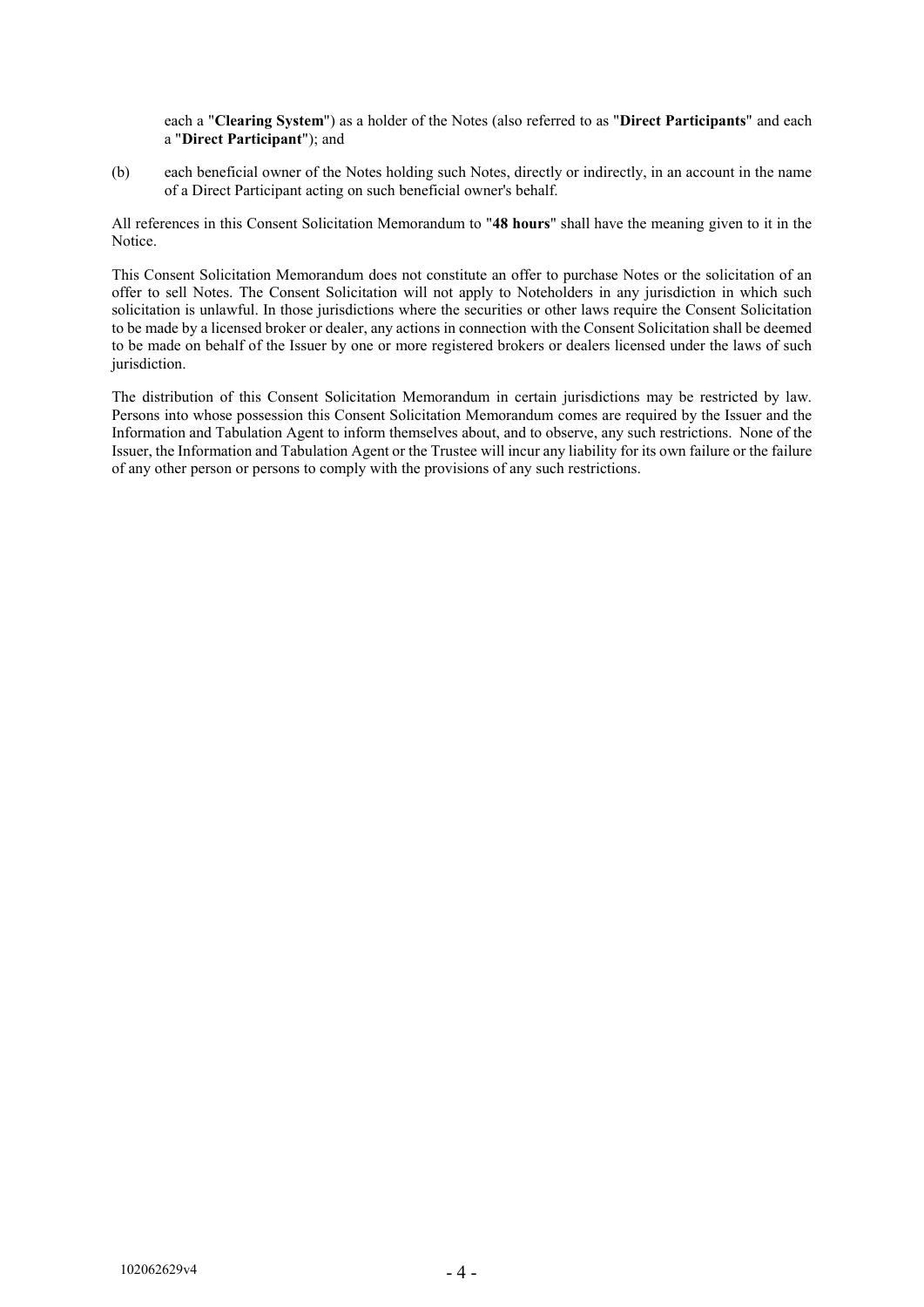each a "**Clearing System**") as a holder of the Notes (also referred to as "**Direct Participants**" and each a "**Direct Participant**"); and

(b) each beneficial owner of the Notes holding such Notes, directly or indirectly, in an account in the name of a Direct Participant acting on such beneficial owner's behalf.

All references in this Consent Solicitation Memorandum to "**48 hours**" shall have the meaning given to it in the Notice.

This Consent Solicitation Memorandum does not constitute an offer to purchase Notes or the solicitation of an offer to sell Notes. The Consent Solicitation will not apply to Noteholders in any jurisdiction in which such solicitation is unlawful. In those jurisdictions where the securities or other laws require the Consent Solicitation to be made by a licensed broker or dealer, any actions in connection with the Consent Solicitation shall be deemed to be made on behalf of the Issuer by one or more registered brokers or dealers licensed under the laws of such jurisdiction.

The distribution of this Consent Solicitation Memorandum in certain jurisdictions may be restricted by law. Persons into whose possession this Consent Solicitation Memorandum comes are required by the Issuer and the Information and Tabulation Agent to inform themselves about, and to observe, any such restrictions. None of the Issuer, the Information and Tabulation Agent or the Trustee will incur any liability for its own failure or the failure of any other person or persons to comply with the provisions of any such restrictions.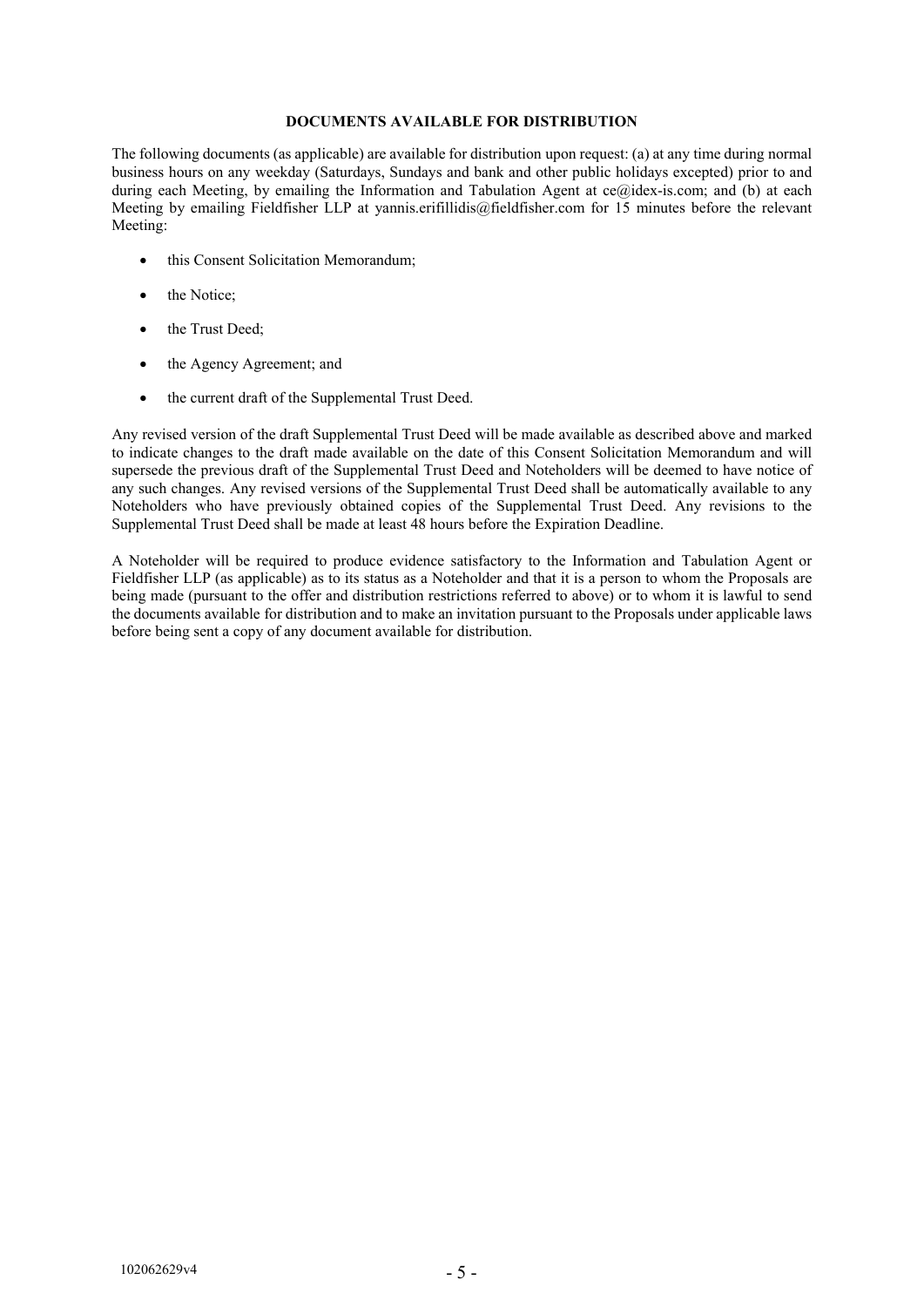#### **DOCUMENTS AVAILABLE FOR DISTRIBUTION**

The following documents (as applicable) are available for distribution upon request: (a) at any time during normal business hours on any weekday (Saturdays, Sundays and bank and other public holidays excepted) prior to and during each Meeting, by emailing the Information and Tabulation Agent at ce@idex-is.com; and (b) at each Meeting by emailing Fieldfisher LLP at yannis.erifillidis@fieldfisher.com for 15 minutes before the relevant Meeting:

- this Consent Solicitation Memorandum;
- the Notice;
- the Trust Deed;
- the Agency Agreement; and
- the current draft of the Supplemental Trust Deed.

Any revised version of the draft Supplemental Trust Deed will be made available as described above and marked to indicate changes to the draft made available on the date of this Consent Solicitation Memorandum and will supersede the previous draft of the Supplemental Trust Deed and Noteholders will be deemed to have notice of any such changes. Any revised versions of the Supplemental Trust Deed shall be automatically available to any Noteholders who have previously obtained copies of the Supplemental Trust Deed. Any revisions to the Supplemental Trust Deed shall be made at least 48 hours before the Expiration Deadline.

A Noteholder will be required to produce evidence satisfactory to the Information and Tabulation Agent or Fieldfisher LLP (as applicable) as to its status as a Noteholder and that it is a person to whom the Proposals are being made (pursuant to the offer and distribution restrictions referred to above) or to whom it is lawful to send the documents available for distribution and to make an invitation pursuant to the Proposals under applicable laws before being sent a copy of any document available for distribution.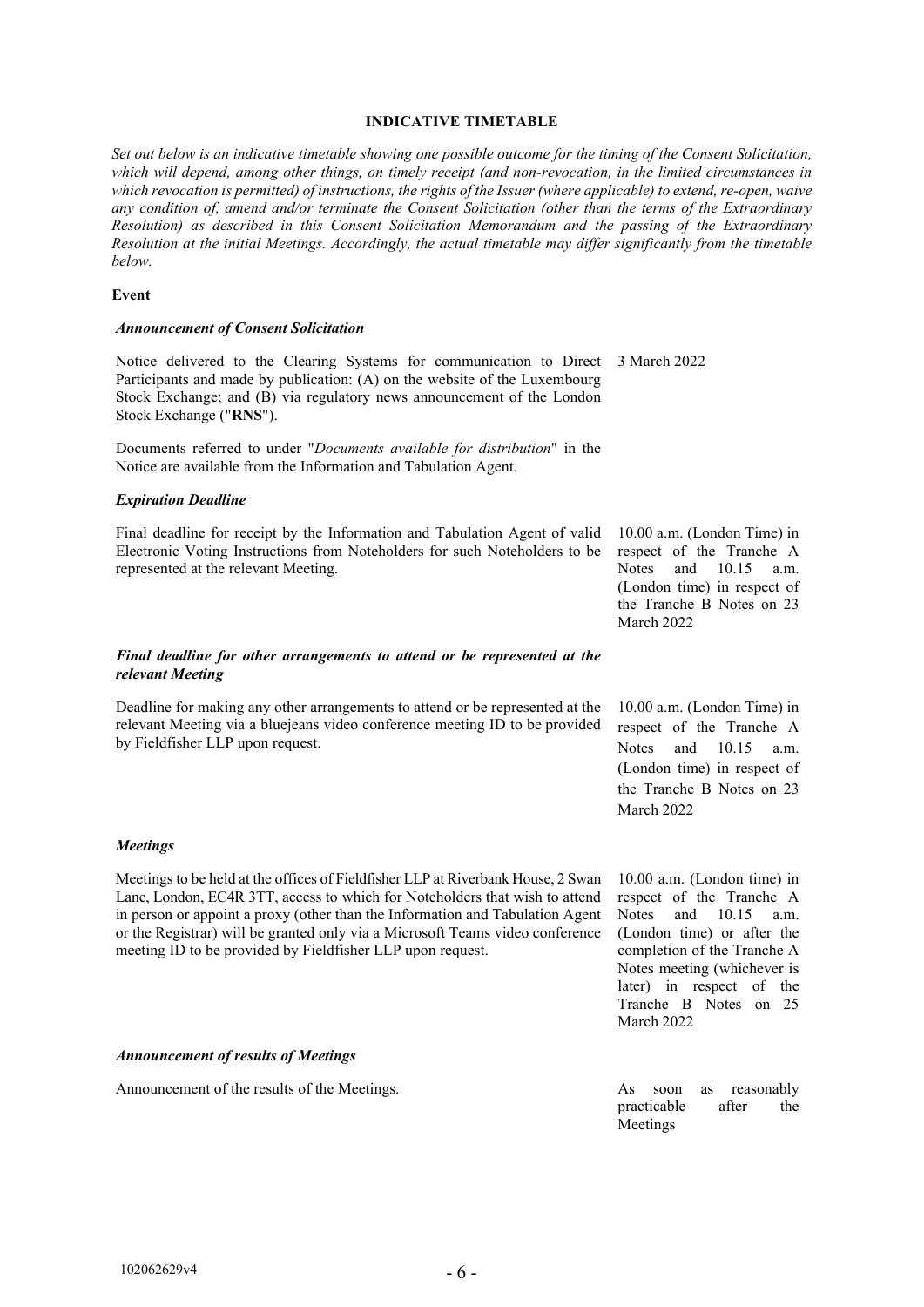#### **INDICATIVE TIMETABLE**

*Set out below is an indicative timetable showing one possible outcome for the timing of the Consent Solicitation, which will depend, among other things, on timely receipt (and non-revocation, in the limited circumstances in which revocation is permitted) of instructions, the rights of the Issuer (where applicable) to extend, re-open, waive any condition of, amend and/or terminate the Consent Solicitation (other than the terms of the Extraordinary Resolution) as described in this Consent Solicitation Memorandum and the passing of the Extraordinary Resolution at the initial Meetings. Accordingly, the actual timetable may differ significantly from the timetable below.*

#### **Event**

#### *Announcement of Consent Solicitation*

Notice delivered to the Clearing Systems for communication to Direct 3 March 2022 Participants and made by publication: (A) on the website of the Luxembourg Stock Exchange; and (B) via regulatory news announcement of the London Stock Exchange ("**RNS**").

Documents referred to under "*Documents available for distribution*" in the Notice are available from the Information and Tabulation Agent.

#### *Expiration Deadline*

Final deadline for receipt by the Information and Tabulation Agent of valid Electronic Voting Instructions from Noteholders for such Noteholders to be represented at the relevant Meeting.

#### *Final deadline for other arrangements to attend or be represented at the relevant Meeting*

Deadline for making any other arrangements to attend or be represented at the relevant Meeting via a bluejeans video conference meeting ID to be provided by Fieldfisher LLP upon request.

Meetings to be held at the offices of Fieldfisher LLP at Riverbank House, 2 Swan Lane, London, EC4R 3TT, access to which for Noteholders that wish to attend in person or appoint a proxy (other than the Information and Tabulation Agent or the Registrar) will be granted only via a Microsoft Teams video conference

10.00 a.m. (London Time) in respect of the Tranche A Notes and 10.15 a.m. (London time) in respect of the Tranche B Notes on 23 March 2022

10.00 a.m. (London Time) in respect of the Tranche A Notes and 10.15 a.m. (London time) in respect of the Tranche B Notes on 23 March 2022

10.00 a.m. (London time) in respect of the Tranche A Notes and 10.15 a.m. (London time) or after the completion of the Tranche A Notes meeting (whichever is later) in respect of the Tranche B Notes on 25 March 2022

#### *Announcement of results of Meetings*

Announcement of the results of the Meetings. As soon as reasonably

meeting ID to be provided by Fieldfisher LLP upon request.

practicable after the Meetings

*Meetings*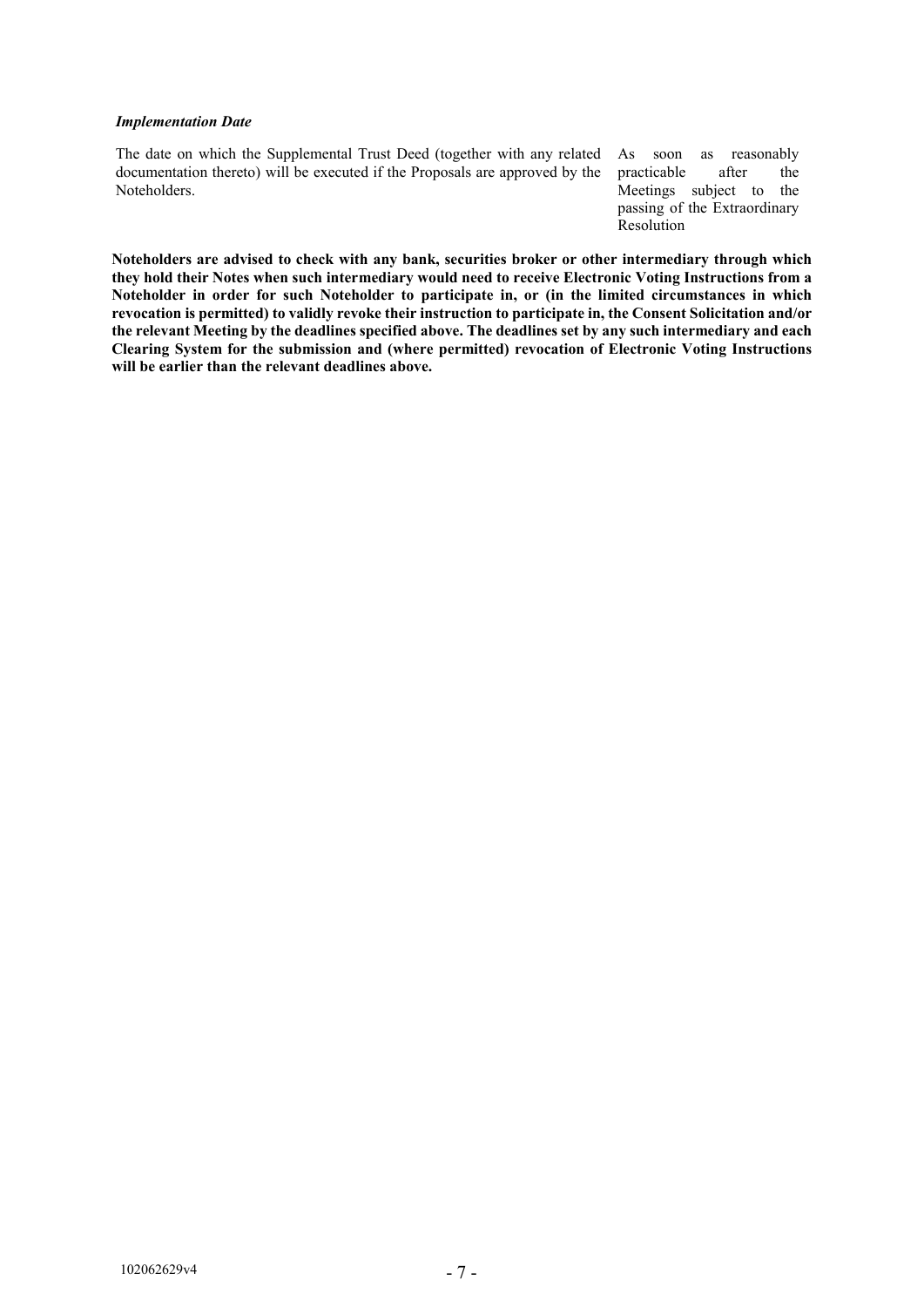#### *Implementation Date*

The date on which the Supplemental Trust Deed (together with any related documentation thereto) will be executed if the Proposals are approved by the Noteholders.

As soon as reasonably practicable after the Meetings subject to the passing of the Extraordinary Resolution

**Noteholders are advised to check with any bank, securities broker or other intermediary through which they hold their Notes when such intermediary would need to receive Electronic Voting Instructions from a Noteholder in order for such Noteholder to participate in, or (in the limited circumstances in which revocation is permitted) to validly revoke their instruction to participate in, the Consent Solicitation and/or the relevant Meeting by the deadlines specified above. The deadlines set by any such intermediary and each Clearing System for the submission and (where permitted) revocation of Electronic Voting Instructions will be earlier than the relevant deadlines above.**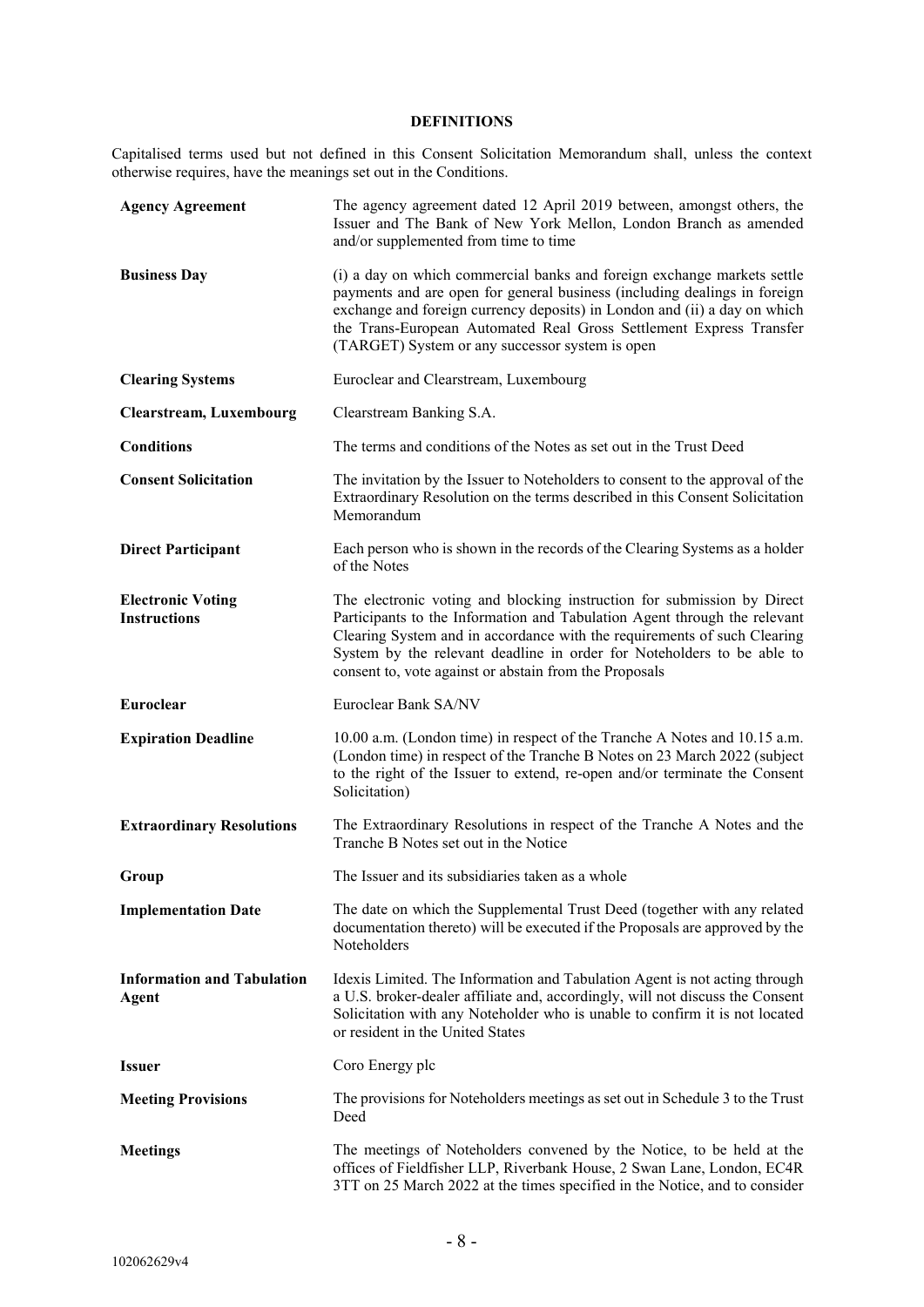# **DEFINITIONS**

Capitalised terms used but not defined in this Consent Solicitation Memorandum shall, unless the context otherwise requires, have the meanings set out in the Conditions.

| <b>Agency Agreement</b>                         | The agency agreement dated 12 April 2019 between, amongst others, the<br>Issuer and The Bank of New York Mellon, London Branch as amended<br>and/or supplemented from time to time                                                                                                                                                                                   |
|-------------------------------------------------|----------------------------------------------------------------------------------------------------------------------------------------------------------------------------------------------------------------------------------------------------------------------------------------------------------------------------------------------------------------------|
| <b>Business Day</b>                             | (i) a day on which commercial banks and foreign exchange markets settle<br>payments and are open for general business (including dealings in foreign<br>exchange and foreign currency deposits) in London and (ii) a day on which<br>the Trans-European Automated Real Gross Settlement Express Transfer<br>(TARGET) System or any successor system is open          |
| <b>Clearing Systems</b>                         | Euroclear and Clearstream, Luxembourg                                                                                                                                                                                                                                                                                                                                |
| <b>Clearstream, Luxembourg</b>                  | Clearstream Banking S.A.                                                                                                                                                                                                                                                                                                                                             |
| <b>Conditions</b>                               | The terms and conditions of the Notes as set out in the Trust Deed                                                                                                                                                                                                                                                                                                   |
| <b>Consent Solicitation</b>                     | The invitation by the Issuer to Noteholders to consent to the approval of the<br>Extraordinary Resolution on the terms described in this Consent Solicitation<br>Memorandum                                                                                                                                                                                          |
| <b>Direct Participant</b>                       | Each person who is shown in the records of the Clearing Systems as a holder<br>of the Notes                                                                                                                                                                                                                                                                          |
| <b>Electronic Voting</b><br><b>Instructions</b> | The electronic voting and blocking instruction for submission by Direct<br>Participants to the Information and Tabulation Agent through the relevant<br>Clearing System and in accordance with the requirements of such Clearing<br>System by the relevant deadline in order for Noteholders to be able to<br>consent to, vote against or abstain from the Proposals |
| Euroclear                                       | Euroclear Bank SA/NV                                                                                                                                                                                                                                                                                                                                                 |
| <b>Expiration Deadline</b>                      | 10.00 a.m. (London time) in respect of the Tranche A Notes and 10.15 a.m.<br>(London time) in respect of the Tranche B Notes on 23 March 2022 (subject<br>to the right of the Issuer to extend, re-open and/or terminate the Consent<br>Solicitation)                                                                                                                |
| <b>Extraordinary Resolutions</b>                | The Extraordinary Resolutions in respect of the Tranche A Notes and the<br>Tranche B Notes set out in the Notice                                                                                                                                                                                                                                                     |
| Group                                           | The Issuer and its subsidiaries taken as a whole                                                                                                                                                                                                                                                                                                                     |
| <b>Implementation Date</b>                      | The date on which the Supplemental Trust Deed (together with any related<br>documentation thereto) will be executed if the Proposals are approved by the<br>Noteholders                                                                                                                                                                                              |
| <b>Information and Tabulation</b><br>Agent      | Idexis Limited. The Information and Tabulation Agent is not acting through<br>a U.S. broker-dealer affiliate and, accordingly, will not discuss the Consent<br>Solicitation with any Noteholder who is unable to confirm it is not located<br>or resident in the United States                                                                                       |
| <b>Issuer</b>                                   | Coro Energy plc                                                                                                                                                                                                                                                                                                                                                      |
| <b>Meeting Provisions</b>                       | The provisions for Noteholders meetings as set out in Schedule 3 to the Trust<br>Deed                                                                                                                                                                                                                                                                                |
| <b>Meetings</b>                                 | The meetings of Noteholders convened by the Notice, to be held at the<br>offices of Fieldfisher LLP, Riverbank House, 2 Swan Lane, London, EC4R<br>3TT on 25 March 2022 at the times specified in the Notice, and to consider                                                                                                                                        |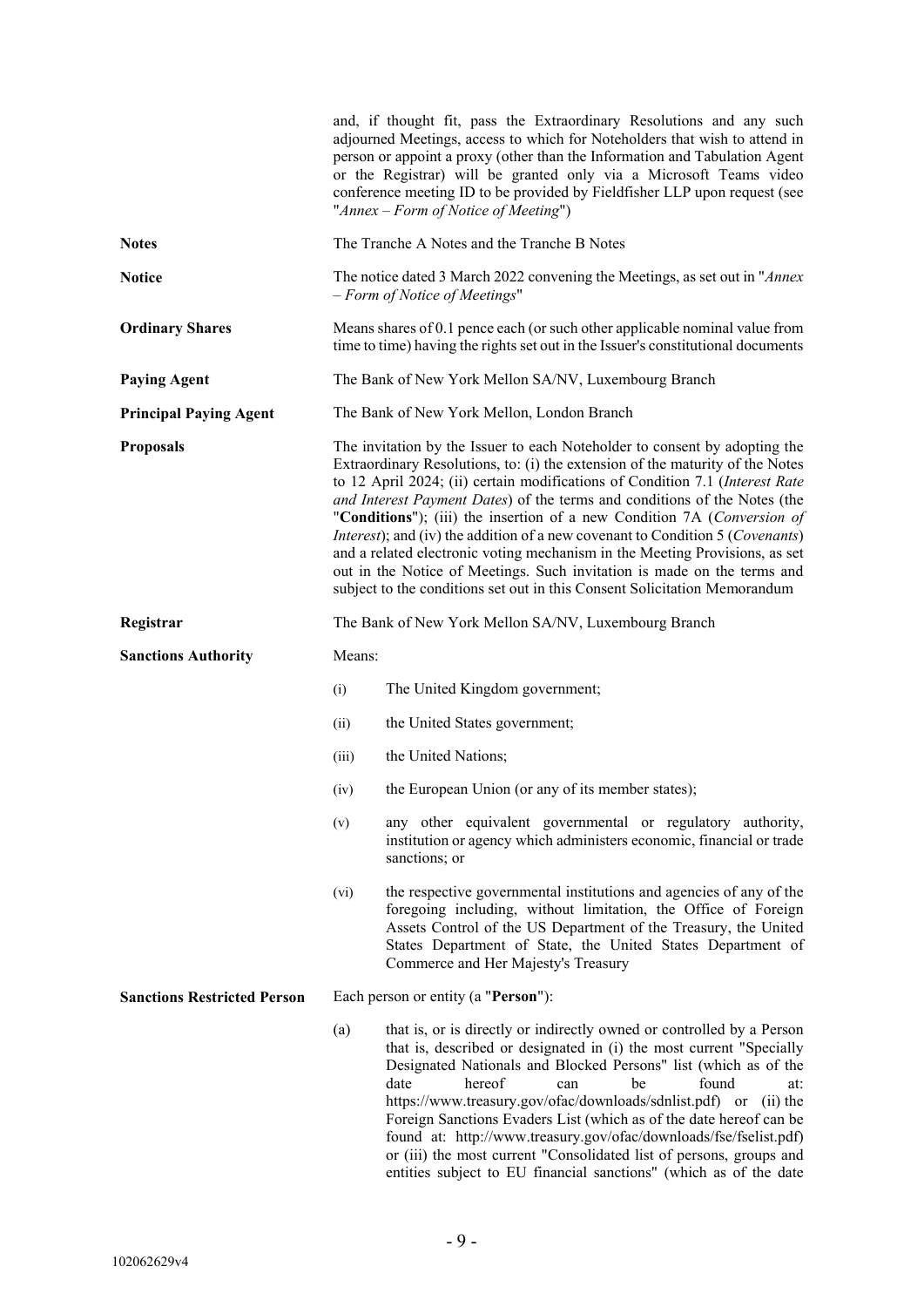|                                    |        | and, if thought fit, pass the Extraordinary Resolutions and any such<br>adjourned Meetings, access to which for Noteholders that wish to attend in<br>person or appoint a proxy (other than the Information and Tabulation Agent<br>or the Registrar) will be granted only via a Microsoft Teams video<br>conference meeting ID to be provided by Fieldfisher LLP upon request (see<br>"Annex – Form of Notice of Meeting")                                                                                                                                                                                                                                                                                                                  |
|------------------------------------|--------|----------------------------------------------------------------------------------------------------------------------------------------------------------------------------------------------------------------------------------------------------------------------------------------------------------------------------------------------------------------------------------------------------------------------------------------------------------------------------------------------------------------------------------------------------------------------------------------------------------------------------------------------------------------------------------------------------------------------------------------------|
| <b>Notes</b>                       |        | The Tranche A Notes and the Tranche B Notes                                                                                                                                                                                                                                                                                                                                                                                                                                                                                                                                                                                                                                                                                                  |
| <b>Notice</b>                      |        | The notice dated 3 March 2022 convening the Meetings, as set out in "Annex"<br>- Form of Notice of Meetings"                                                                                                                                                                                                                                                                                                                                                                                                                                                                                                                                                                                                                                 |
| <b>Ordinary Shares</b>             |        | Means shares of 0.1 pence each (or such other applicable nominal value from<br>time to time) having the rights set out in the Issuer's constitutional documents                                                                                                                                                                                                                                                                                                                                                                                                                                                                                                                                                                              |
| <b>Paying Agent</b>                |        | The Bank of New York Mellon SA/NV, Luxembourg Branch                                                                                                                                                                                                                                                                                                                                                                                                                                                                                                                                                                                                                                                                                         |
| <b>Principal Paying Agent</b>      |        | The Bank of New York Mellon, London Branch                                                                                                                                                                                                                                                                                                                                                                                                                                                                                                                                                                                                                                                                                                   |
| <b>Proposals</b>                   |        | The invitation by the Issuer to each Noteholder to consent by adopting the<br>Extraordinary Resolutions, to: (i) the extension of the maturity of the Notes<br>to 12 April 2024; (ii) certain modifications of Condition 7.1 (Interest Rate<br>and Interest Payment Dates) of the terms and conditions of the Notes (the<br>"Conditions"); (iii) the insertion of a new Condition 7A (Conversion of<br><i>Interest</i> ); and (iv) the addition of a new covenant to Condition 5 ( <i>Covenants</i> )<br>and a related electronic voting mechanism in the Meeting Provisions, as set<br>out in the Notice of Meetings. Such invitation is made on the terms and<br>subject to the conditions set out in this Consent Solicitation Memorandum |
| Registrar                          |        | The Bank of New York Mellon SA/NV, Luxembourg Branch                                                                                                                                                                                                                                                                                                                                                                                                                                                                                                                                                                                                                                                                                         |
| <b>Sanctions Authority</b>         | Means: |                                                                                                                                                                                                                                                                                                                                                                                                                                                                                                                                                                                                                                                                                                                                              |
|                                    | (i)    | The United Kingdom government;                                                                                                                                                                                                                                                                                                                                                                                                                                                                                                                                                                                                                                                                                                               |
|                                    | (ii)   | the United States government;                                                                                                                                                                                                                                                                                                                                                                                                                                                                                                                                                                                                                                                                                                                |
|                                    | (iii)  | the United Nations;                                                                                                                                                                                                                                                                                                                                                                                                                                                                                                                                                                                                                                                                                                                          |
|                                    | (iv)   | the European Union (or any of its member states);                                                                                                                                                                                                                                                                                                                                                                                                                                                                                                                                                                                                                                                                                            |
|                                    | (v)    | any other equivalent governmental or regulatory authority,<br>institution or agency which administers economic, financial or trade<br>sanctions; or                                                                                                                                                                                                                                                                                                                                                                                                                                                                                                                                                                                          |
|                                    | (vi)   | the respective governmental institutions and agencies of any of the<br>foregoing including, without limitation, the Office of Foreign<br>Assets Control of the US Department of the Treasury, the United<br>States Department of State, the United States Department of<br>Commerce and Her Majesty's Treasury                                                                                                                                                                                                                                                                                                                                                                                                                               |
| <b>Sanctions Restricted Person</b> |        | Each person or entity (a "Person"):                                                                                                                                                                                                                                                                                                                                                                                                                                                                                                                                                                                                                                                                                                          |
|                                    | (a)    | that is, or is directly or indirectly owned or controlled by a Person<br>that is, described or designated in (i) the most current "Specially<br>Designated Nationals and Blocked Persons" list (which as of the<br>date<br>hereof<br>found<br>be<br>can<br>at:<br>https://www.treasury.gov/ofac/downloads/sdnlist.pdf) or (ii) the<br>Foreign Sanctions Evaders List (which as of the date hereof can be<br>found at: http://www.treasury.gov/ofac/downloads/fse/fselist.pdf)<br>or (iii) the most current "Consolidated list of persons, groups and<br>entities subject to EU financial sanctions" (which as of the date                                                                                                                    |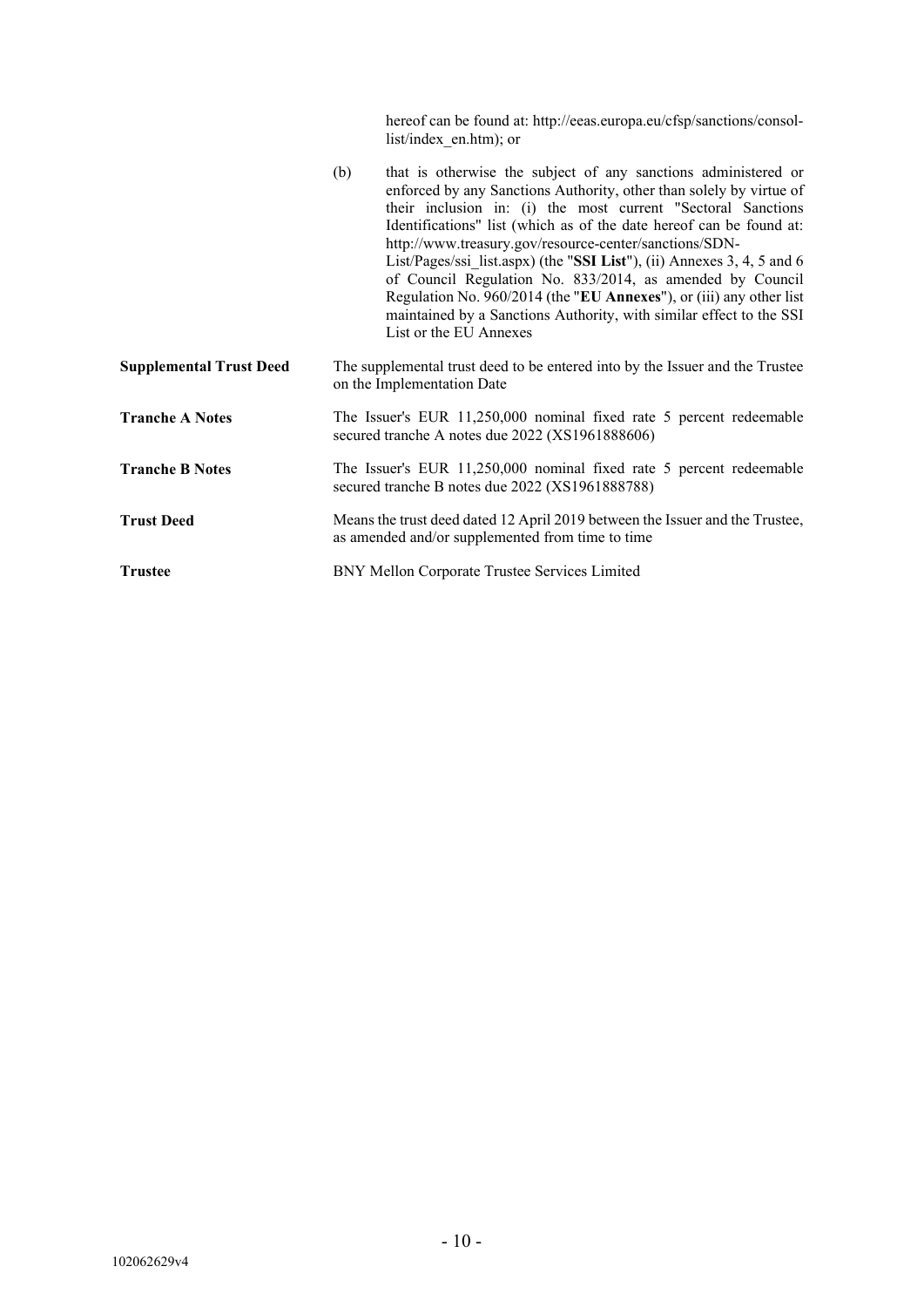|                                |     | hereof can be found at: http://eeas.europa.eu/cfsp/sanctions/consol-<br>list/index en.htm); or                                                                                                                                                                                                                                                                                                                                                                                                                                                                                                                                                        |
|--------------------------------|-----|-------------------------------------------------------------------------------------------------------------------------------------------------------------------------------------------------------------------------------------------------------------------------------------------------------------------------------------------------------------------------------------------------------------------------------------------------------------------------------------------------------------------------------------------------------------------------------------------------------------------------------------------------------|
|                                | (b) | that is otherwise the subject of any sanctions administered or<br>enforced by any Sanctions Authority, other than solely by virtue of<br>their inclusion in: (i) the most current "Sectoral Sanctions<br>Identifications" list (which as of the date hereof can be found at:<br>http://www.treasury.gov/resource-center/sanctions/SDN-<br>List/Pages/ssi list.aspx) (the "SSI List"), (ii) Annexes 3, 4, 5 and 6<br>of Council Regulation No. 833/2014, as amended by Council<br>Regulation No. 960/2014 (the "EU Annexes"), or (iii) any other list<br>maintained by a Sanctions Authority, with similar effect to the SSI<br>List or the EU Annexes |
| <b>Supplemental Trust Deed</b> |     | The supplemental trust deed to be entered into by the Issuer and the Trustee<br>on the Implementation Date                                                                                                                                                                                                                                                                                                                                                                                                                                                                                                                                            |
| <b>Tranche A Notes</b>         |     | The Issuer's EUR 11,250,000 nominal fixed rate 5 percent redeemable<br>secured tranche A notes due 2022 (XS1961888606)                                                                                                                                                                                                                                                                                                                                                                                                                                                                                                                                |
| <b>Tranche B Notes</b>         |     | The Issuer's EUR 11,250,000 nominal fixed rate 5 percent redeemable<br>secured tranche B notes due 2022 (XS1961888788)                                                                                                                                                                                                                                                                                                                                                                                                                                                                                                                                |
| <b>Trust Deed</b>              |     | Means the trust deed dated 12 April 2019 between the Issuer and the Trustee,<br>as amended and/or supplemented from time to time                                                                                                                                                                                                                                                                                                                                                                                                                                                                                                                      |
| <b>Trustee</b>                 |     | BNY Mellon Corporate Trustee Services Limited                                                                                                                                                                                                                                                                                                                                                                                                                                                                                                                                                                                                         |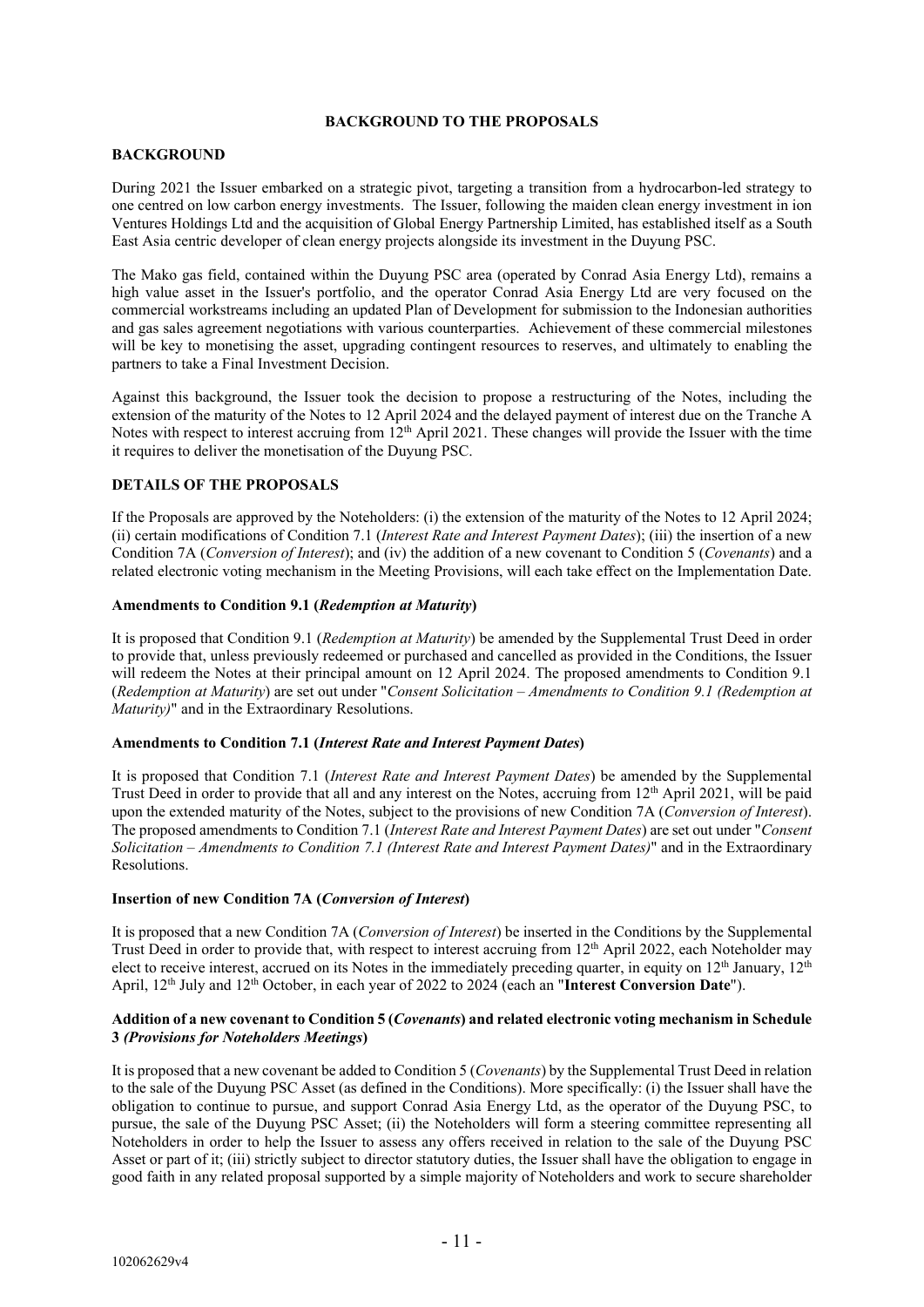# **BACKGROUND TO THE PROPOSALS**

# **BACKGROUND**

During 2021 the Issuer embarked on a strategic pivot, targeting a transition from a hydrocarbon-led strategy to one centred on low carbon energy investments. The Issuer, following the maiden clean energy investment in ion Ventures Holdings Ltd and the acquisition of Global Energy Partnership Limited, has established itself as a South East Asia centric developer of clean energy projects alongside its investment in the Duyung PSC.

The Mako gas field, contained within the Duyung PSC area (operated by Conrad Asia Energy Ltd), remains a high value asset in the Issuer's portfolio, and the operator Conrad Asia Energy Ltd are very focused on the commercial workstreams including an updated Plan of Development for submission to the Indonesian authorities and gas sales agreement negotiations with various counterparties. Achievement of these commercial milestones will be key to monetising the asset, upgrading contingent resources to reserves, and ultimately to enabling the partners to take a Final Investment Decision.

Against this background, the Issuer took the decision to propose a restructuring of the Notes, including the extension of the maturity of the Notes to 12 April 2024 and the delayed payment of interest due on the Tranche A Notes with respect to interest accruing from 12<sup>th</sup> April 2021. These changes will provide the Issuer with the time it requires to deliver the monetisation of the Duyung PSC.

# **DETAILS OF THE PROPOSALS**

If the Proposals are approved by the Noteholders: (i) the extension of the maturity of the Notes to 12 April 2024; (ii) certain modifications of Condition 7.1 (*Interest Rate and Interest Payment Dates*); (iii) the insertion of a new Condition 7A (*Conversion of Interest*); and (iv) the addition of a new covenant to Condition 5 (*Covenants*) and a related electronic voting mechanism in the Meeting Provisions, will each take effect on the Implementation Date.

# **Amendments to Condition 9.1 (***Redemption at Maturity***)**

It is proposed that Condition 9.1 (*Redemption at Maturity*) be amended by the Supplemental Trust Deed in order to provide that, unless previously redeemed or purchased and cancelled as provided in the Conditions, the Issuer will redeem the Notes at their principal amount on 12 April 2024. The proposed amendments to Condition 9.1 (*Redemption at Maturity*) are set out under "*Consent Solicitation – Amendments to Condition 9.1 (Redemption at Maturity)*" and in the Extraordinary Resolutions.

# **Amendments to Condition 7.1 (***Interest Rate and Interest Payment Dates***)**

It is proposed that Condition 7.1 (*Interest Rate and Interest Payment Dates*) be amended by the Supplemental Trust Deed in order to provide that all and any interest on the Notes, accruing from 12<sup>th</sup> April 2021, will be paid upon the extended maturity of the Notes, subject to the provisions of new Condition 7A (*Conversion of Interest*). The proposed amendments to Condition 7.1 (*Interest Rate and Interest Payment Dates*) are set out under "*Consent Solicitation – Amendments to Condition 7.1 (Interest Rate and Interest Payment Dates)*" and in the Extraordinary Resolutions.

# **Insertion of new Condition 7A (***Conversion of Interest***)**

It is proposed that a new Condition 7A (*Conversion of Interest*) be inserted in the Conditions by the Supplemental Trust Deed in order to provide that, with respect to interest accruing from 12th April 2022, each Noteholder may elect to receive interest, accrued on its Notes in the immediately preceding quarter, in equity on  $12<sup>th</sup>$  January,  $12<sup>th</sup>$ April, 12th July and 12th October, in each year of 2022 to 2024 (each an "**Interest Conversion Date**").

# **Addition of a new covenant to Condition 5 (***Covenants***) and related electronic voting mechanism in Schedule 3** *(Provisions for Noteholders Meetings***)**

It is proposed that a new covenant be added to Condition 5 (*Covenants*) by the Supplemental Trust Deed in relation to the sale of the Duyung PSC Asset (as defined in the Conditions). More specifically: (i) the Issuer shall have the obligation to continue to pursue, and support Conrad Asia Energy Ltd, as the operator of the Duyung PSC, to pursue, the sale of the Duyung PSC Asset; (ii) the Noteholders will form a steering committee representing all Noteholders in order to help the Issuer to assess any offers received in relation to the sale of the Duyung PSC Asset or part of it; (iii) strictly subject to director statutory duties, the Issuer shall have the obligation to engage in good faith in any related proposal supported by a simple majority of Noteholders and work to secure shareholder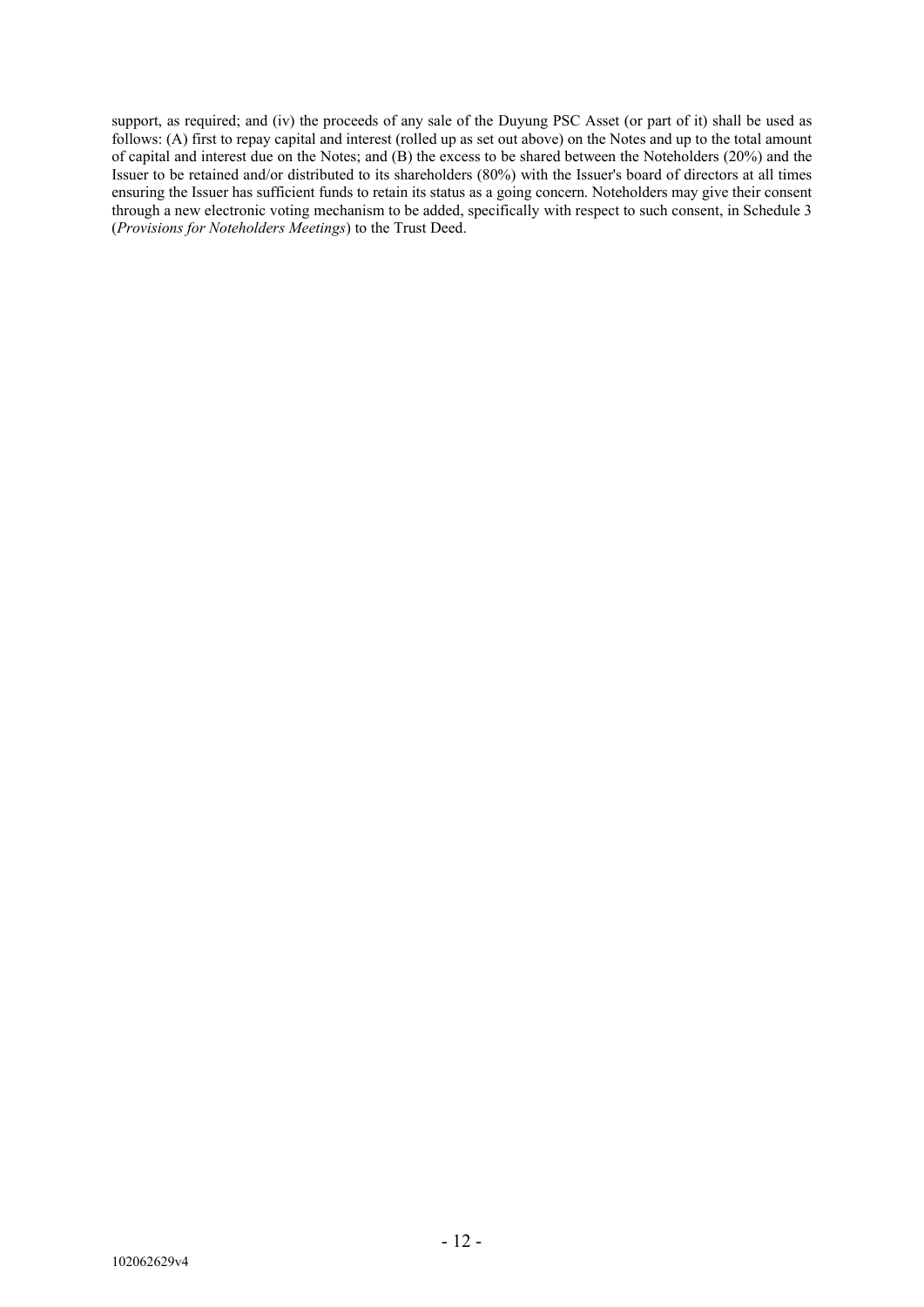support, as required; and (iv) the proceeds of any sale of the Duyung PSC Asset (or part of it) shall be used as follows: (A) first to repay capital and interest (rolled up as set out above) on the Notes and up to the total amount of capital and interest due on the Notes; and (B) the excess to be shared between the Noteholders (20%) and the Issuer to be retained and/or distributed to its shareholders (80%) with the Issuer's board of directors at all times ensuring the Issuer has sufficient funds to retain its status as a going concern. Noteholders may give their consent through a new electronic voting mechanism to be added, specifically with respect to such consent, in Schedule 3 (*Provisions for Noteholders Meetings*) to the Trust Deed.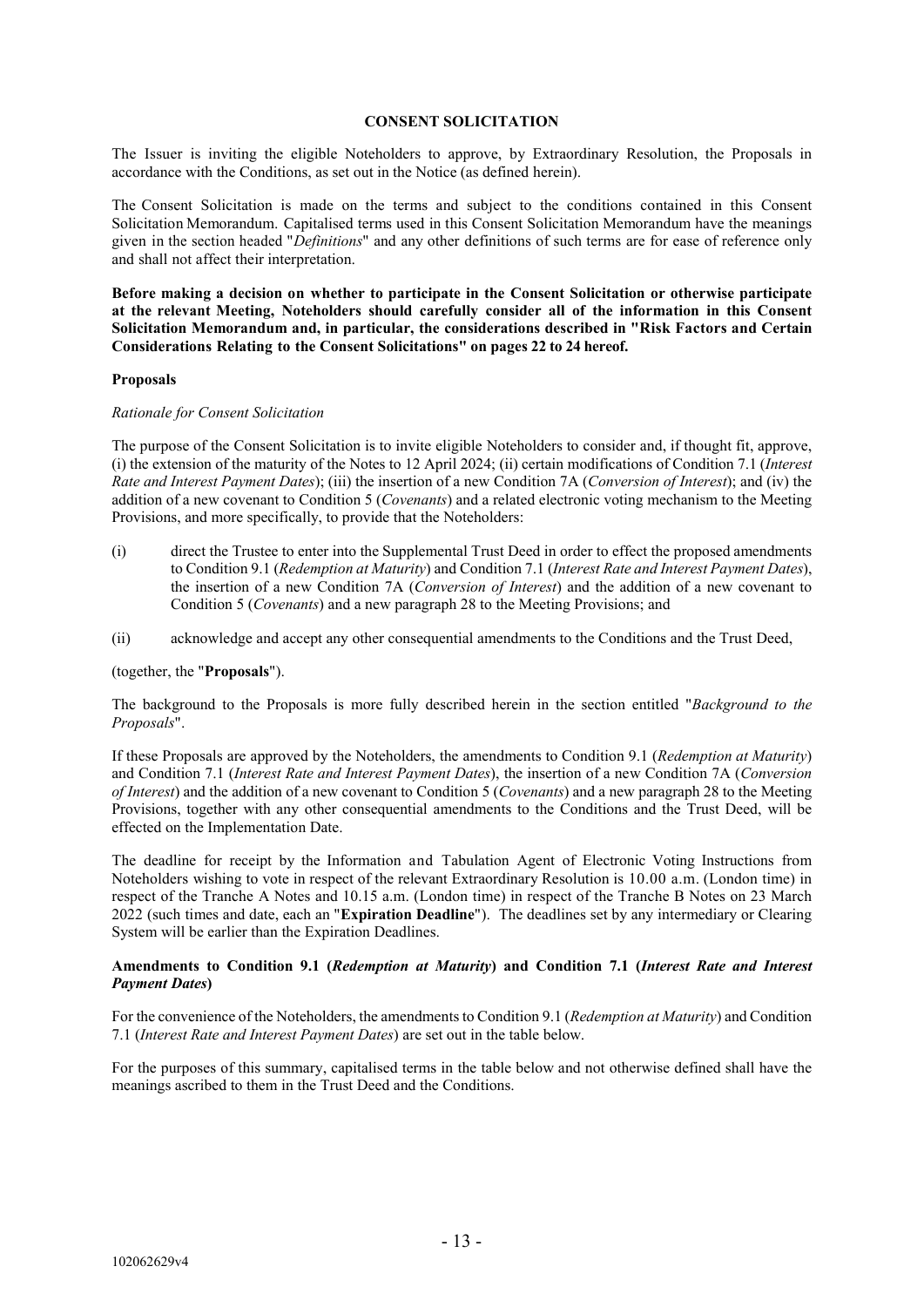#### **CONSENT SOLICITATION**

The Issuer is inviting the eligible Noteholders to approve, by Extraordinary Resolution, the Proposals in accordance with the Conditions, as set out in the Notice (as defined herein).

The Consent Solicitation is made on the terms and subject to the conditions contained in this Consent Solicitation Memorandum. Capitalised terms used in this Consent Solicitation Memorandum have the meanings given in the section headed "*Definitions*" and any other definitions of such terms are for ease of reference only and shall not affect their interpretation.

**Before making a decision on whether to participate in the Consent Solicitation or otherwise participate at the relevant Meeting, Noteholders should carefully consider all of the information in this Consent Solicitation Memorandum and, in particular, the considerations described in "Risk Factors and Certain Considerations Relating to the Consent Solicitations" on pages 22 to 24 hereof.**

#### **Proposals**

#### *Rationale for Consent Solicitation*

The purpose of the Consent Solicitation is to invite eligible Noteholders to consider and, if thought fit, approve, (i) the extension of the maturity of the Notes to 12 April 2024; (ii) certain modifications of Condition 7.1 (*Interest Rate and Interest Payment Dates*); (iii) the insertion of a new Condition 7A (*Conversion of Interest*); and (iv) the addition of a new covenant to Condition 5 (*Covenants*) and a related electronic voting mechanism to the Meeting Provisions, and more specifically, to provide that the Noteholders:

- (i) direct the Trustee to enter into the Supplemental Trust Deed in order to effect the proposed amendments to Condition 9.1 (*Redemption at Maturity*) and Condition 7.1 (*Interest Rate and Interest Payment Dates*), the insertion of a new Condition 7A (*Conversion of Interest*) and the addition of a new covenant to Condition 5 (*Covenants*) and a new paragraph 28 to the Meeting Provisions; and
- (ii) acknowledge and accept any other consequential amendments to the Conditions and the Trust Deed,

#### (together, the "**Proposals**").

The background to the Proposals is more fully described herein in the section entitled "*Background to the Proposals*".

If these Proposals are approved by the Noteholders, the amendments to Condition 9.1 (*Redemption at Maturity*) and Condition 7.1 (*Interest Rate and Interest Payment Dates*), the insertion of a new Condition 7A (*Conversion of Interest*) and the addition of a new covenant to Condition 5 (*Covenants*) and a new paragraph 28 to the Meeting Provisions, together with any other consequential amendments to the Conditions and the Trust Deed, will be effected on the Implementation Date.

The deadline for receipt by the Information and Tabulation Agent of Electronic Voting Instructions from Noteholders wishing to vote in respect of the relevant Extraordinary Resolution is 10.00 a.m. (London time) in respect of the Tranche A Notes and 10.15 a.m. (London time) in respect of the Tranche B Notes on 23 March 2022 (such times and date, each an "**Expiration Deadline**"). The deadlines set by any intermediary or Clearing System will be earlier than the Expiration Deadlines.

# **Amendments to Condition 9.1 (***Redemption at Maturity***) and Condition 7.1 (***Interest Rate and Interest Payment Dates***)**

For the convenience of the Noteholders, the amendments to Condition 9.1 (*Redemption at Maturity*) and Condition 7.1 (*Interest Rate and Interest Payment Dates*) are set out in the table below.

For the purposes of this summary, capitalised terms in the table below and not otherwise defined shall have the meanings ascribed to them in the Trust Deed and the Conditions.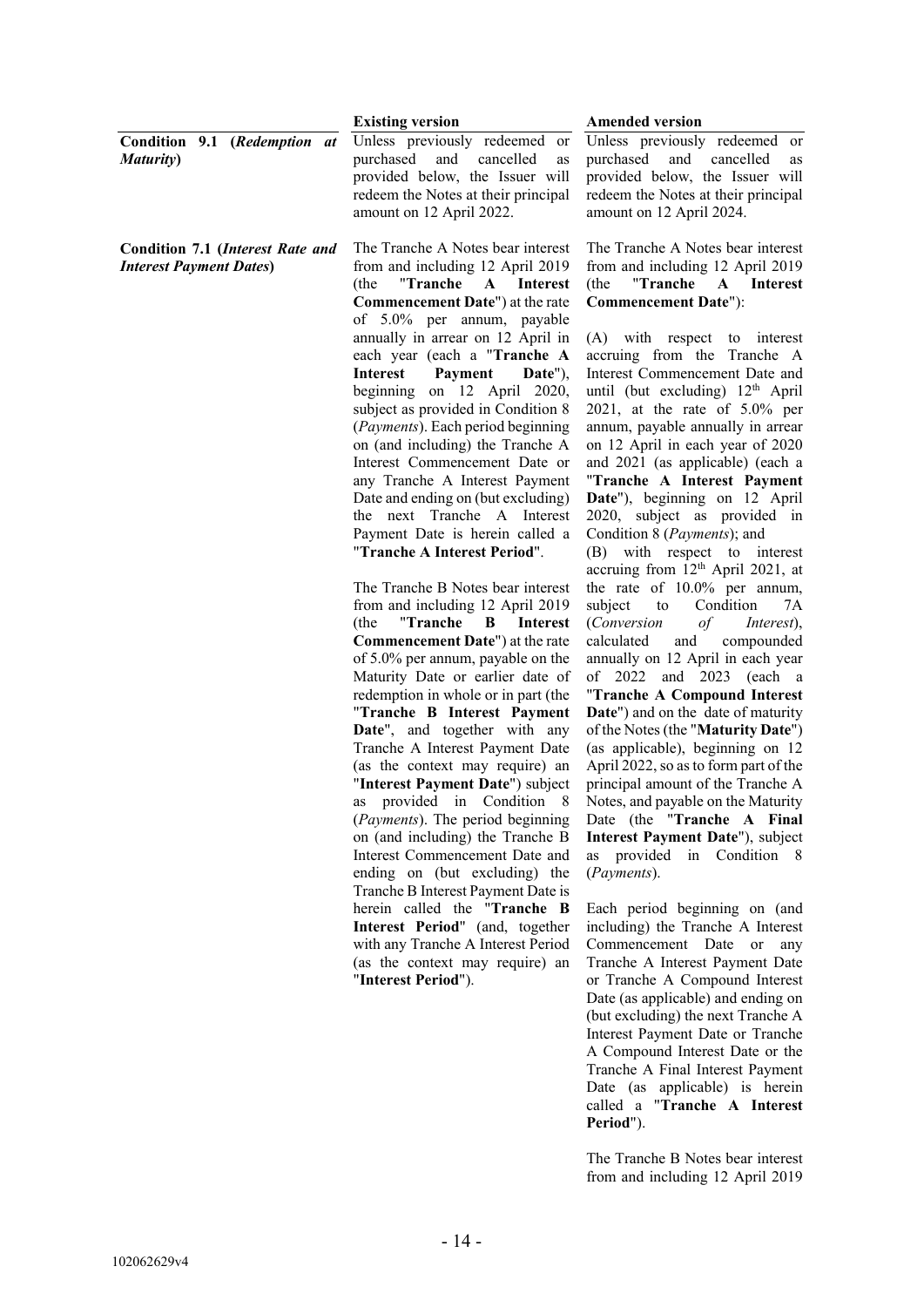|                                                                           | <b>Existing version</b>                                                                                                                                                                                                                                                                                                                                                                                                                                                                                                                                                                                                        | <b>Amended version</b>                                                                                                                                                                                                                                                                                                                                                                                                                                                                                                                                                                                                                                 |
|---------------------------------------------------------------------------|--------------------------------------------------------------------------------------------------------------------------------------------------------------------------------------------------------------------------------------------------------------------------------------------------------------------------------------------------------------------------------------------------------------------------------------------------------------------------------------------------------------------------------------------------------------------------------------------------------------------------------|--------------------------------------------------------------------------------------------------------------------------------------------------------------------------------------------------------------------------------------------------------------------------------------------------------------------------------------------------------------------------------------------------------------------------------------------------------------------------------------------------------------------------------------------------------------------------------------------------------------------------------------------------------|
| Condition 9.1 (Redemption at<br><b>Maturity</b> )                         | Unless previously redeemed or<br>purchased<br>and<br>cancelled<br>as<br>provided below, the Issuer will<br>redeem the Notes at their principal<br>amount on 12 April 2022.                                                                                                                                                                                                                                                                                                                                                                                                                                                     | Unless previously redeemed or<br>purchased<br>and<br>cancelled<br>as<br>provided below, the Issuer will<br>redeem the Notes at their principal<br>amount on 12 April 2024.                                                                                                                                                                                                                                                                                                                                                                                                                                                                             |
| <b>Condition 7.1 (Interest Rate and</b><br><b>Interest Payment Dates)</b> | The Tranche A Notes bear interest<br>from and including 12 April 2019<br>"Tranche<br>${\bf A}$<br><b>Interest</b><br>(the<br><b>Commencement Date"</b> ) at the rate<br>of 5.0% per annum, payable                                                                                                                                                                                                                                                                                                                                                                                                                             | The Tranche A Notes bear interest<br>from and including 12 April 2019<br>"Tranche<br>A Interest<br>(the<br><b>Commencement Date"</b> ):                                                                                                                                                                                                                                                                                                                                                                                                                                                                                                                |
|                                                                           | annually in arrear on 12 April in<br>each year (each a "Tranche A<br><b>Interest</b><br>Payment<br>Date"),<br>beginning on 12 April 2020,<br>subject as provided in Condition 8<br>(Payments). Each period beginning<br>on (and including) the Tranche A<br>Interest Commencement Date or<br>any Tranche A Interest Payment<br>Date and ending on (but excluding)<br>the next Tranche A Interest<br>Payment Date is herein called a<br>"Tranche A Interest Period".                                                                                                                                                            | (A)<br>with respect to interest<br>accruing from the Tranche A<br>Interest Commencement Date and<br>until (but excluding) 12 <sup>th</sup> April<br>$2021$ , at the rate of $5.0\%$ per<br>annum, payable annually in arrear<br>on 12 April in each year of 2020<br>and 2021 (as applicable) (each a<br>"Tranche A Interest Payment<br>Date"), beginning on 12 April<br>2020, subject as provided in<br>Condition 8 (Payments); and<br>(B) with respect to interest                                                                                                                                                                                    |
|                                                                           | The Tranche B Notes bear interest<br>from and including 12 April 2019<br>"Tranche<br>B<br><b>Interest</b><br>(the<br><b>Commencement Date"</b> ) at the rate<br>of 5.0% per annum, payable on the<br>Maturity Date or earlier date of<br>redemption in whole or in part (the<br>"Tranche B Interest Payment<br>Date", and together with any<br>Tranche A Interest Payment Date<br>(as the context may require) an<br>"Interest Payment Date") subject<br>as provided in Condition 8<br>(Payments). The period beginning<br>on (and including) the Tranche B<br>Interest Commencement Date and<br>ending on (but excluding) the | accruing from 12 <sup>th</sup> April 2021, at<br>the rate of 10.0% per annum,<br>Condition<br>subject<br>7A<br>to<br>(Conversion<br>of<br>Interest),<br>calculated<br>compounded<br>and<br>annually on 12 April in each year<br>and 2023 (each a<br>of 2022<br>"Tranche A Compound Interest<br><b>Date"</b> ) and on the date of maturity<br>of the Notes (the "Maturity Date")<br>(as applicable), beginning on 12<br>April 2022, so as to form part of the<br>principal amount of the Tranche A<br>Notes, and payable on the Maturity<br>Date (the "Tranche A Final<br>Interest Payment Date"), subject<br>as provided in Condition 8<br>(Payments). |
|                                                                           | Tranche B Interest Payment Date is<br>herein called the "Tranche B<br>Interest Period" (and, together<br>with any Tranche A Interest Period<br>(as the context may require) an<br>"Interest Period").                                                                                                                                                                                                                                                                                                                                                                                                                          | Each period beginning on (and<br>including) the Tranche A Interest<br>Commencement Date or<br>any<br>Tranche A Interest Payment Date<br>or Tranche A Compound Interest<br>Date (as applicable) and ending on<br>(but excluding) the next Tranche A<br>Interest Payment Date or Tranche                                                                                                                                                                                                                                                                                                                                                                 |

A Compound Interest Date or the Tranche A Final Interest Payment Date (as applicable) is herein called a "**Tranche A Interest Period**").

The Tranche B Notes bear interest from and including 12 April 2019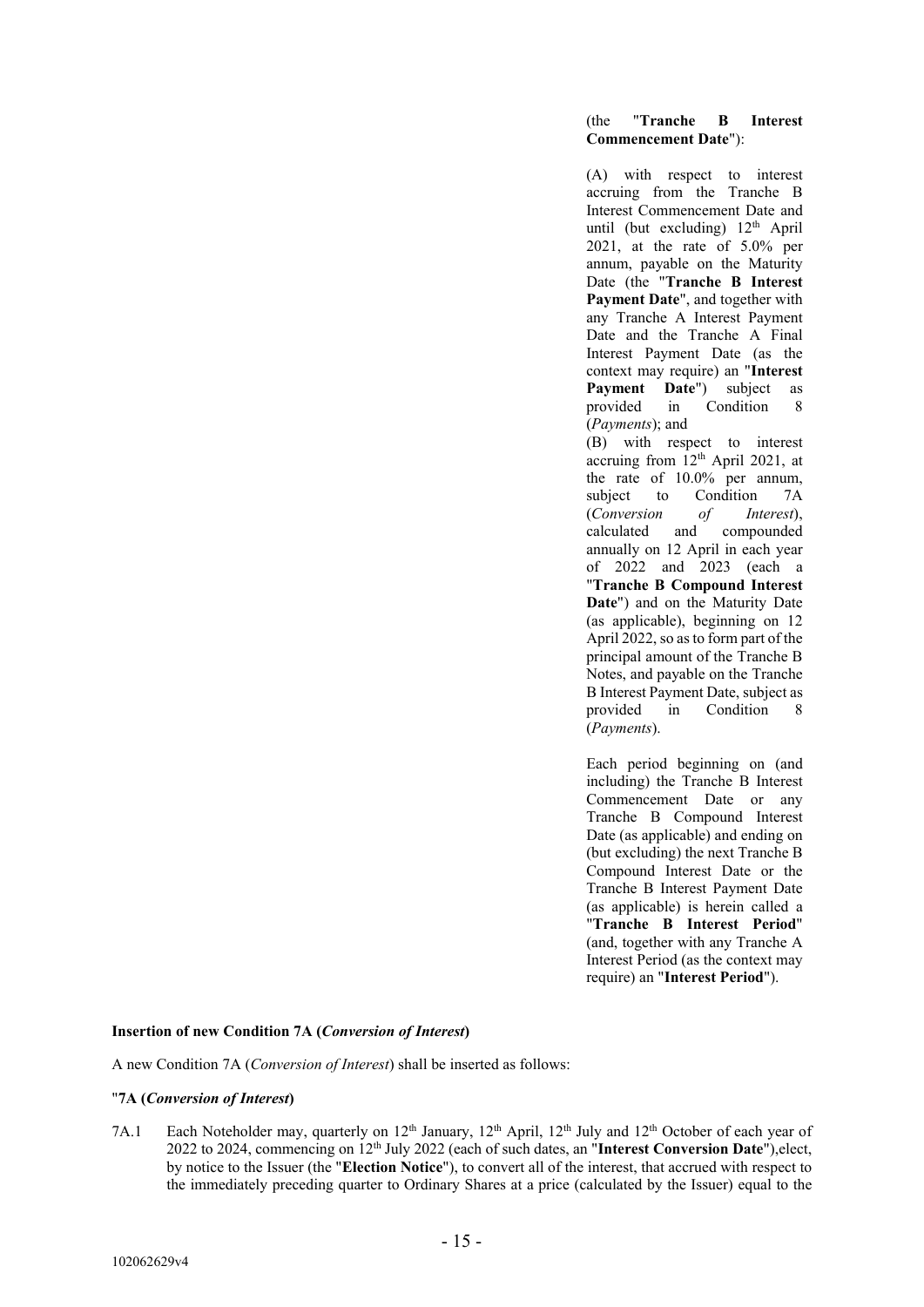# (the "**Tranche B Interest Commencement Date**"):

(A) with respect to interest accruing from the Tranche B Interest Commencement Date and until (but excluding)  $12<sup>th</sup>$  April 2021, at the rate of 5.0% per annum, payable on the Maturity Date (the "**Tranche B Interest Payment Date**", and together with any Tranche A Interest Payment Date and the Tranche A Final Interest Payment Date (as the context may require) an "**Interest Payment Date"**) subject as<br>provided in Condition 8 in Condition 8 (*Payments*); and

(B) with respect to interest accruing from  $12<sup>th</sup>$  April 2021, at the rate of 10.0% per annum, subject to Condition 7A (*Conversion of Interest*), calculated and compounded annually on 12 April in each year of 2022 and 2023 (each a "**Tranche B Compound Interest Date**") and on the Maturity Date (as applicable), beginning on 12 April 2022, so as to form part of the principal amount of the Tranche B Notes, and payable on the Tranche B Interest Payment Date, subject as provided in Condition 8 (*Payments*).

Each period beginning on (and including) the Tranche B Interest Commencement Date or any Tranche B Compound Interest Date (as applicable) and ending on (but excluding) the next Tranche B Compound Interest Date or the Tranche B Interest Payment Date (as applicable) is herein called a "**Tranche B Interest Period**" (and, together with any Tranche A Interest Period (as the context may require) an "**Interest Period**").

# **Insertion of new Condition 7A (***Conversion of Interest***)**

A new Condition 7A (*Conversion of Interest*) shall be inserted as follows:

# "**7A (***Conversion of Interest***)**

7A.1 Each Noteholder may, quarterly on 12<sup>th</sup> January, 12<sup>th</sup> April, 12<sup>th</sup> July and 12<sup>th</sup> October of each year of 2022 to 2024, commencing on 12th July 2022 (each of such dates, an "**Interest Conversion Date**"),elect, by notice to the Issuer (the "**Election Notice**"), to convert all of the interest, that accrued with respect to the immediately preceding quarter to Ordinary Shares at a price (calculated by the Issuer) equal to the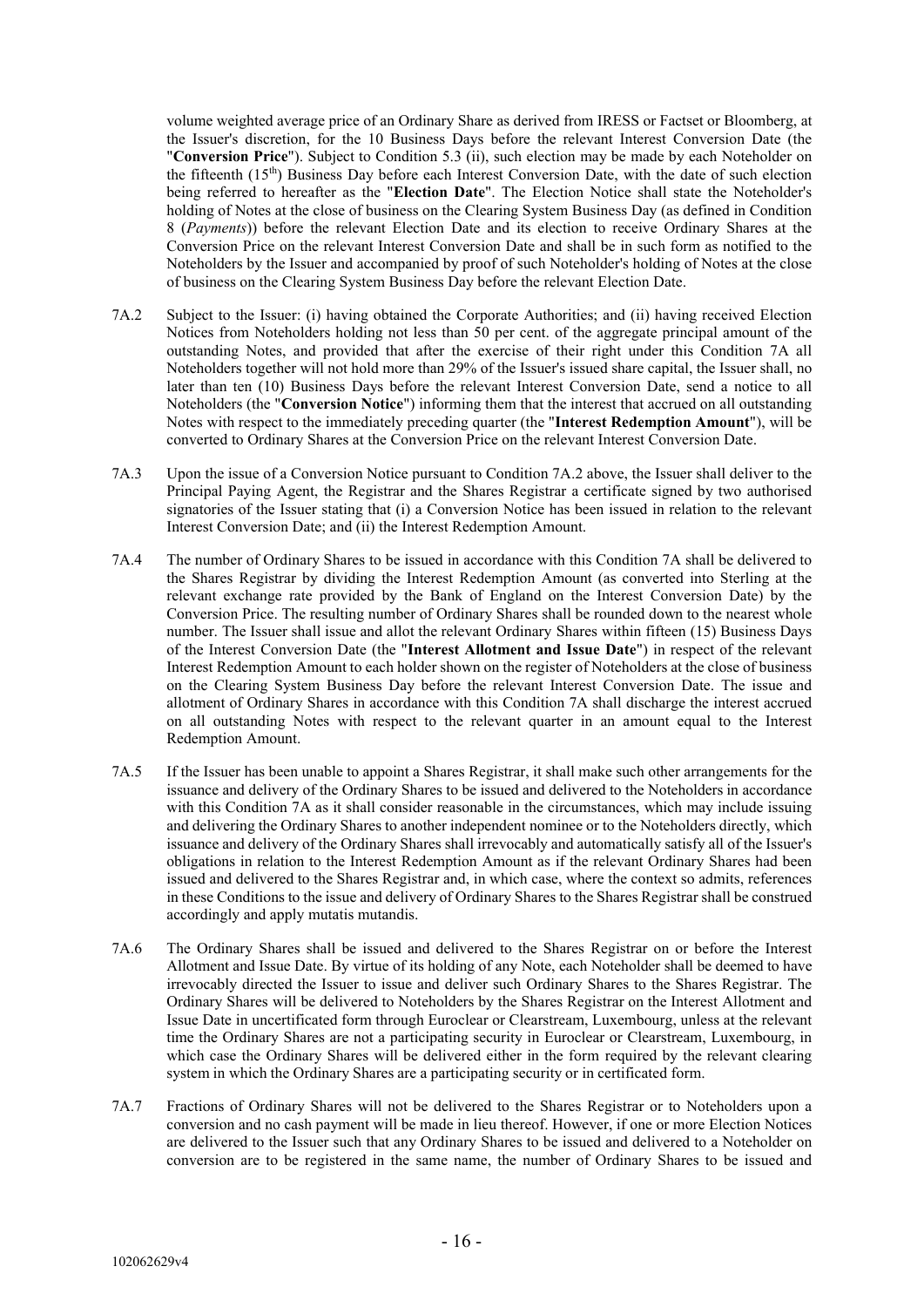volume weighted average price of an Ordinary Share as derived from IRESS or Factset or Bloomberg, at the Issuer's discretion, for the 10 Business Days before the relevant Interest Conversion Date (the "**Conversion Price**"). Subject to Condition 5.3 (ii), such election may be made by each Noteholder on the fifteenth (15<sup>th</sup>) Business Day before each Interest Conversion Date, with the date of such election being referred to hereafter as the "**Election Date**". The Election Notice shall state the Noteholder's holding of Notes at the close of business on the Clearing System Business Day (as defined in Condition 8 (*Payments*)) before the relevant Election Date and its election to receive Ordinary Shares at the Conversion Price on the relevant Interest Conversion Date and shall be in such form as notified to the Noteholders by the Issuer and accompanied by proof of such Noteholder's holding of Notes at the close of business on the Clearing System Business Day before the relevant Election Date.

- 7A.2 Subject to the Issuer: (i) having obtained the Corporate Authorities; and (ii) having received Election Notices from Noteholders holding not less than 50 per cent. of the aggregate principal amount of the outstanding Notes, and provided that after the exercise of their right under this Condition 7A all Noteholders together will not hold more than 29% of the Issuer's issued share capital, the Issuer shall, no later than ten (10) Business Days before the relevant Interest Conversion Date, send a notice to all Noteholders (the "**Conversion Notice**") informing them that the interest that accrued on all outstanding Notes with respect to the immediately preceding quarter (the "**Interest Redemption Amount**"), will be converted to Ordinary Shares at the Conversion Price on the relevant Interest Conversion Date.
- 7A.3 Upon the issue of a Conversion Notice pursuant to Condition 7A.2 above, the Issuer shall deliver to the Principal Paying Agent, the Registrar and the Shares Registrar a certificate signed by two authorised signatories of the Issuer stating that (i) a Conversion Notice has been issued in relation to the relevant Interest Conversion Date; and (ii) the Interest Redemption Amount.
- 7A.4 The number of Ordinary Shares to be issued in accordance with this Condition 7A shall be delivered to the Shares Registrar by dividing the Interest Redemption Amount (as converted into Sterling at the relevant exchange rate provided by the Bank of England on the Interest Conversion Date) by the Conversion Price. The resulting number of Ordinary Shares shall be rounded down to the nearest whole number. The Issuer shall issue and allot the relevant Ordinary Shares within fifteen (15) Business Days of the Interest Conversion Date (the "**Interest Allotment and Issue Date**") in respect of the relevant Interest Redemption Amount to each holder shown on the register of Noteholders at the close of business on the Clearing System Business Day before the relevant Interest Conversion Date. The issue and allotment of Ordinary Shares in accordance with this Condition 7A shall discharge the interest accrued on all outstanding Notes with respect to the relevant quarter in an amount equal to the Interest Redemption Amount.
- 7A.5 If the Issuer has been unable to appoint a Shares Registrar, it shall make such other arrangements for the issuance and delivery of the Ordinary Shares to be issued and delivered to the Noteholders in accordance with this Condition 7A as it shall consider reasonable in the circumstances, which may include issuing and delivering the Ordinary Shares to another independent nominee or to the Noteholders directly, which issuance and delivery of the Ordinary Shares shall irrevocably and automatically satisfy all of the Issuer's obligations in relation to the Interest Redemption Amount as if the relevant Ordinary Shares had been issued and delivered to the Shares Registrar and, in which case, where the context so admits, references in these Conditions to the issue and delivery of Ordinary Shares to the Shares Registrar shall be construed accordingly and apply mutatis mutandis.
- 7A.6 The Ordinary Shares shall be issued and delivered to the Shares Registrar on or before the Interest Allotment and Issue Date. By virtue of its holding of any Note, each Noteholder shall be deemed to have irrevocably directed the Issuer to issue and deliver such Ordinary Shares to the Shares Registrar. The Ordinary Shares will be delivered to Noteholders by the Shares Registrar on the Interest Allotment and Issue Date in uncertificated form through Euroclear or Clearstream, Luxembourg, unless at the relevant time the Ordinary Shares are not a participating security in Euroclear or Clearstream, Luxembourg, in which case the Ordinary Shares will be delivered either in the form required by the relevant clearing system in which the Ordinary Shares are a participating security or in certificated form.
- 7A.7 Fractions of Ordinary Shares will not be delivered to the Shares Registrar or to Noteholders upon a conversion and no cash payment will be made in lieu thereof. However, if one or more Election Notices are delivered to the Issuer such that any Ordinary Shares to be issued and delivered to a Noteholder on conversion are to be registered in the same name, the number of Ordinary Shares to be issued and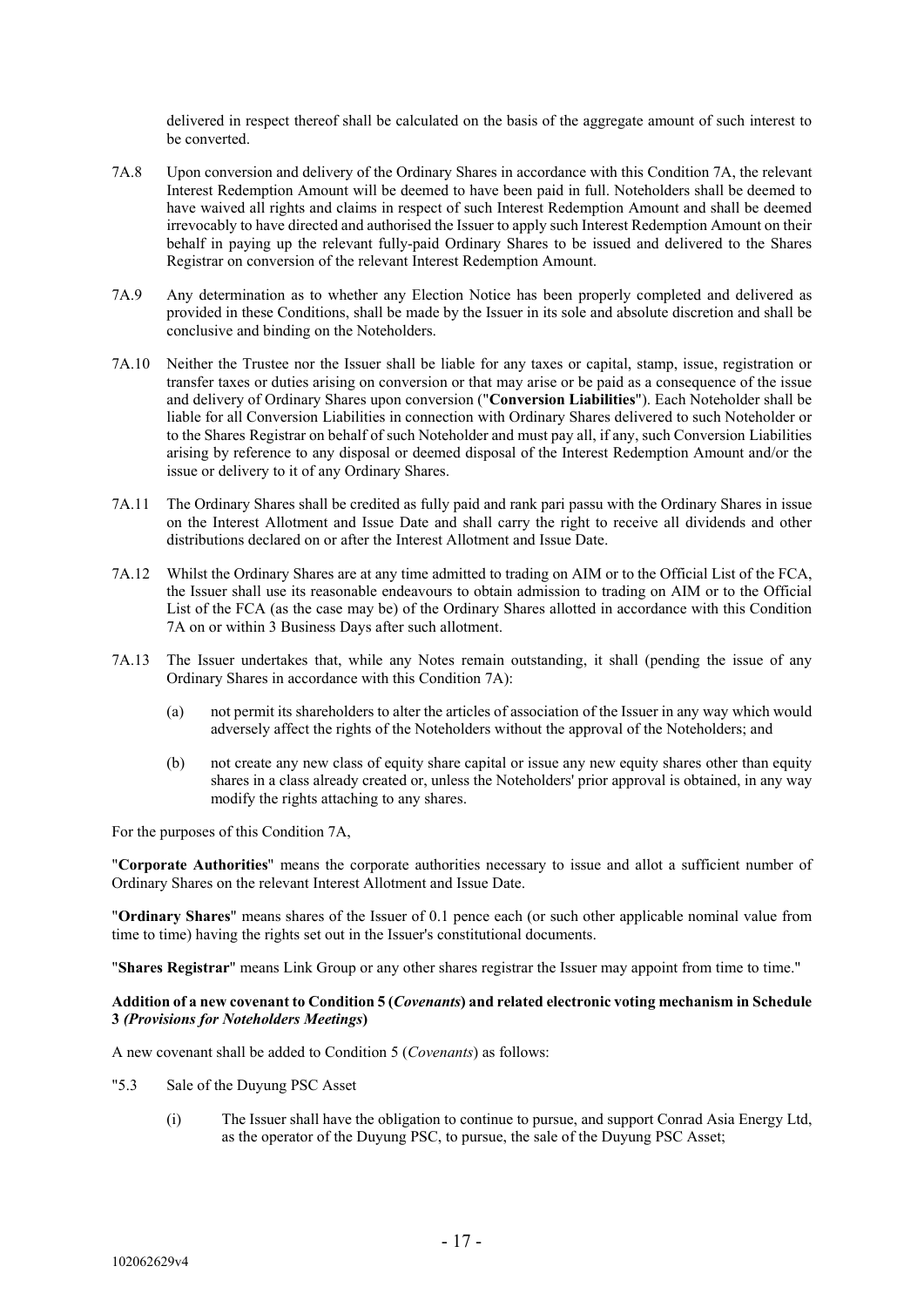delivered in respect thereof shall be calculated on the basis of the aggregate amount of such interest to be converted.

- 7A.8 Upon conversion and delivery of the Ordinary Shares in accordance with this Condition 7A, the relevant Interest Redemption Amount will be deemed to have been paid in full. Noteholders shall be deemed to have waived all rights and claims in respect of such Interest Redemption Amount and shall be deemed irrevocably to have directed and authorised the Issuer to apply such Interest Redemption Amount on their behalf in paying up the relevant fully-paid Ordinary Shares to be issued and delivered to the Shares Registrar on conversion of the relevant Interest Redemption Amount.
- 7A.9 Any determination as to whether any Election Notice has been properly completed and delivered as provided in these Conditions, shall be made by the Issuer in its sole and absolute discretion and shall be conclusive and binding on the Noteholders.
- 7A.10 Neither the Trustee nor the Issuer shall be liable for any taxes or capital, stamp, issue, registration or transfer taxes or duties arising on conversion or that may arise or be paid as a consequence of the issue and delivery of Ordinary Shares upon conversion ("**Conversion Liabilities**"). Each Noteholder shall be liable for all Conversion Liabilities in connection with Ordinary Shares delivered to such Noteholder or to the Shares Registrar on behalf of such Noteholder and must pay all, if any, such Conversion Liabilities arising by reference to any disposal or deemed disposal of the Interest Redemption Amount and/or the issue or delivery to it of any Ordinary Shares.
- 7A.11 The Ordinary Shares shall be credited as fully paid and rank pari passu with the Ordinary Shares in issue on the Interest Allotment and Issue Date and shall carry the right to receive all dividends and other distributions declared on or after the Interest Allotment and Issue Date.
- 7A.12 Whilst the Ordinary Shares are at any time admitted to trading on AIM or to the Official List of the FCA, the Issuer shall use its reasonable endeavours to obtain admission to trading on AIM or to the Official List of the FCA (as the case may be) of the Ordinary Shares allotted in accordance with this Condition 7A on or within 3 Business Days after such allotment.
- 7A.13 The Issuer undertakes that, while any Notes remain outstanding, it shall (pending the issue of any Ordinary Shares in accordance with this Condition 7A):
	- (a) not permit its shareholders to alter the articles of association of the Issuer in any way which would adversely affect the rights of the Noteholders without the approval of the Noteholders; and
	- (b) not create any new class of equity share capital or issue any new equity shares other than equity shares in a class already created or, unless the Noteholders' prior approval is obtained, in any way modify the rights attaching to any shares.

For the purposes of this Condition 7A,

"**Corporate Authorities**" means the corporate authorities necessary to issue and allot a sufficient number of Ordinary Shares on the relevant Interest Allotment and Issue Date.

"**Ordinary Shares**" means shares of the Issuer of 0.1 pence each (or such other applicable nominal value from time to time) having the rights set out in the Issuer's constitutional documents.

"**Shares Registrar**" means Link Group or any other shares registrar the Issuer may appoint from time to time."

# **Addition of a new covenant to Condition 5 (***Covenants***) and related electronic voting mechanism in Schedule 3** *(Provisions for Noteholders Meetings***)**

A new covenant shall be added to Condition 5 (*Covenants*) as follows:

- "5.3 Sale of the Duyung PSC Asset
	- (i) The Issuer shall have the obligation to continue to pursue, and support Conrad Asia Energy Ltd, as the operator of the Duyung PSC, to pursue, the sale of the Duyung PSC Asset;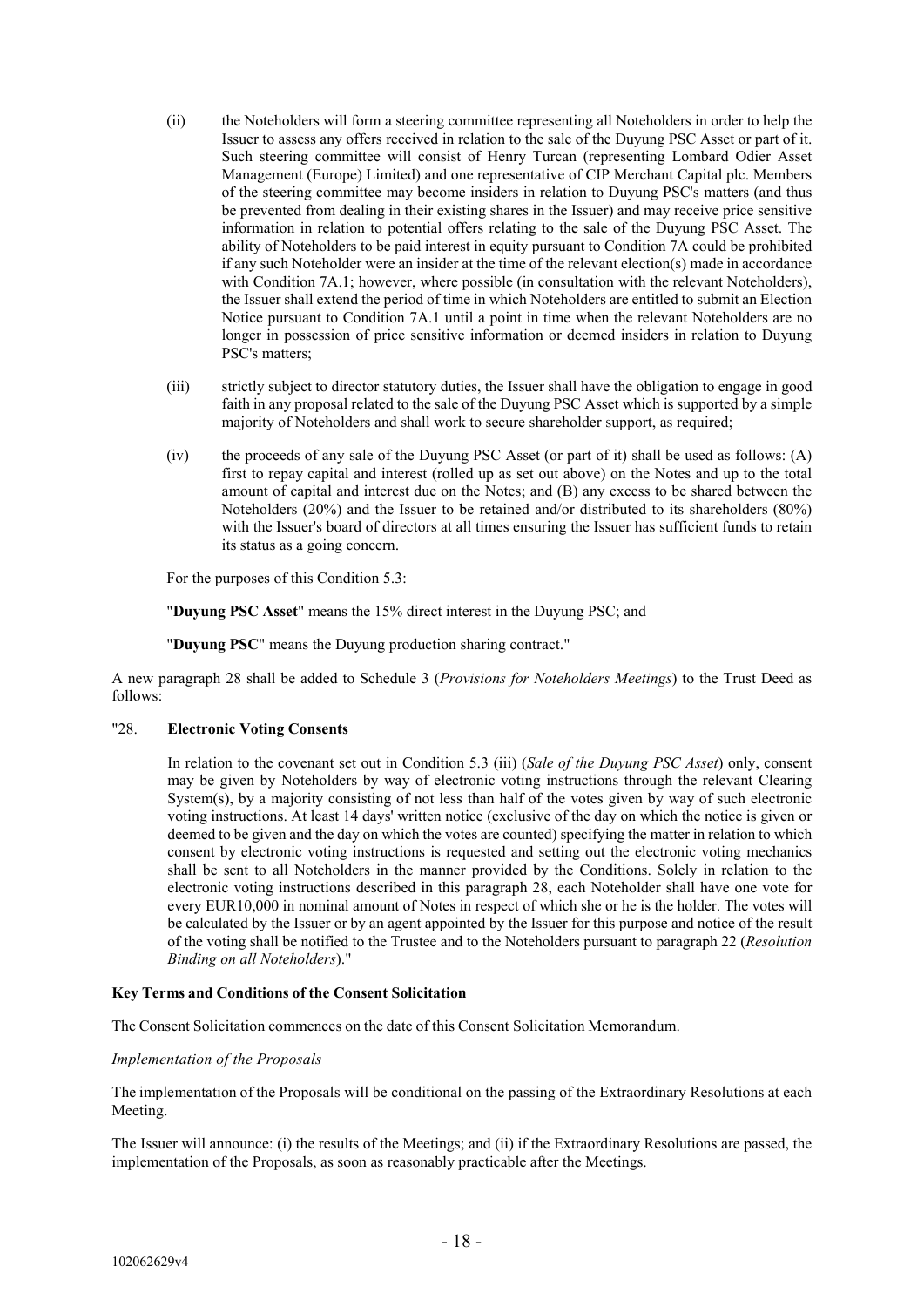- (ii) the Noteholders will form a steering committee representing all Noteholders in order to help the Issuer to assess any offers received in relation to the sale of the Duyung PSC Asset or part of it. Such steering committee will consist of Henry Turcan (representing Lombard Odier Asset Management (Europe) Limited) and one representative of CIP Merchant Capital plc. Members of the steering committee may become insiders in relation to Duyung PSC's matters (and thus be prevented from dealing in their existing shares in the Issuer) and may receive price sensitive information in relation to potential offers relating to the sale of the Duyung PSC Asset. The ability of Noteholders to be paid interest in equity pursuant to Condition 7A could be prohibited if any such Noteholder were an insider at the time of the relevant election(s) made in accordance with Condition 7A.1; however, where possible (in consultation with the relevant Noteholders), the Issuer shall extend the period of time in which Noteholders are entitled to submit an Election Notice pursuant to Condition 7A.1 until a point in time when the relevant Noteholders are no longer in possession of price sensitive information or deemed insiders in relation to Duyung PSC's matters;
- (iii) strictly subject to director statutory duties, the Issuer shall have the obligation to engage in good faith in any proposal related to the sale of the Duyung PSC Asset which is supported by a simple majority of Noteholders and shall work to secure shareholder support, as required;
- (iv) the proceeds of any sale of the Duyung PSC Asset (or part of it) shall be used as follows: (A) first to repay capital and interest (rolled up as set out above) on the Notes and up to the total amount of capital and interest due on the Notes; and (B) any excess to be shared between the Noteholders (20%) and the Issuer to be retained and/or distributed to its shareholders (80%) with the Issuer's board of directors at all times ensuring the Issuer has sufficient funds to retain its status as a going concern.

For the purposes of this Condition 5.3:

"**Duyung PSC Asset**" means the 15% direct interest in the Duyung PSC; and

"**Duyung PSC**" means the Duyung production sharing contract."

A new paragraph 28 shall be added to Schedule 3 (*Provisions for Noteholders Meetings*) to the Trust Deed as follows:

# "28. **Electronic Voting Consents**

In relation to the covenant set out in Condition 5.3 (iii) (*Sale of the Duyung PSC Asset*) only, consent may be given by Noteholders by way of electronic voting instructions through the relevant Clearing System(s), by a majority consisting of not less than half of the votes given by way of such electronic voting instructions. At least 14 days' written notice (exclusive of the day on which the notice is given or deemed to be given and the day on which the votes are counted) specifying the matter in relation to which consent by electronic voting instructions is requested and setting out the electronic voting mechanics shall be sent to all Noteholders in the manner provided by the Conditions. Solely in relation to the electronic voting instructions described in this paragraph 28, each Noteholder shall have one vote for every EUR10,000 in nominal amount of Notes in respect of which she or he is the holder. The votes will be calculated by the Issuer or by an agent appointed by the Issuer for this purpose and notice of the result of the voting shall be notified to the Trustee and to the Noteholders pursuant to paragraph 22 (*Resolution Binding on all Noteholders*)."

#### **Key Terms and Conditions of the Consent Solicitation**

The Consent Solicitation commences on the date of this Consent Solicitation Memorandum.

#### *Implementation of the Proposals*

The implementation of the Proposals will be conditional on the passing of the Extraordinary Resolutions at each Meeting.

The Issuer will announce: (i) the results of the Meetings; and (ii) if the Extraordinary Resolutions are passed, the implementation of the Proposals, as soon as reasonably practicable after the Meetings.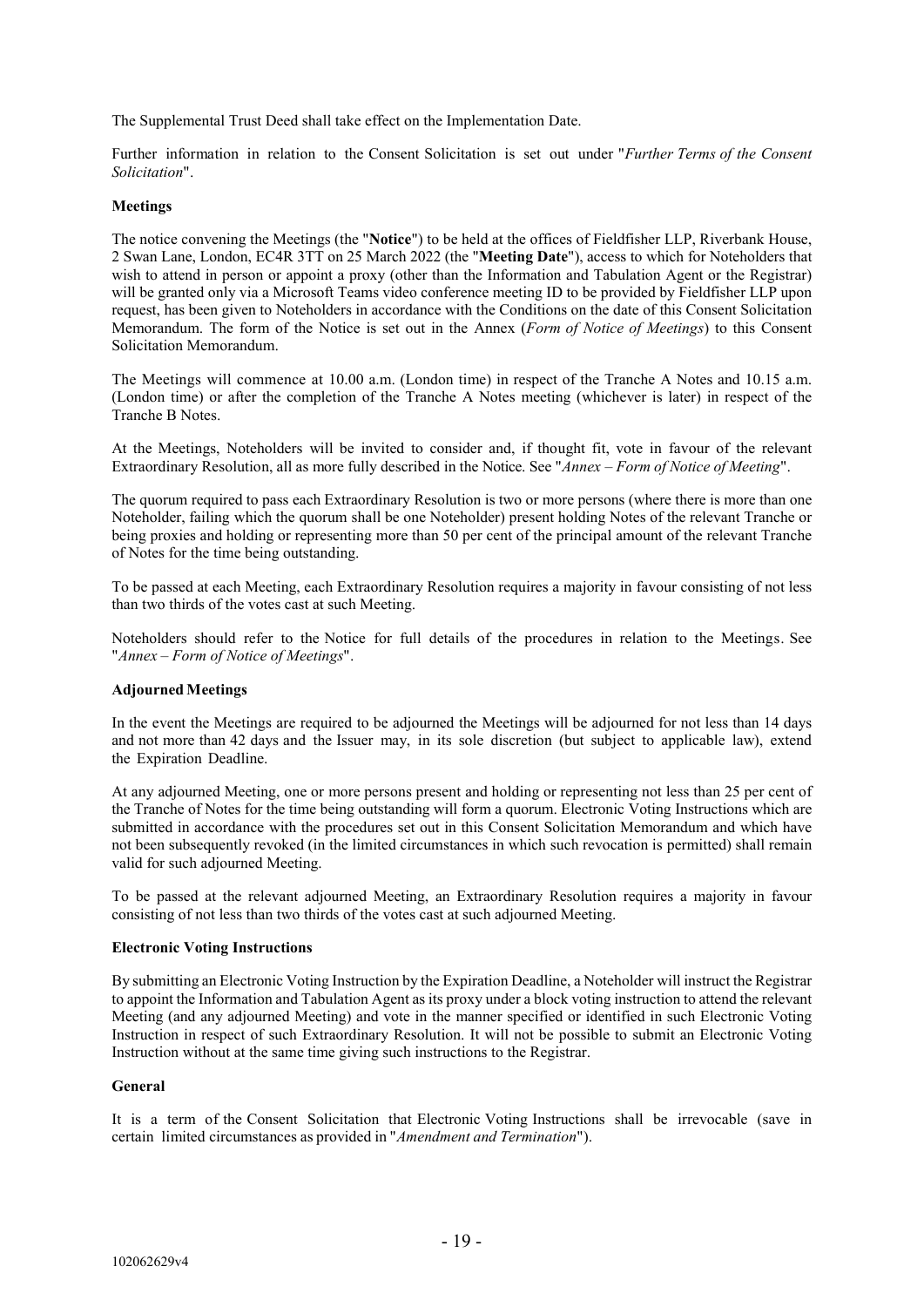The Supplemental Trust Deed shall take effect on the Implementation Date.

Further information in relation to the Consent Solicitation is set out under "*Further Terms of the Consent Solicitation*".

# **Meetings**

The notice convening the Meetings (the "**Notice**") to be held at the offices of Fieldfisher LLP, Riverbank House, 2 Swan Lane, London, EC4R 3TT on 25 March 2022 (the "**Meeting Date**"), access to which for Noteholders that wish to attend in person or appoint a proxy (other than the Information and Tabulation Agent or the Registrar) will be granted only via a Microsoft Teams video conference meeting ID to be provided by Fieldfisher LLP upon request, has been given to Noteholders in accordance with the Conditions on the date of this Consent Solicitation Memorandum. The form of the Notice is set out in the Annex (*Form of Notice of Meetings*) to this Consent Solicitation Memorandum.

The Meetings will commence at 10.00 a.m. (London time) in respect of the Tranche A Notes and 10.15 a.m. (London time) or after the completion of the Tranche A Notes meeting (whichever is later) in respect of the Tranche B Notes.

At the Meetings, Noteholders will be invited to consider and, if thought fit, vote in favour of the relevant Extraordinary Resolution, all as more fully described in the Notice. See "*Annex – Form of Notice of Meeting*".

The quorum required to pass each Extraordinary Resolution is two or more persons (where there is more than one Noteholder, failing which the quorum shall be one Noteholder) present holding Notes of the relevant Tranche or being proxies and holding or representing more than 50 per cent of the principal amount of the relevant Tranche of Notes for the time being outstanding.

To be passed at each Meeting, each Extraordinary Resolution requires a majority in favour consisting of not less than two thirds of the votes cast at such Meeting.

Noteholders should refer to the Notice for full details of the procedures in relation to the Meetings. See "*Annex – Form of Notice of Meetings*".

#### **AdjournedMeetings**

In the event the Meetings are required to be adjourned the Meetings will be adjourned for not less than 14 days and not more than 42 days and the Issuer may, in its sole discretion (but subject to applicable law), extend the Expiration Deadline.

At any adjourned Meeting, one or more persons present and holding or representing not less than 25 per cent of the Tranche of Notes for the time being outstanding will form a quorum. Electronic Voting Instructions which are submitted in accordance with the procedures set out in this Consent Solicitation Memorandum and which have not been subsequently revoked (in the limited circumstances in which such revocation is permitted) shall remain valid for such adjourned Meeting.

To be passed at the relevant adjourned Meeting, an Extraordinary Resolution requires a majority in favour consisting of not less than two thirds of the votes cast at such adjourned Meeting.

#### **Electronic Voting Instructions**

By submitting an Electronic Voting Instruction by the Expiration Deadline, a Noteholder will instruct the Registrar to appoint the Information and Tabulation Agent as its proxy under a block voting instruction to attend the relevant Meeting (and any adjourned Meeting) and vote in the manner specified or identified in such Electronic Voting Instruction in respect of such Extraordinary Resolution. It will not be possible to submit an Electronic Voting Instruction without at the same time giving such instructions to the Registrar.

# **General**

It is a term of the Consent Solicitation that Electronic Voting Instructions shall be irrevocable (save in certain limited circumstances as provided in "*Amendment and Termination*").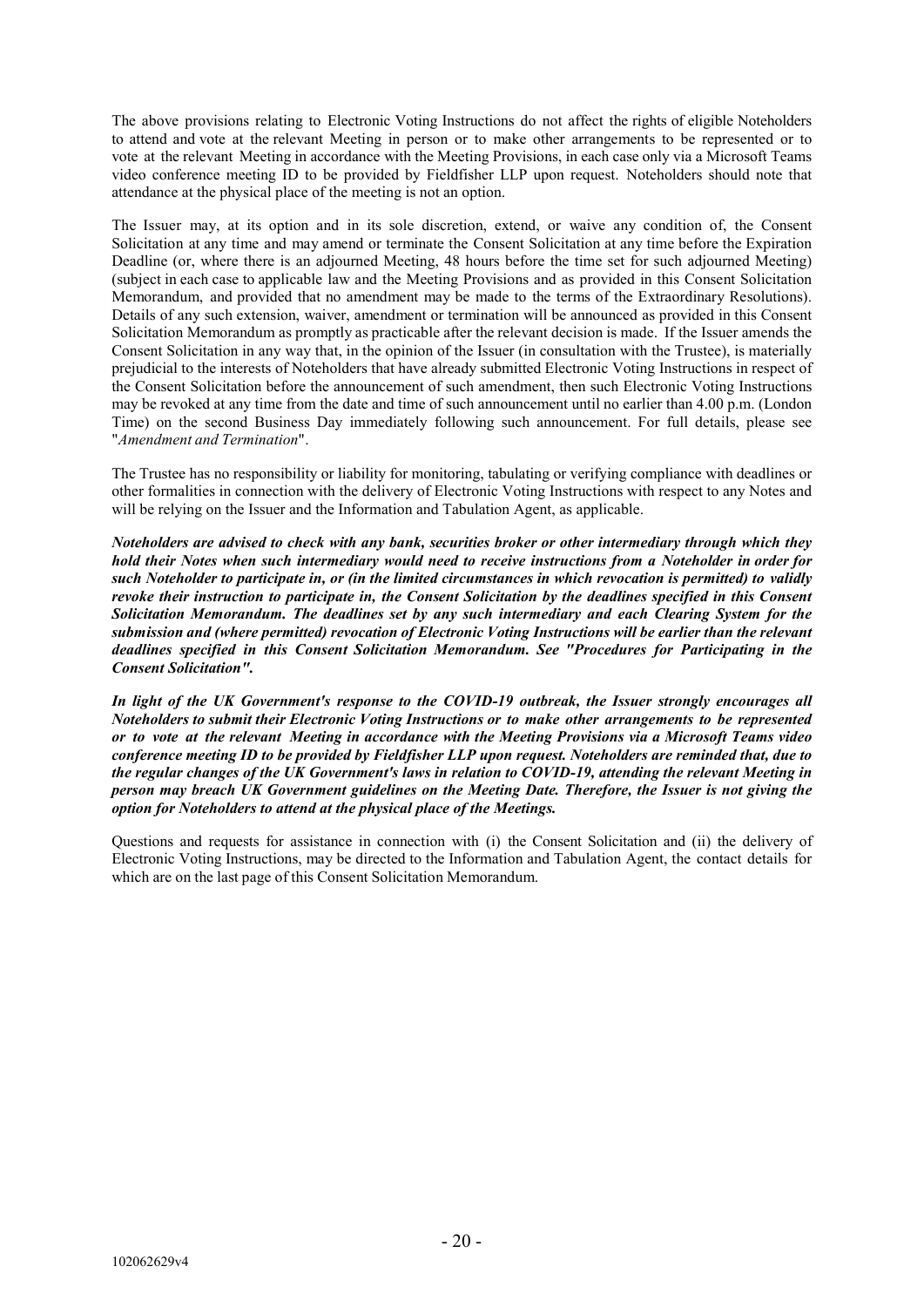The above provisions relating to Electronic Voting Instructions do not affect the rights of eligible Noteholders to attend and vote at the relevant Meeting in person or to make other arrangements to be represented or to vote at the relevant Meeting in accordance with the Meeting Provisions, in each case only via a Microsoft Teams video conference meeting ID to be provided by Fieldfisher LLP upon request. Noteholders should note that attendance at the physical place of the meeting is not an option.

The Issuer may, at its option and in its sole discretion, extend, or waive any condition of, the Consent Solicitation at any time and may amend or terminate the Consent Solicitation at any time before the Expiration Deadline (or, where there is an adjourned Meeting, 48 hours before the time set for such adjourned Meeting) (subject in each case to applicable law and the Meeting Provisions and as provided in this Consent Solicitation Memorandum, and provided that no amendment may be made to the terms of the Extraordinary Resolutions). Details of any such extension, waiver, amendment or termination will be announced as provided in this Consent Solicitation Memorandum as promptly as practicable after the relevant decision is made. If the Issuer amends the Consent Solicitation in any way that, in the opinion of the Issuer (in consultation with the Trustee), is materially prejudicial to the interests of Noteholders that have already submitted Electronic Voting Instructions in respect of the Consent Solicitation before the announcement of such amendment, then such Electronic Voting Instructions may be revoked at any time from the date and time of such announcement until no earlier than 4.00 p.m. (London Time) on the second Business Day immediately following such announcement. For full details, please see "*Amendment and Termination*".

The Trustee has no responsibility or liability for monitoring, tabulating or verifying compliance with deadlines or other formalities in connection with the delivery of Electronic Voting Instructions with respect to any Notes and will be relying on the Issuer and the Information and Tabulation Agent, as applicable.

*Noteholders are advised to check with any bank, securities broker or other intermediary through which they hold their Notes when such intermediary would need to receive instructions from a Noteholder in order for such Noteholder to participate in, or (in the limited circumstances in which revocation is permitted) to validly revoke their instruction to participate in, the Consent Solicitation by the deadlines specified in this Consent Solicitation Memorandum. The deadlines set by any such intermediary and each Clearing System for the submission and (where permitted) revocation of Electronic Voting Instructions will be earlier than the relevant deadlines specified in this Consent Solicitation Memorandum. See "Procedures for Participating in the Consent Solicitation".*

*In light of the UK Government's response to the COVID-19 outbreak, the Issuer strongly encourages all Noteholders to submit their Electronic Voting Instructions or to make other arrangements to be represented or to vote at the relevant Meeting in accordance with the Meeting Provisions via a Microsoft Teams video conference meeting ID to be provided by Fieldfisher LLP upon request. Noteholders are reminded that, due to the regular changes of the UK Government's laws in relation to COVID-19, attending the relevant Meeting in person may breach UK Government guidelines on the Meeting Date. Therefore, the Issuer is not giving the option for Noteholders to attend at the physical place of the Meetings.*

Questions and requests for assistance in connection with (i) the Consent Solicitation and (ii) the delivery of Electronic Voting Instructions, may be directed to the Information and Tabulation Agent, the contact details for which are on the last page of this Consent Solicitation Memorandum.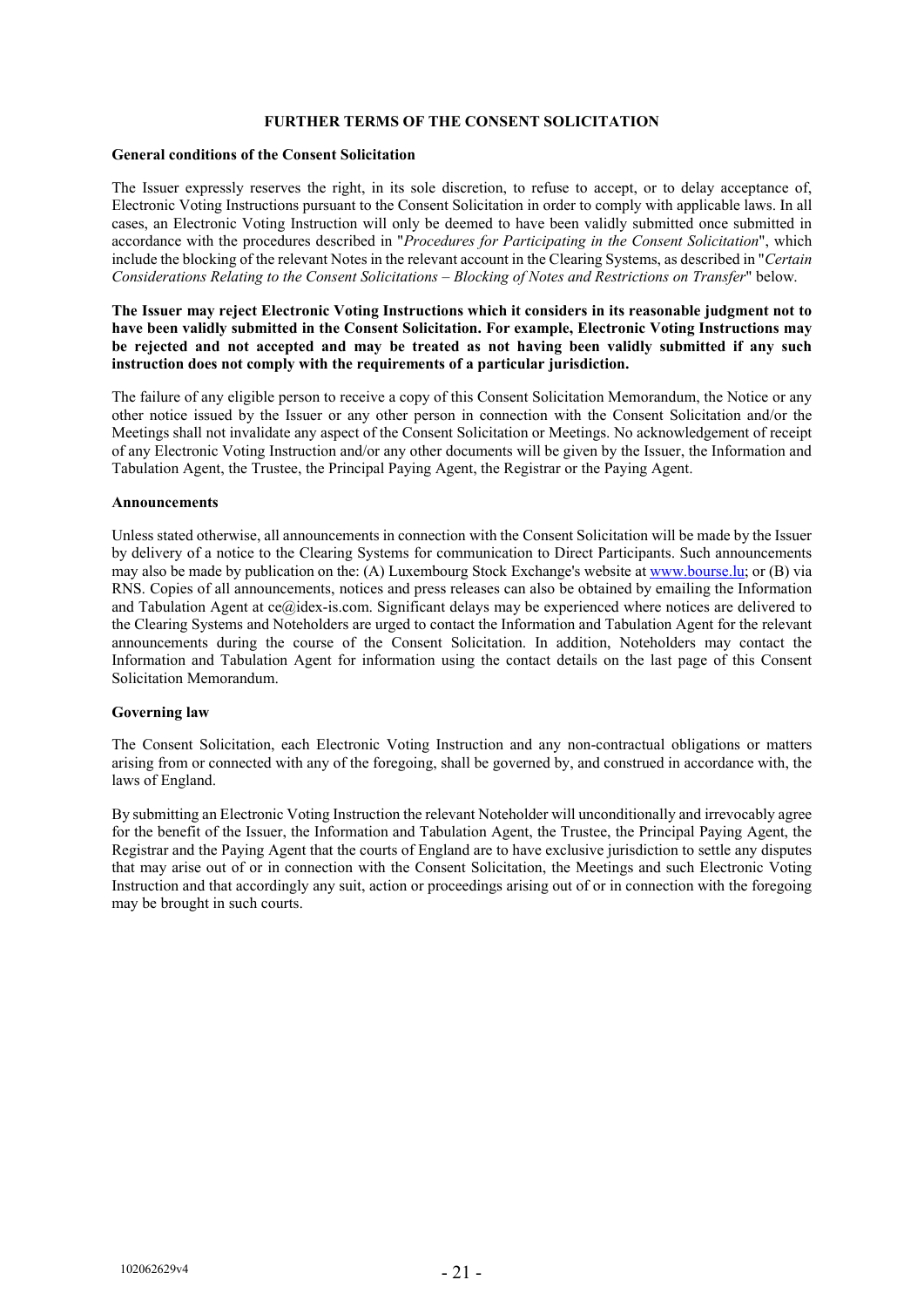#### **FURTHER TERMS OF THE CONSENT SOLICITATION**

#### **General conditions of the Consent Solicitation**

The Issuer expressly reserves the right, in its sole discretion, to refuse to accept, or to delay acceptance of, Electronic Voting Instructions pursuant to the Consent Solicitation in order to comply with applicable laws. In all cases, an Electronic Voting Instruction will only be deemed to have been validly submitted once submitted in accordance with the procedures described in "*Procedures for Participating in the Consent Solicitation*", which include the blocking of the relevant Notes in the relevant account in the Clearing Systems, as described in "*Certain Considerations Relating to the Consent Solicitations – Blocking of Notes and Restrictions on Transfer*" below.

#### **The Issuer may reject Electronic Voting Instructions which it considers in its reasonable judgment not to have been validly submitted in the Consent Solicitation. For example, Electronic Voting Instructions may be rejected and not accepted and may be treated as not having been validly submitted if any such instruction does not comply with the requirements of a particular jurisdiction.**

The failure of any eligible person to receive a copy of this Consent Solicitation Memorandum, the Notice or any other notice issued by the Issuer or any other person in connection with the Consent Solicitation and/or the Meetings shall not invalidate any aspect of the Consent Solicitation or Meetings. No acknowledgement of receipt of any Electronic Voting Instruction and/or any other documents will be given by the Issuer, the Information and Tabulation Agent, the Trustee, the Principal Paying Agent, the Registrar or the Paying Agent.

#### **Announcements**

Unless stated otherwise, all announcements in connection with the Consent Solicitation will be made by the Issuer by delivery of a notice to the Clearing Systems for communication to Direct Participants. Such announcements may also be made by publication on the: (A) Luxembourg Stock Exchange's website at [www.bourse.lu;](http://www.bourse.lu/) or (B) via RNS. Copies of all announcements, notices and press releases can also be obtained by emailing the Information and Tabulation Agent at ce@idex-is.com. Significant delays may be experienced where notices are delivered to the Clearing Systems and Noteholders are urged to contact the Information and Tabulation Agent for the relevant announcements during the course of the Consent Solicitation. In addition, Noteholders may contact the Information and Tabulation Agent for information using the contact details on the last page of this Consent Solicitation Memorandum.

#### **Governing law**

The Consent Solicitation, each Electronic Voting Instruction and any non-contractual obligations or matters arising from or connected with any of the foregoing, shall be governed by, and construed in accordance with, the laws of England.

By submitting an Electronic Voting Instruction the relevant Noteholder will unconditionally and irrevocably agree for the benefit of the Issuer, the Information and Tabulation Agent, the Trustee, the Principal Paying Agent, the Registrar and the Paying Agent that the courts of England are to have exclusive jurisdiction to settle any disputes that may arise out of or in connection with the Consent Solicitation, the Meetings and such Electronic Voting Instruction and that accordingly any suit, action or proceedings arising out of or in connection with the foregoing may be brought in such courts.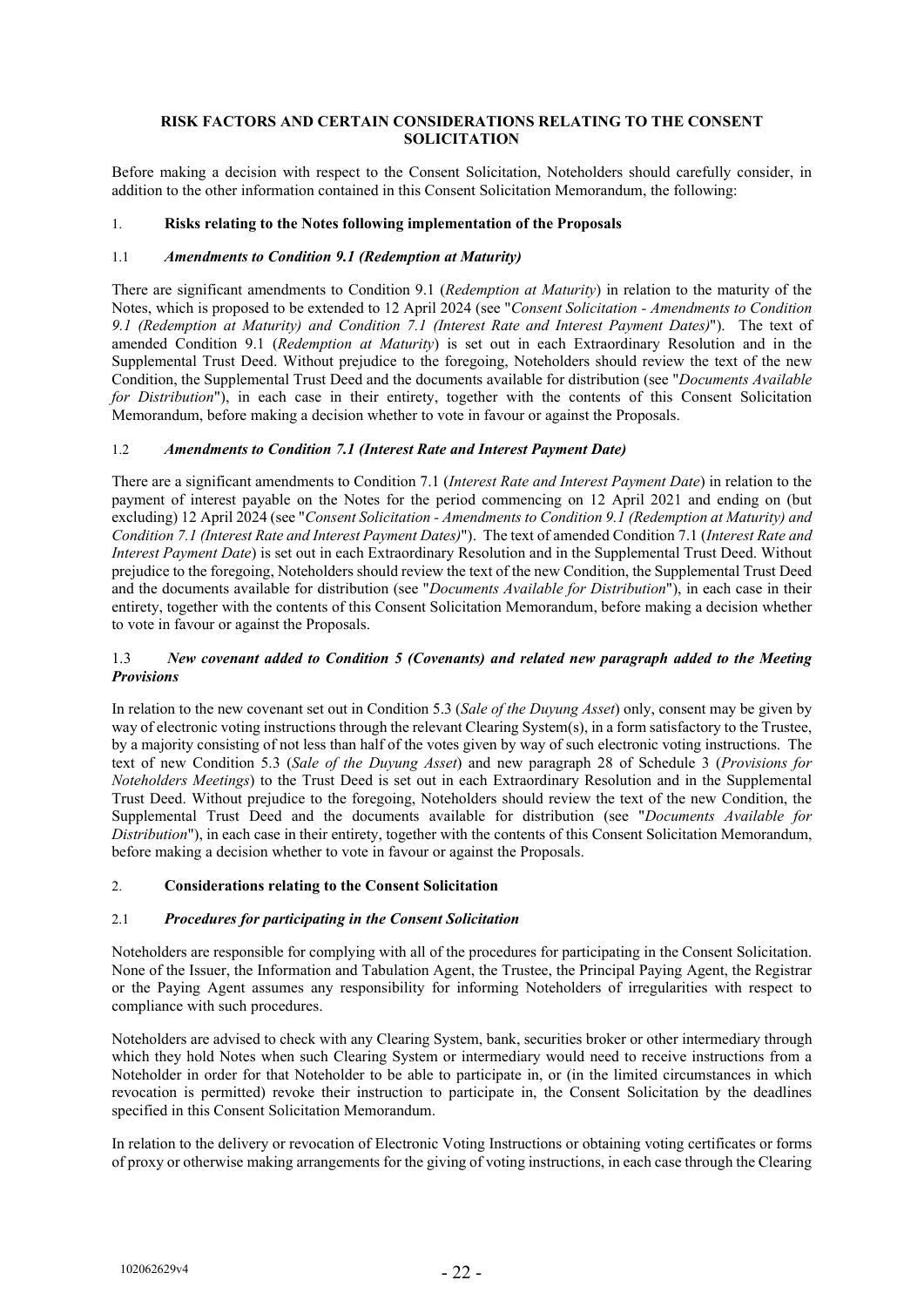# **RISK FACTORS AND CERTAIN CONSIDERATIONS RELATING TO THE CONSENT SOLICITATION**

Before making a decision with respect to the Consent Solicitation, Noteholders should carefully consider, in addition to the other information contained in this Consent Solicitation Memorandum, the following:

# 1. **Risks relating to the Notes following implementation of the Proposals**

# 1.1 *Amendments to Condition 9.1 (Redemption at Maturity)*

There are significant amendments to Condition 9.1 (*Redemption at Maturity*) in relation to the maturity of the Notes, which is proposed to be extended to 12 April 2024 (see "*Consent Solicitation - Amendments to Condition 9.1 (Redemption at Maturity) and Condition 7.1 (Interest Rate and Interest Payment Dates)*"). The text of amended Condition 9.1 (*Redemption at Maturity*) is set out in each Extraordinary Resolution and in the Supplemental Trust Deed. Without prejudice to the foregoing, Noteholders should review the text of the new Condition, the Supplemental Trust Deed and the documents available for distribution (see "*Documents Available for Distribution*"), in each case in their entirety, together with the contents of this Consent Solicitation Memorandum, before making a decision whether to vote in favour or against the Proposals.

# 1.2 *Amendments to Condition 7.1 (Interest Rate and Interest Payment Date)*

There are a significant amendments to Condition 7.1 (*Interest Rate and Interest Payment Date*) in relation to the payment of interest payable on the Notes for the period commencing on 12 April 2021 and ending on (but excluding) 12 April 2024 (see "*Consent Solicitation - Amendments to Condition 9.1 (Redemption at Maturity) and Condition 7.1 (Interest Rate and Interest Payment Dates)*"). The text of amended Condition 7.1 (*Interest Rate and Interest Payment Date*) is set out in each Extraordinary Resolution and in the Supplemental Trust Deed. Without prejudice to the foregoing, Noteholders should review the text of the new Condition, the Supplemental Trust Deed and the documents available for distribution (see "*Documents Available for Distribution*"), in each case in their entirety, together with the contents of this Consent Solicitation Memorandum, before making a decision whether to vote in favour or against the Proposals.

# 1.3 *New covenant added to Condition 5 (Covenants) and related new paragraph added to the Meeting Provisions*

In relation to the new covenant set out in Condition 5.3 (*Sale of the Duyung Asset*) only, consent may be given by way of electronic voting instructions through the relevant Clearing System(s), in a form satisfactory to the Trustee, by a majority consisting of not less than half of the votes given by way of such electronic voting instructions. The text of new Condition 5.3 (*Sale of the Duyung Asset*) and new paragraph 28 of Schedule 3 (*Provisions for Noteholders Meetings*) to the Trust Deed is set out in each Extraordinary Resolution and in the Supplemental Trust Deed. Without prejudice to the foregoing, Noteholders should review the text of the new Condition, the Supplemental Trust Deed and the documents available for distribution (see "*Documents Available for Distribution*"), in each case in their entirety, together with the contents of this Consent Solicitation Memorandum, before making a decision whether to vote in favour or against the Proposals.

# 2. **Considerations relating to the Consent Solicitation**

# 2.1 *Procedures for participating in the Consent Solicitation*

Noteholders are responsible for complying with all of the procedures for participating in the Consent Solicitation. None of the Issuer, the Information and Tabulation Agent, the Trustee, the Principal Paying Agent, the Registrar or the Paying Agent assumes any responsibility for informing Noteholders of irregularities with respect to compliance with such procedures.

Noteholders are advised to check with any Clearing System, bank, securities broker or other intermediary through which they hold Notes when such Clearing System or intermediary would need to receive instructions from a Noteholder in order for that Noteholder to be able to participate in, or (in the limited circumstances in which revocation is permitted) revoke their instruction to participate in, the Consent Solicitation by the deadlines specified in this Consent Solicitation Memorandum.

In relation to the delivery or revocation of Electronic Voting Instructions or obtaining voting certificates or forms of proxy or otherwise making arrangements for the giving of voting instructions, in each case through the Clearing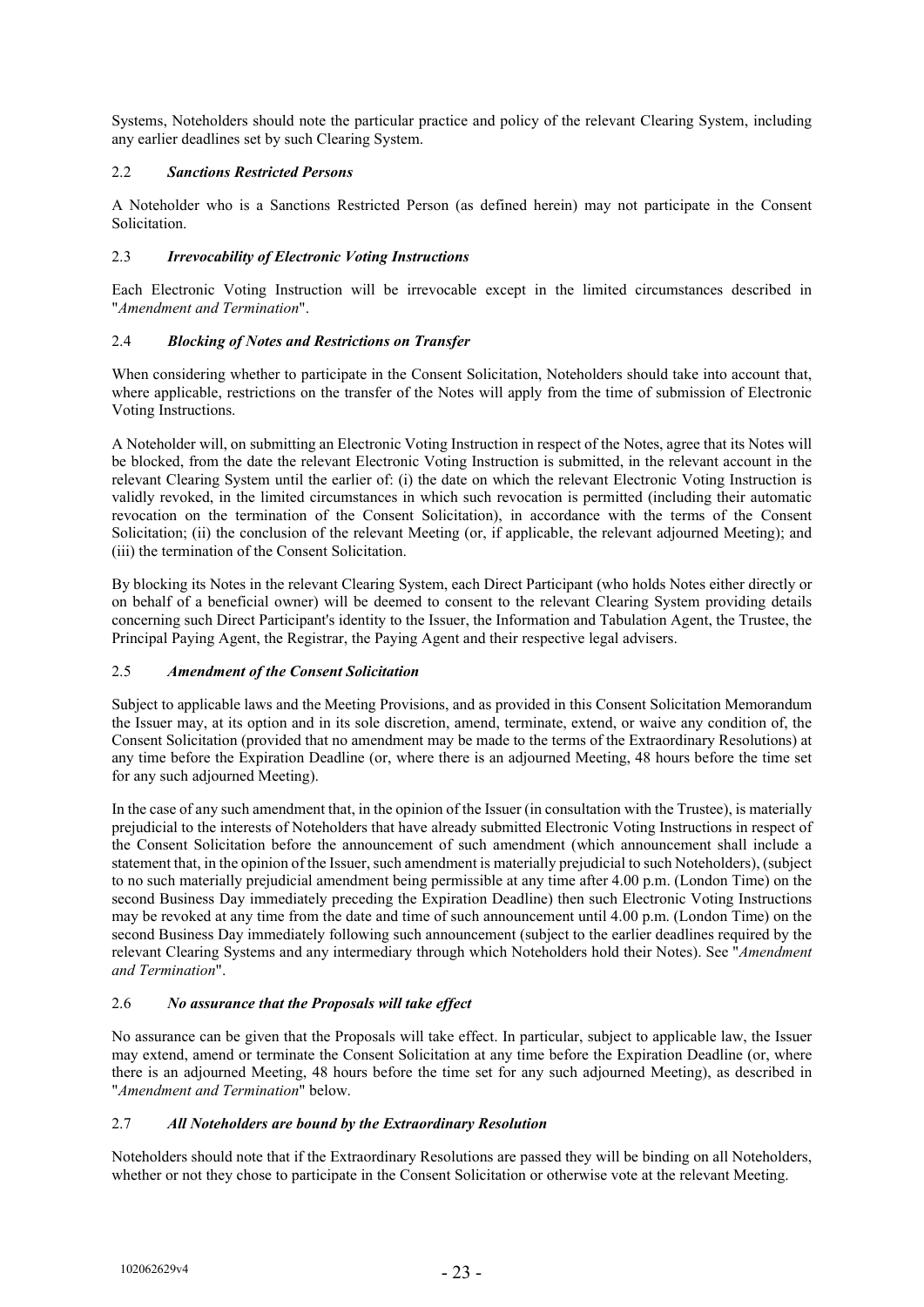Systems, Noteholders should note the particular practice and policy of the relevant Clearing System, including any earlier deadlines set by such Clearing System.

# 2.2 *Sanctions Restricted Persons*

A Noteholder who is a Sanctions Restricted Person (as defined herein) may not participate in the Consent Solicitation.

# 2.3 *Irrevocability of Electronic Voting Instructions*

Each Electronic Voting Instruction will be irrevocable except in the limited circumstances described in "*Amendment and Termination*".

# 2.4 *Blocking of Notes and Restrictions on Transfer*

When considering whether to participate in the Consent Solicitation, Noteholders should take into account that, where applicable, restrictions on the transfer of the Notes will apply from the time of submission of Electronic Voting Instructions.

A Noteholder will, on submitting an Electronic Voting Instruction in respect of the Notes, agree that its Notes will be blocked, from the date the relevant Electronic Voting Instruction is submitted, in the relevant account in the relevant Clearing System until the earlier of: (i) the date on which the relevant Electronic Voting Instruction is validly revoked, in the limited circumstances in which such revocation is permitted (including their automatic revocation on the termination of the Consent Solicitation), in accordance with the terms of the Consent Solicitation; (ii) the conclusion of the relevant Meeting (or, if applicable, the relevant adjourned Meeting); and (iii) the termination of the Consent Solicitation.

By blocking its Notes in the relevant Clearing System, each Direct Participant (who holds Notes either directly or on behalf of a beneficial owner) will be deemed to consent to the relevant Clearing System providing details concerning such Direct Participant's identity to the Issuer, the Information and Tabulation Agent, the Trustee, the Principal Paying Agent, the Registrar, the Paying Agent and their respective legal advisers.

# 2.5 *Amendment of the Consent Solicitation*

Subject to applicable laws and the Meeting Provisions, and as provided in this Consent Solicitation Memorandum the Issuer may, at its option and in its sole discretion, amend, terminate, extend, or waive any condition of, the Consent Solicitation (provided that no amendment may be made to the terms of the Extraordinary Resolutions) at any time before the Expiration Deadline (or, where there is an adjourned Meeting, 48 hours before the time set for any such adjourned Meeting).

In the case of any such amendment that, in the opinion of the Issuer (in consultation with the Trustee), is materially prejudicial to the interests of Noteholders that have already submitted Electronic Voting Instructions in respect of the Consent Solicitation before the announcement of such amendment (which announcement shall include a statement that, in the opinion of the Issuer, such amendment is materially prejudicial to such Noteholders), (subject to no such materially prejudicial amendment being permissible at any time after 4.00 p.m. (London Time) on the second Business Day immediately preceding the Expiration Deadline) then such Electronic Voting Instructions may be revoked at any time from the date and time of such announcement until 4.00 p.m. (London Time) on the second Business Day immediately following such announcement (subject to the earlier deadlines required by the relevant Clearing Systems and any intermediary through which Noteholders hold their Notes). See "*Amendment and Termination*".

# 2.6 *No assurance that the Proposals will take effect*

No assurance can be given that the Proposals will take effect. In particular, subject to applicable law, the Issuer may extend, amend or terminate the Consent Solicitation at any time before the Expiration Deadline (or, where there is an adjourned Meeting, 48 hours before the time set for any such adjourned Meeting), as described in "*Amendment and Termination*" below.

# 2.7 *All Noteholders are bound by the Extraordinary Resolution*

Noteholders should note that if the Extraordinary Resolutions are passed they will be binding on all Noteholders, whether or not they chose to participate in the Consent Solicitation or otherwise vote at the relevant Meeting.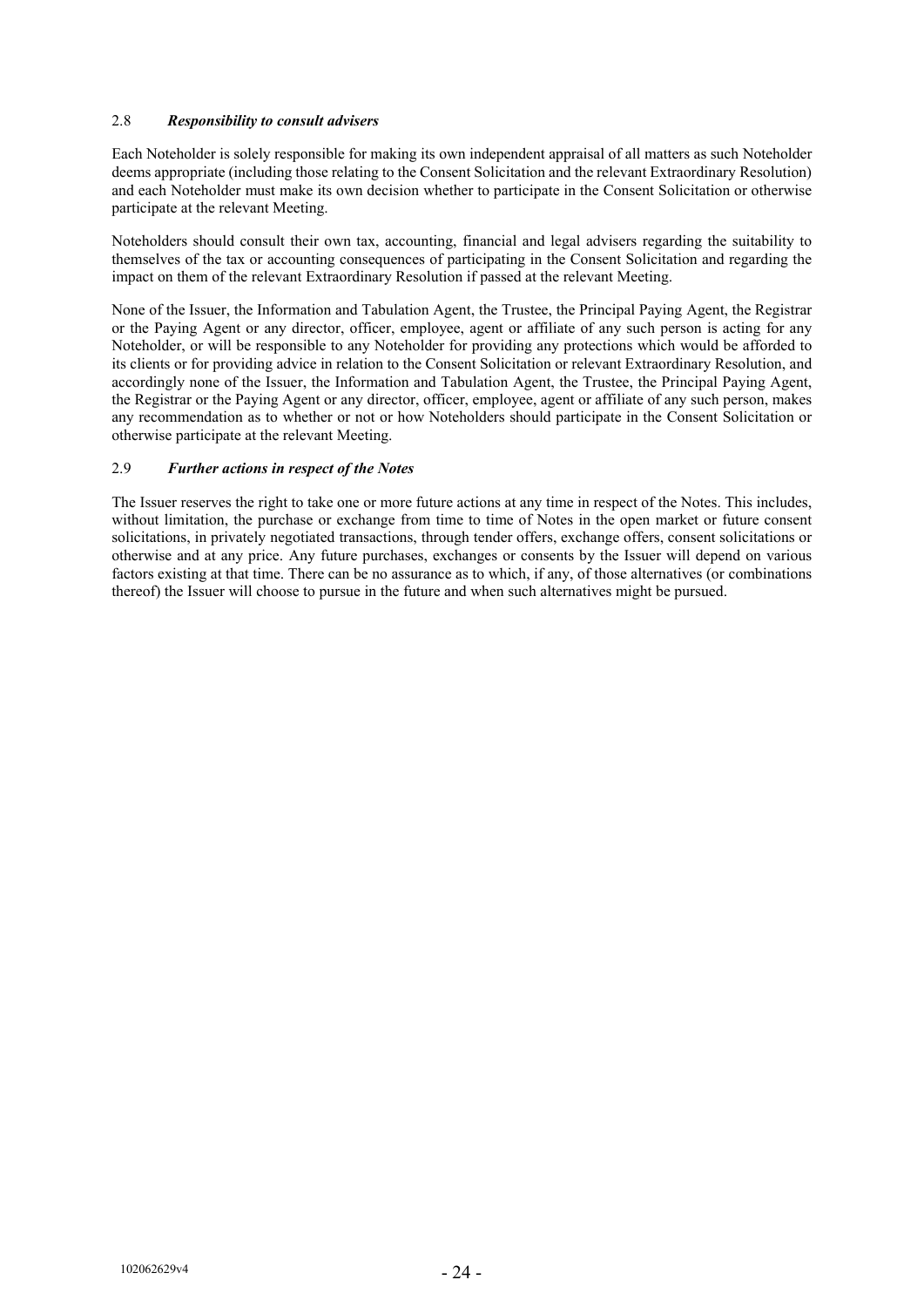# 2.8 *Responsibility to consult advisers*

Each Noteholder is solely responsible for making its own independent appraisal of all matters as such Noteholder deems appropriate (including those relating to the Consent Solicitation and the relevant Extraordinary Resolution) and each Noteholder must make its own decision whether to participate in the Consent Solicitation or otherwise participate at the relevant Meeting.

Noteholders should consult their own tax, accounting, financial and legal advisers regarding the suitability to themselves of the tax or accounting consequences of participating in the Consent Solicitation and regarding the impact on them of the relevant Extraordinary Resolution if passed at the relevant Meeting.

None of the Issuer, the Information and Tabulation Agent, the Trustee, the Principal Paying Agent, the Registrar or the Paying Agent or any director, officer, employee, agent or affiliate of any such person is acting for any Noteholder, or will be responsible to any Noteholder for providing any protections which would be afforded to its clients or for providing advice in relation to the Consent Solicitation or relevant Extraordinary Resolution, and accordingly none of the Issuer, the Information and Tabulation Agent, the Trustee, the Principal Paying Agent, the Registrar or the Paying Agent or any director, officer, employee, agent or affiliate of any such person, makes any recommendation as to whether or not or how Noteholders should participate in the Consent Solicitation or otherwise participate at the relevant Meeting.

# 2.9 *Further actions in respect of the Notes*

The Issuer reserves the right to take one or more future actions at any time in respect of the Notes. This includes, without limitation, the purchase or exchange from time to time of Notes in the open market or future consent solicitations, in privately negotiated transactions, through tender offers, exchange offers, consent solicitations or otherwise and at any price. Any future purchases, exchanges or consents by the Issuer will depend on various factors existing at that time. There can be no assurance as to which, if any, of those alternatives (or combinations thereof) the Issuer will choose to pursue in the future and when such alternatives might be pursued.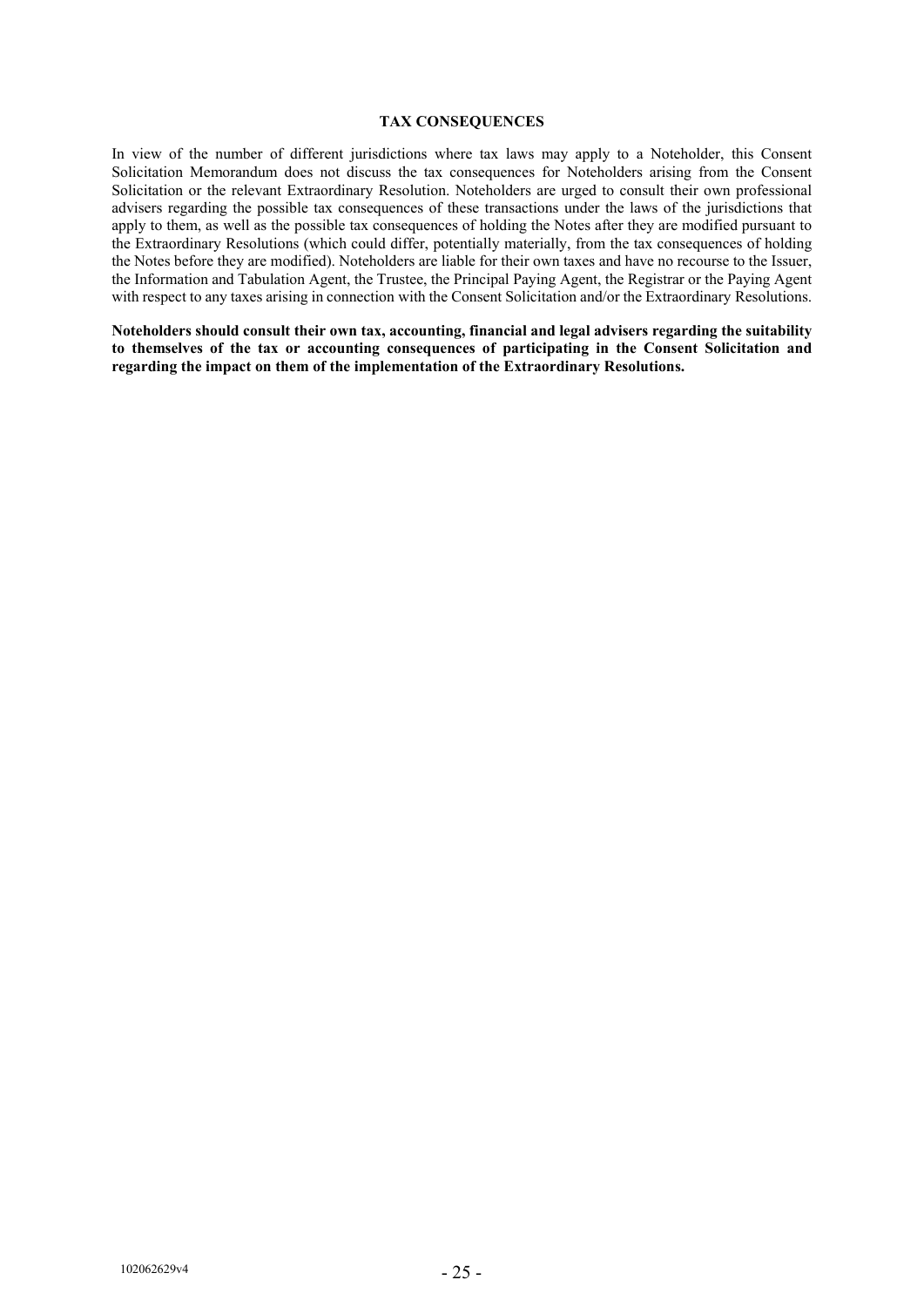#### **TAX CONSEQUENCES**

In view of the number of different jurisdictions where tax laws may apply to a Noteholder, this Consent Solicitation Memorandum does not discuss the tax consequences for Noteholders arising from the Consent Solicitation or the relevant Extraordinary Resolution. Noteholders are urged to consult their own professional advisers regarding the possible tax consequences of these transactions under the laws of the jurisdictions that apply to them, as well as the possible tax consequences of holding the Notes after they are modified pursuant to the Extraordinary Resolutions (which could differ, potentially materially, from the tax consequences of holding the Notes before they are modified). Noteholders are liable for their own taxes and have no recourse to the Issuer, the Information and Tabulation Agent, the Trustee, the Principal Paying Agent, the Registrar or the Paying Agent with respect to any taxes arising in connection with the Consent Solicitation and/or the Extraordinary Resolutions.

**Noteholders should consult their own tax, accounting, financial and legal advisers regarding the suitability to themselves of the tax or accounting consequences of participating in the Consent Solicitation and regarding the impact on them of the implementation of the Extraordinary Resolutions.**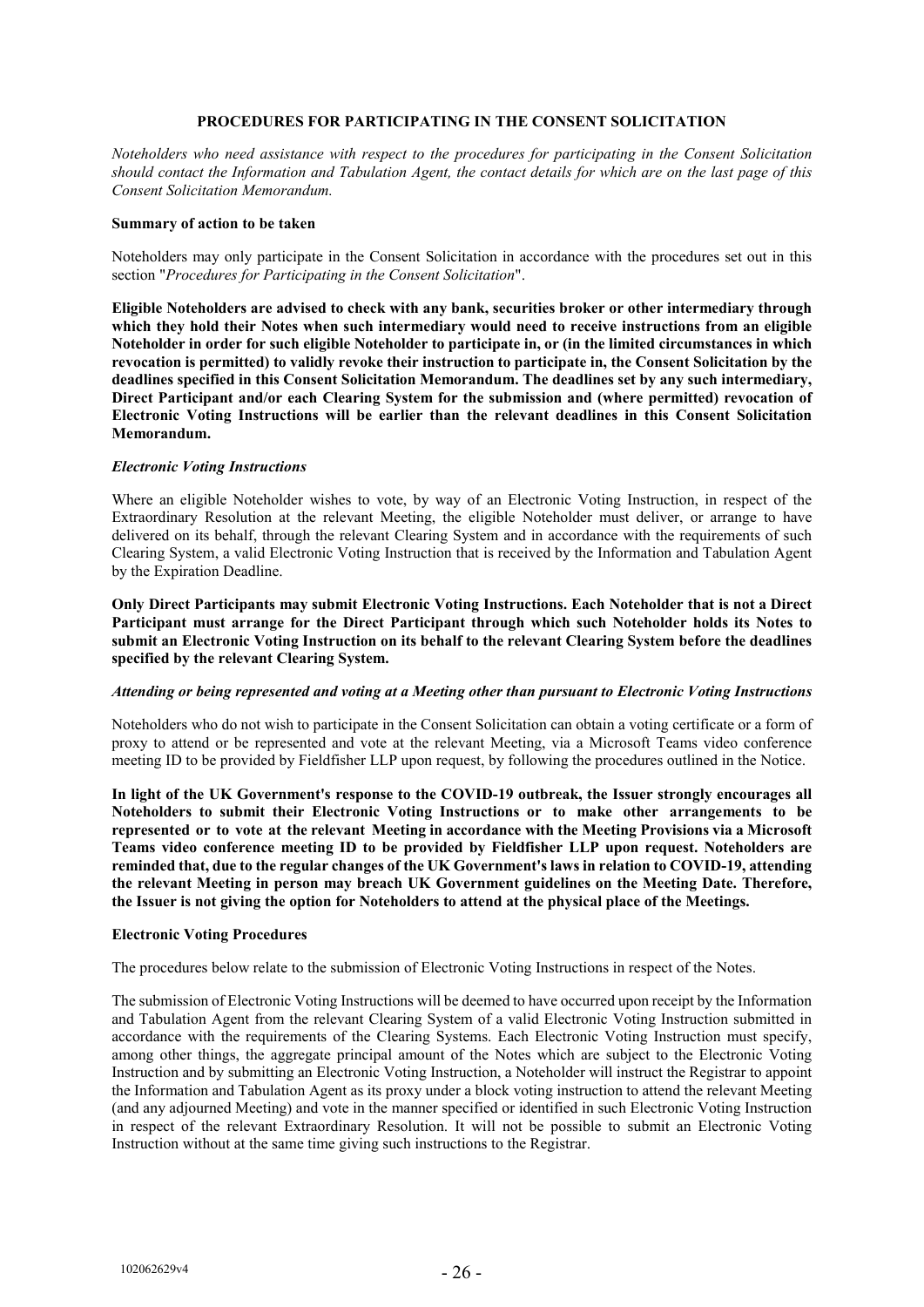# **PROCEDURES FOR PARTICIPATING IN THE CONSENT SOLICITATION**

*Noteholders who need assistance with respect to the procedures for participating in the Consent Solicitation should contact the Information and Tabulation Agent, the contact details for which are on the last page of this Consent Solicitation Memorandum.*

#### **Summary of action to be taken**

Noteholders may only participate in the Consent Solicitation in accordance with the procedures set out in this section "*Procedures for Participating in the Consent Solicitation*".

**Eligible Noteholders are advised to check with any bank, securities broker or other intermediary through which they hold their Notes when such intermediary would need to receive instructions from an eligible Noteholder in order for such eligible Noteholder to participate in, or (in the limited circumstances in which revocation is permitted) to validly revoke their instruction to participate in, the Consent Solicitation by the deadlines specified in this Consent Solicitation Memorandum. The deadlines set by any such intermediary, Direct Participant and/or each Clearing System for the submission and (where permitted) revocation of Electronic Voting Instructions will be earlier than the relevant deadlines in this Consent Solicitation Memorandum.**

#### *Electronic Voting Instructions*

Where an eligible Noteholder wishes to vote, by way of an Electronic Voting Instruction, in respect of the Extraordinary Resolution at the relevant Meeting, the eligible Noteholder must deliver, or arrange to have delivered on its behalf, through the relevant Clearing System and in accordance with the requirements of such Clearing System, a valid Electronic Voting Instruction that is received by the Information and Tabulation Agent by the Expiration Deadline.

**Only Direct Participants may submit Electronic Voting Instructions. Each Noteholder that is not a Direct Participant must arrange for the Direct Participant through which such Noteholder holds its Notes to submit an Electronic Voting Instruction on its behalf to the relevant Clearing System before the deadlines specified by the relevant Clearing System.**

# *Attending or being represented and voting at a Meeting other than pursuant to Electronic Voting Instructions*

Noteholders who do not wish to participate in the Consent Solicitation can obtain a voting certificate or a form of proxy to attend or be represented and vote at the relevant Meeting, via a Microsoft Teams video conference meeting ID to be provided by Fieldfisher LLP upon request, by following the procedures outlined in the Notice.

**In light of the UK Government's response to the COVID-19 outbreak, the Issuer strongly encourages all Noteholders to submit their Electronic Voting Instructions or to make other arrangements to be represented or to vote at the relevant Meeting in accordance with the Meeting Provisions via a Microsoft Teams video conference meeting ID to be provided by Fieldfisher LLP upon request. Noteholders are reminded that, due to the regular changes of the UK Government's laws in relation to COVID-19, attending the relevant Meeting in person may breach UK Government guidelines on the Meeting Date. Therefore, the Issuer is not giving the option for Noteholders to attend at the physical place of the Meetings.** 

#### **Electronic Voting Procedures**

The procedures below relate to the submission of Electronic Voting Instructions in respect of the Notes.

The submission of Electronic Voting Instructions will be deemed to have occurred upon receipt by the Information and Tabulation Agent from the relevant Clearing System of a valid Electronic Voting Instruction submitted in accordance with the requirements of the Clearing Systems. Each Electronic Voting Instruction must specify, among other things, the aggregate principal amount of the Notes which are subject to the Electronic Voting Instruction and by submitting an Electronic Voting Instruction, a Noteholder will instruct the Registrar to appoint the Information and Tabulation Agent as its proxy under a block voting instruction to attend the relevant Meeting (and any adjourned Meeting) and vote in the manner specified or identified in such Electronic Voting Instruction in respect of the relevant Extraordinary Resolution. It will not be possible to submit an Electronic Voting Instruction without at the same time giving such instructions to the Registrar.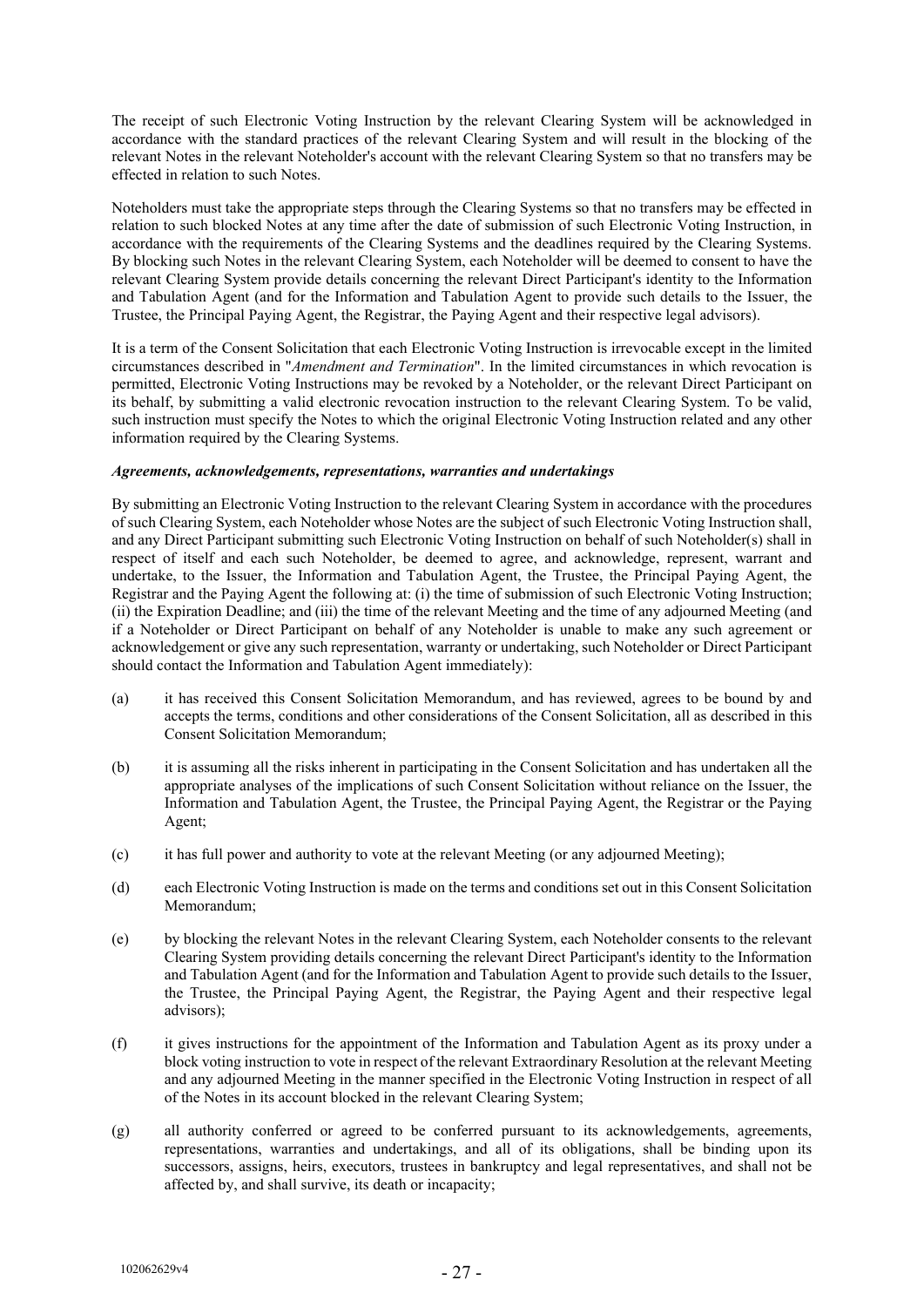The receipt of such Electronic Voting Instruction by the relevant Clearing System will be acknowledged in accordance with the standard practices of the relevant Clearing System and will result in the blocking of the relevant Notes in the relevant Noteholder's account with the relevant Clearing System so that no transfers may be effected in relation to such Notes.

Noteholders must take the appropriate steps through the Clearing Systems so that no transfers may be effected in relation to such blocked Notes at any time after the date of submission of such Electronic Voting Instruction, in accordance with the requirements of the Clearing Systems and the deadlines required by the Clearing Systems. By blocking such Notes in the relevant Clearing System, each Noteholder will be deemed to consent to have the relevant Clearing System provide details concerning the relevant Direct Participant's identity to the Information and Tabulation Agent (and for the Information and Tabulation Agent to provide such details to the Issuer, the Trustee, the Principal Paying Agent, the Registrar, the Paying Agent and their respective legal advisors).

It is a term of the Consent Solicitation that each Electronic Voting Instruction is irrevocable except in the limited circumstances described in "*Amendment and Termination*". In the limited circumstances in which revocation is permitted, Electronic Voting Instructions may be revoked by a Noteholder, or the relevant Direct Participant on its behalf, by submitting a valid electronic revocation instruction to the relevant Clearing System. To be valid, such instruction must specify the Notes to which the original Electronic Voting Instruction related and any other information required by the Clearing Systems.

#### *Agreements, acknowledgements, representations, warranties and undertakings*

By submitting an Electronic Voting Instruction to the relevant Clearing System in accordance with the procedures of such Clearing System, each Noteholder whose Notes are the subject of such Electronic Voting Instruction shall, and any Direct Participant submitting such Electronic Voting Instruction on behalf of such Noteholder(s) shall in respect of itself and each such Noteholder, be deemed to agree, and acknowledge, represent, warrant and undertake, to the Issuer, the Information and Tabulation Agent, the Trustee, the Principal Paying Agent, the Registrar and the Paying Agent the following at: (i) the time of submission of such Electronic Voting Instruction; (ii) the Expiration Deadline; and (iii) the time of the relevant Meeting and the time of any adjourned Meeting (and if a Noteholder or Direct Participant on behalf of any Noteholder is unable to make any such agreement or acknowledgement or give any such representation, warranty or undertaking, such Noteholder or Direct Participant should contact the Information and Tabulation Agent immediately):

- (a) it has received this Consent Solicitation Memorandum, and has reviewed, agrees to be bound by and accepts the terms, conditions and other considerations of the Consent Solicitation, all as described in this Consent Solicitation Memorandum;
- (b) it is assuming all the risks inherent in participating in the Consent Solicitation and has undertaken all the appropriate analyses of the implications of such Consent Solicitation without reliance on the Issuer, the Information and Tabulation Agent, the Trustee, the Principal Paying Agent, the Registrar or the Paying Agent;
- (c) it has full power and authority to vote at the relevant Meeting (or any adjourned Meeting);
- (d) each Electronic Voting Instruction is made on the terms and conditions set out in this Consent Solicitation Memorandum;
- (e) by blocking the relevant Notes in the relevant Clearing System, each Noteholder consents to the relevant Clearing System providing details concerning the relevant Direct Participant's identity to the Information and Tabulation Agent (and for the Information and Tabulation Agent to provide such details to the Issuer, the Trustee, the Principal Paying Agent, the Registrar, the Paying Agent and their respective legal advisors);
- (f) it gives instructions for the appointment of the Information and Tabulation Agent as its proxy under a block voting instruction to vote in respect of the relevant Extraordinary Resolution at the relevant Meeting and any adjourned Meeting in the manner specified in the Electronic Voting Instruction in respect of all of the Notes in its account blocked in the relevant Clearing System;
- (g) all authority conferred or agreed to be conferred pursuant to its acknowledgements, agreements, representations, warranties and undertakings, and all of its obligations, shall be binding upon its successors, assigns, heirs, executors, trustees in bankruptcy and legal representatives, and shall not be affected by, and shall survive, its death or incapacity;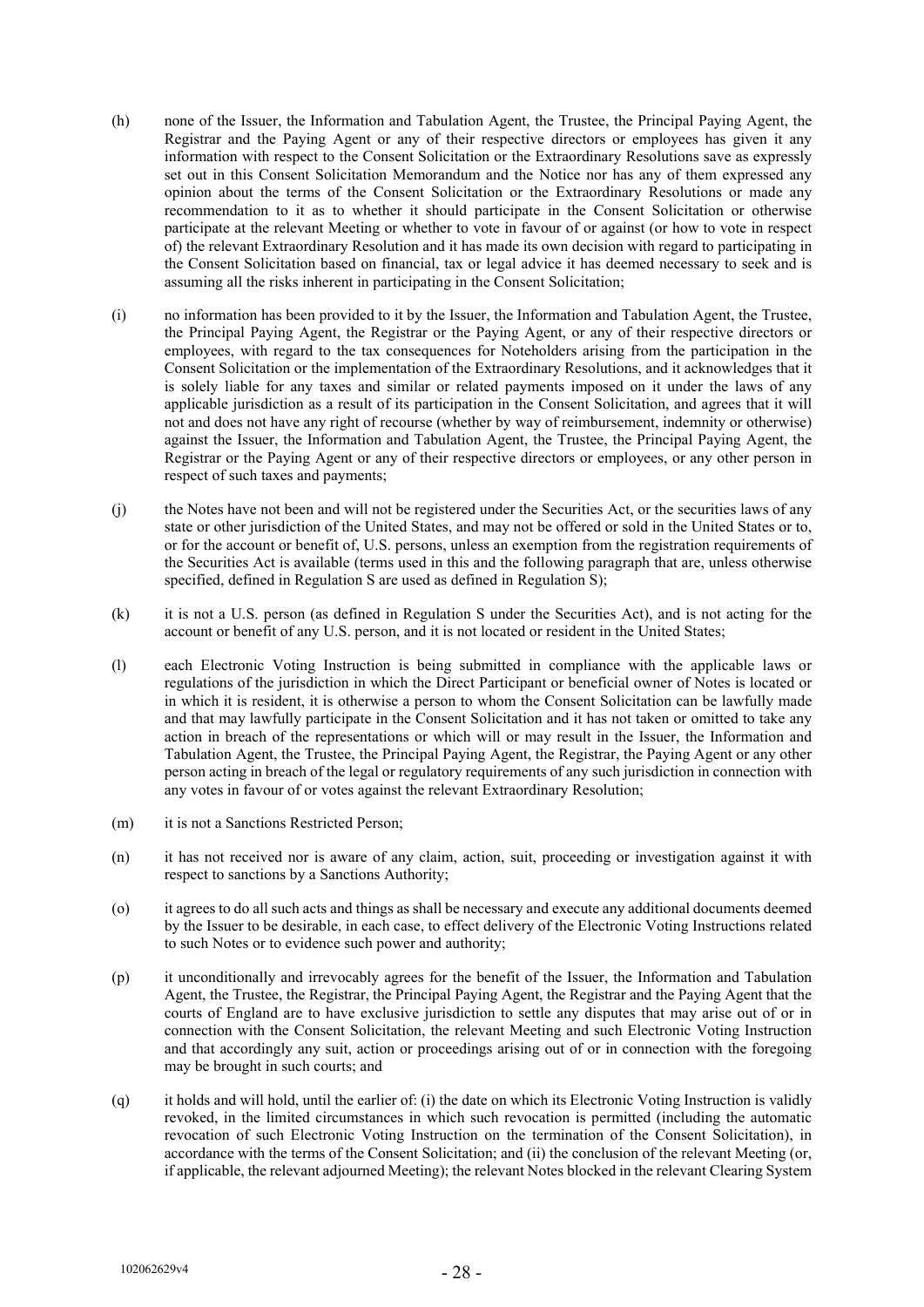- (h) none of the Issuer, the Information and Tabulation Agent, the Trustee, the Principal Paying Agent, the Registrar and the Paying Agent or any of their respective directors or employees has given it any information with respect to the Consent Solicitation or the Extraordinary Resolutions save as expressly set out in this Consent Solicitation Memorandum and the Notice nor has any of them expressed any opinion about the terms of the Consent Solicitation or the Extraordinary Resolutions or made any recommendation to it as to whether it should participate in the Consent Solicitation or otherwise participate at the relevant Meeting or whether to vote in favour of or against (or how to vote in respect of) the relevant Extraordinary Resolution and it has made its own decision with regard to participating in the Consent Solicitation based on financial, tax or legal advice it has deemed necessary to seek and is assuming all the risks inherent in participating in the Consent Solicitation;
- (i) no information has been provided to it by the Issuer, the Information and Tabulation Agent, the Trustee, the Principal Paying Agent, the Registrar or the Paying Agent, or any of their respective directors or employees, with regard to the tax consequences for Noteholders arising from the participation in the Consent Solicitation or the implementation of the Extraordinary Resolutions, and it acknowledges that it is solely liable for any taxes and similar or related payments imposed on it under the laws of any applicable jurisdiction as a result of its participation in the Consent Solicitation, and agrees that it will not and does not have any right of recourse (whether by way of reimbursement, indemnity or otherwise) against the Issuer, the Information and Tabulation Agent, the Trustee, the Principal Paying Agent, the Registrar or the Paying Agent or any of their respective directors or employees, or any other person in respect of such taxes and payments;
- (j) the Notes have not been and will not be registered under the Securities Act, or the securities laws of any state or other jurisdiction of the United States, and may not be offered or sold in the United States or to, or for the account or benefit of, U.S. persons, unless an exemption from the registration requirements of the Securities Act is available (terms used in this and the following paragraph that are, unless otherwise specified, defined in Regulation S are used as defined in Regulation S);
- (k) it is not a U.S. person (as defined in Regulation S under the Securities Act), and is not acting for the account or benefit of any U.S. person, and it is not located or resident in the United States;
- (l) each Electronic Voting Instruction is being submitted in compliance with the applicable laws or regulations of the jurisdiction in which the Direct Participant or beneficial owner of Notes is located or in which it is resident, it is otherwise a person to whom the Consent Solicitation can be lawfully made and that may lawfully participate in the Consent Solicitation and it has not taken or omitted to take any action in breach of the representations or which will or may result in the Issuer, the Information and Tabulation Agent, the Trustee, the Principal Paying Agent, the Registrar, the Paying Agent or any other person acting in breach of the legal or regulatory requirements of any such jurisdiction in connection with any votes in favour of or votes against the relevant Extraordinary Resolution;
- (m) it is not a Sanctions Restricted Person;
- (n) it has not received nor is aware of any claim, action, suit, proceeding or investigation against it with respect to sanctions by a Sanctions Authority;
- (o) it agrees to do all such acts and things as shall be necessary and execute any additional documents deemed by the Issuer to be desirable, in each case, to effect delivery of the Electronic Voting Instructions related to such Notes or to evidence such power and authority;
- (p) it unconditionally and irrevocably agrees for the benefit of the Issuer, the Information and Tabulation Agent, the Trustee, the Registrar, the Principal Paying Agent, the Registrar and the Paying Agent that the courts of England are to have exclusive jurisdiction to settle any disputes that may arise out of or in connection with the Consent Solicitation, the relevant Meeting and such Electronic Voting Instruction and that accordingly any suit, action or proceedings arising out of or in connection with the foregoing may be brought in such courts; and
- (q) it holds and will hold, until the earlier of: (i) the date on which its Electronic Voting Instruction is validly revoked, in the limited circumstances in which such revocation is permitted (including the automatic revocation of such Electronic Voting Instruction on the termination of the Consent Solicitation), in accordance with the terms of the Consent Solicitation; and (ii) the conclusion of the relevant Meeting (or, if applicable, the relevant adjourned Meeting); the relevant Notes blocked in the relevant Clearing System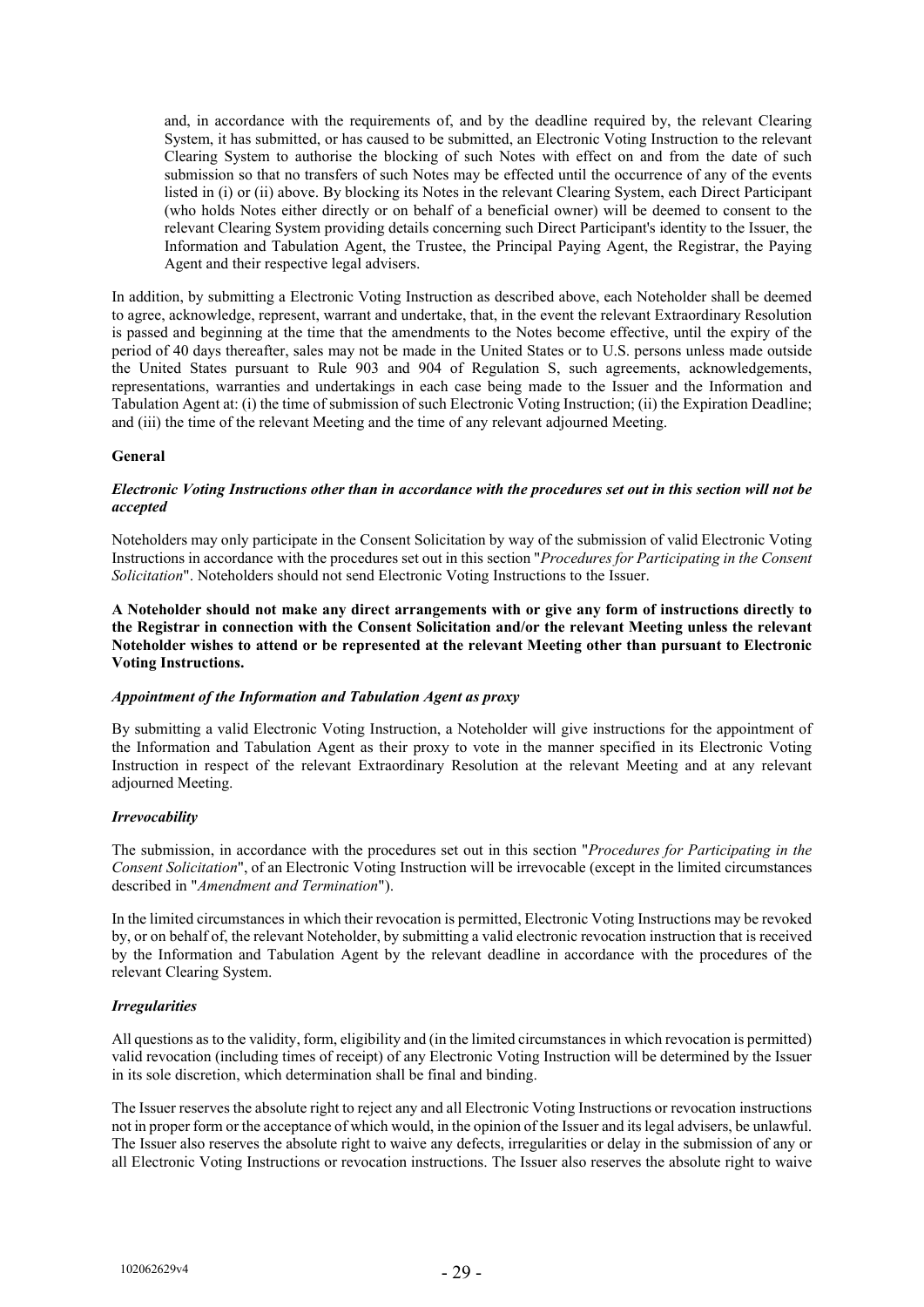and, in accordance with the requirements of, and by the deadline required by, the relevant Clearing System, it has submitted, or has caused to be submitted, an Electronic Voting Instruction to the relevant Clearing System to authorise the blocking of such Notes with effect on and from the date of such submission so that no transfers of such Notes may be effected until the occurrence of any of the events listed in (i) or (ii) above. By blocking its Notes in the relevant Clearing System, each Direct Participant (who holds Notes either directly or on behalf of a beneficial owner) will be deemed to consent to the relevant Clearing System providing details concerning such Direct Participant's identity to the Issuer, the Information and Tabulation Agent, the Trustee, the Principal Paying Agent, the Registrar, the Paying Agent and their respective legal advisers.

In addition, by submitting a Electronic Voting Instruction as described above, each Noteholder shall be deemed to agree, acknowledge, represent, warrant and undertake, that, in the event the relevant Extraordinary Resolution is passed and beginning at the time that the amendments to the Notes become effective, until the expiry of the period of 40 days thereafter, sales may not be made in the United States or to U.S. persons unless made outside the United States pursuant to Rule 903 and 904 of Regulation S, such agreements, acknowledgements, representations, warranties and undertakings in each case being made to the Issuer and the Information and Tabulation Agent at: (i) the time of submission of such Electronic Voting Instruction; (ii) the Expiration Deadline; and (iii) the time of the relevant Meeting and the time of any relevant adjourned Meeting.

#### **General**

#### *Electronic Voting Instructions other than in accordance with the procedures set out in this section will not be accepted*

Noteholders may only participate in the Consent Solicitation by way of the submission of valid Electronic Voting Instructions in accordance with the procedures set out in this section "*Procedures for Participating in the Consent Solicitation*". Noteholders should not send Electronic Voting Instructions to the Issuer.

**A Noteholder should not make any direct arrangements with or give any form of instructions directly to the Registrar in connection with the Consent Solicitation and/or the relevant Meeting unless the relevant Noteholder wishes to attend or be represented at the relevant Meeting other than pursuant to Electronic Voting Instructions.**

#### *Appointment of the Information and Tabulation Agent as proxy*

By submitting a valid Electronic Voting Instruction, a Noteholder will give instructions for the appointment of the Information and Tabulation Agent as their proxy to vote in the manner specified in its Electronic Voting Instruction in respect of the relevant Extraordinary Resolution at the relevant Meeting and at any relevant adjourned Meeting.

# *Irrevocability*

The submission, in accordance with the procedures set out in this section "*Procedures for Participating in the Consent Solicitation*", of an Electronic Voting Instruction will be irrevocable (except in the limited circumstances described in "*Amendment and Termination*").

In the limited circumstances in which their revocation is permitted, Electronic Voting Instructions may be revoked by, or on behalf of, the relevant Noteholder, by submitting a valid electronic revocation instruction that is received by the Information and Tabulation Agent by the relevant deadline in accordance with the procedures of the relevant Clearing System.

# *Irregularities*

All questions as to the validity, form, eligibility and (in the limited circumstances in which revocation is permitted) valid revocation (including times of receipt) of any Electronic Voting Instruction will be determined by the Issuer in its sole discretion, which determination shall be final and binding.

The Issuer reserves the absolute right to reject any and all Electronic Voting Instructions or revocation instructions not in proper form or the acceptance of which would, in the opinion of the Issuer and its legal advisers, be unlawful. The Issuer also reserves the absolute right to waive any defects, irregularities or delay in the submission of any or all Electronic Voting Instructions or revocation instructions. The Issuer also reserves the absolute right to waive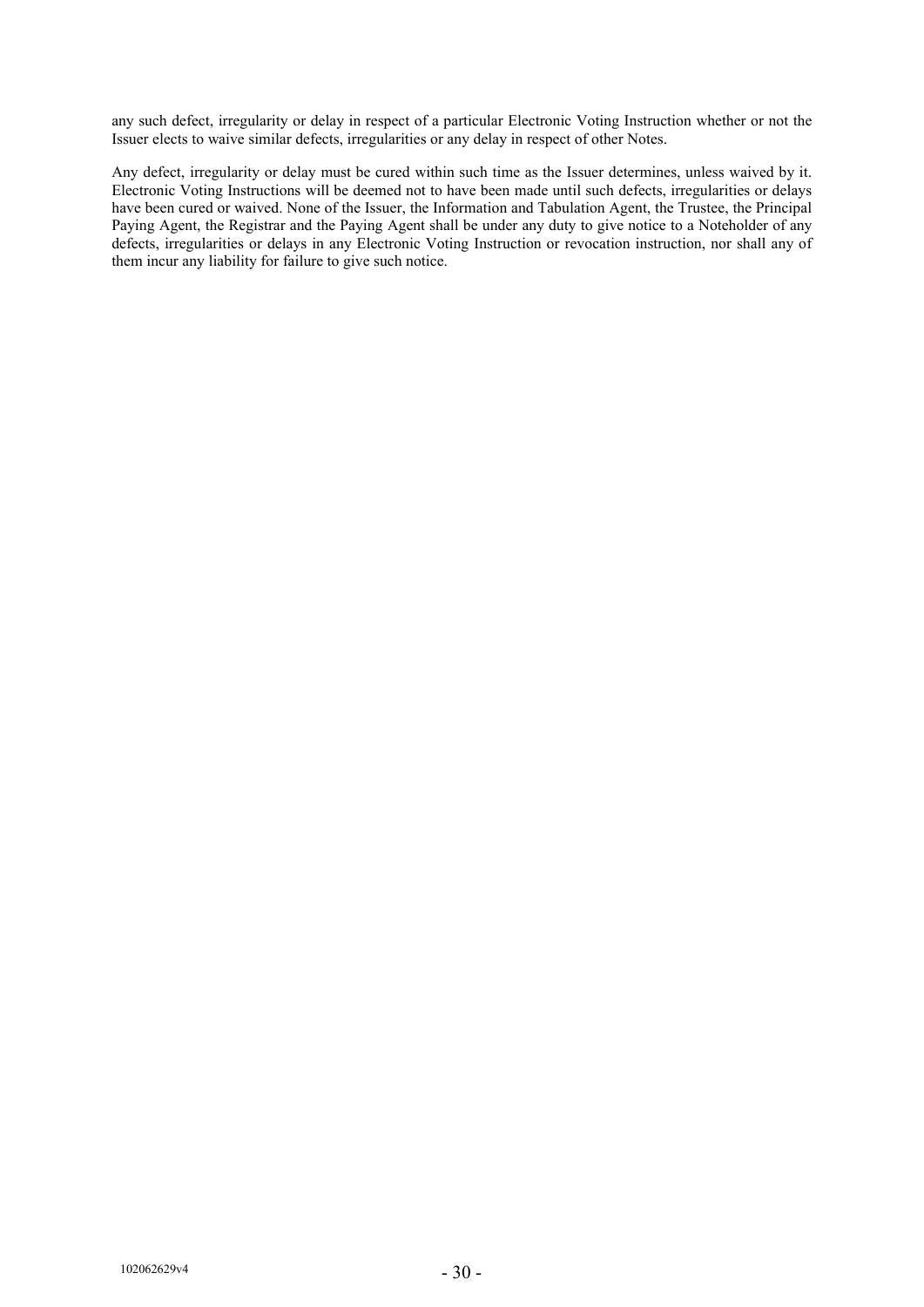any such defect, irregularity or delay in respect of a particular Electronic Voting Instruction whether or not the Issuer elects to waive similar defects, irregularities or any delay in respect of other Notes.

Any defect, irregularity or delay must be cured within such time as the Issuer determines, unless waived by it. Electronic Voting Instructions will be deemed not to have been made until such defects, irregularities or delays have been cured or waived. None of the Issuer, the Information and Tabulation Agent, the Trustee, the Principal Paying Agent, the Registrar and the Paying Agent shall be under any duty to give notice to a Noteholder of any defects, irregularities or delays in any Electronic Voting Instruction or revocation instruction, nor shall any of them incur any liability for failure to give such notice.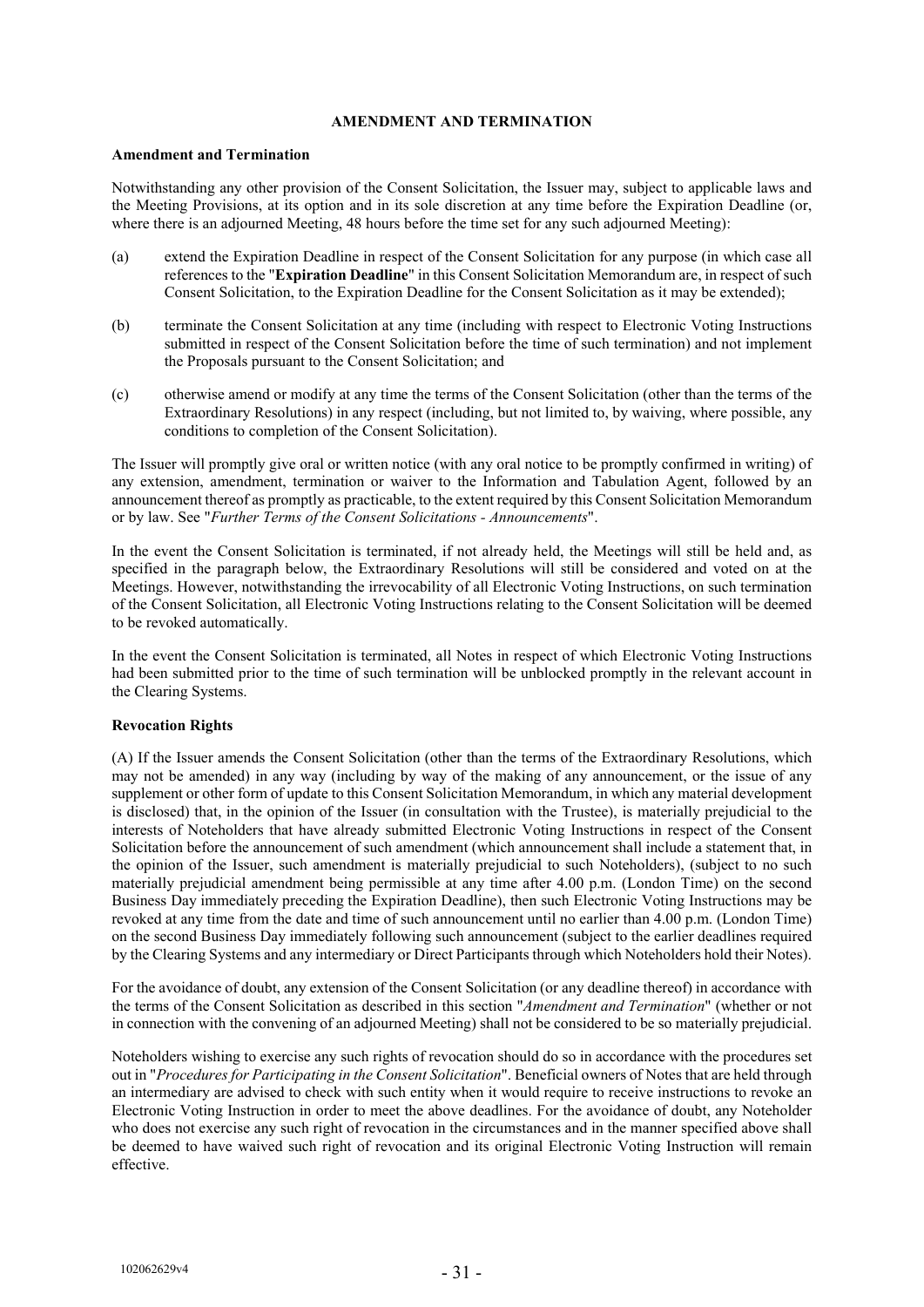# **AMENDMENT AND TERMINATION**

#### **Amendment and Termination**

Notwithstanding any other provision of the Consent Solicitation, the Issuer may, subject to applicable laws and the Meeting Provisions, at its option and in its sole discretion at any time before the Expiration Deadline (or, where there is an adjourned Meeting, 48 hours before the time set for any such adjourned Meeting):

- (a) extend the Expiration Deadline in respect of the Consent Solicitation for any purpose (in which case all references to the "**Expiration Deadline**" in this Consent Solicitation Memorandum are, in respect of such Consent Solicitation, to the Expiration Deadline for the Consent Solicitation as it may be extended);
- (b) terminate the Consent Solicitation at any time (including with respect to Electronic Voting Instructions submitted in respect of the Consent Solicitation before the time of such termination) and not implement the Proposals pursuant to the Consent Solicitation; and
- (c) otherwise amend or modify at any time the terms of the Consent Solicitation (other than the terms of the Extraordinary Resolutions) in any respect (including, but not limited to, by waiving, where possible, any conditions to completion of the Consent Solicitation).

The Issuer will promptly give oral or written notice (with any oral notice to be promptly confirmed in writing) of any extension, amendment, termination or waiver to the Information and Tabulation Agent, followed by an announcement thereof as promptly as practicable, to the extent required by this Consent Solicitation Memorandum or by law. See "*Further Terms of the Consent Solicitations - Announcements*".

In the event the Consent Solicitation is terminated, if not already held, the Meetings will still be held and, as specified in the paragraph below, the Extraordinary Resolutions will still be considered and voted on at the Meetings. However, notwithstanding the irrevocability of all Electronic Voting Instructions, on such termination of the Consent Solicitation, all Electronic Voting Instructions relating to the Consent Solicitation will be deemed to be revoked automatically.

In the event the Consent Solicitation is terminated, all Notes in respect of which Electronic Voting Instructions had been submitted prior to the time of such termination will be unblocked promptly in the relevant account in the Clearing Systems.

# **Revocation Rights**

(A) If the Issuer amends the Consent Solicitation (other than the terms of the Extraordinary Resolutions, which may not be amended) in any way (including by way of the making of any announcement, or the issue of any supplement or other form of update to this Consent Solicitation Memorandum, in which any material development is disclosed) that, in the opinion of the Issuer (in consultation with the Trustee), is materially prejudicial to the interests of Noteholders that have already submitted Electronic Voting Instructions in respect of the Consent Solicitation before the announcement of such amendment (which announcement shall include a statement that, in the opinion of the Issuer, such amendment is materially prejudicial to such Noteholders), (subject to no such materially prejudicial amendment being permissible at any time after 4.00 p.m. (London Time) on the second Business Day immediately preceding the Expiration Deadline), then such Electronic Voting Instructions may be revoked at any time from the date and time of such announcement until no earlier than 4.00 p.m. (London Time) on the second Business Day immediately following such announcement (subject to the earlier deadlines required by the Clearing Systems and any intermediary or Direct Participants through which Noteholders hold their Notes).

For the avoidance of doubt, any extension of the Consent Solicitation (or any deadline thereof) in accordance with the terms of the Consent Solicitation as described in this section "*Amendment and Termination*" (whether or not in connection with the convening of an adjourned Meeting) shall not be considered to be so materially prejudicial.

Noteholders wishing to exercise any such rights of revocation should do so in accordance with the procedures set out in "*Procedures for Participating in the Consent Solicitation*". Beneficial owners of Notes that are held through an intermediary are advised to check with such entity when it would require to receive instructions to revoke an Electronic Voting Instruction in order to meet the above deadlines. For the avoidance of doubt, any Noteholder who does not exercise any such right of revocation in the circumstances and in the manner specified above shall be deemed to have waived such right of revocation and its original Electronic Voting Instruction will remain effective.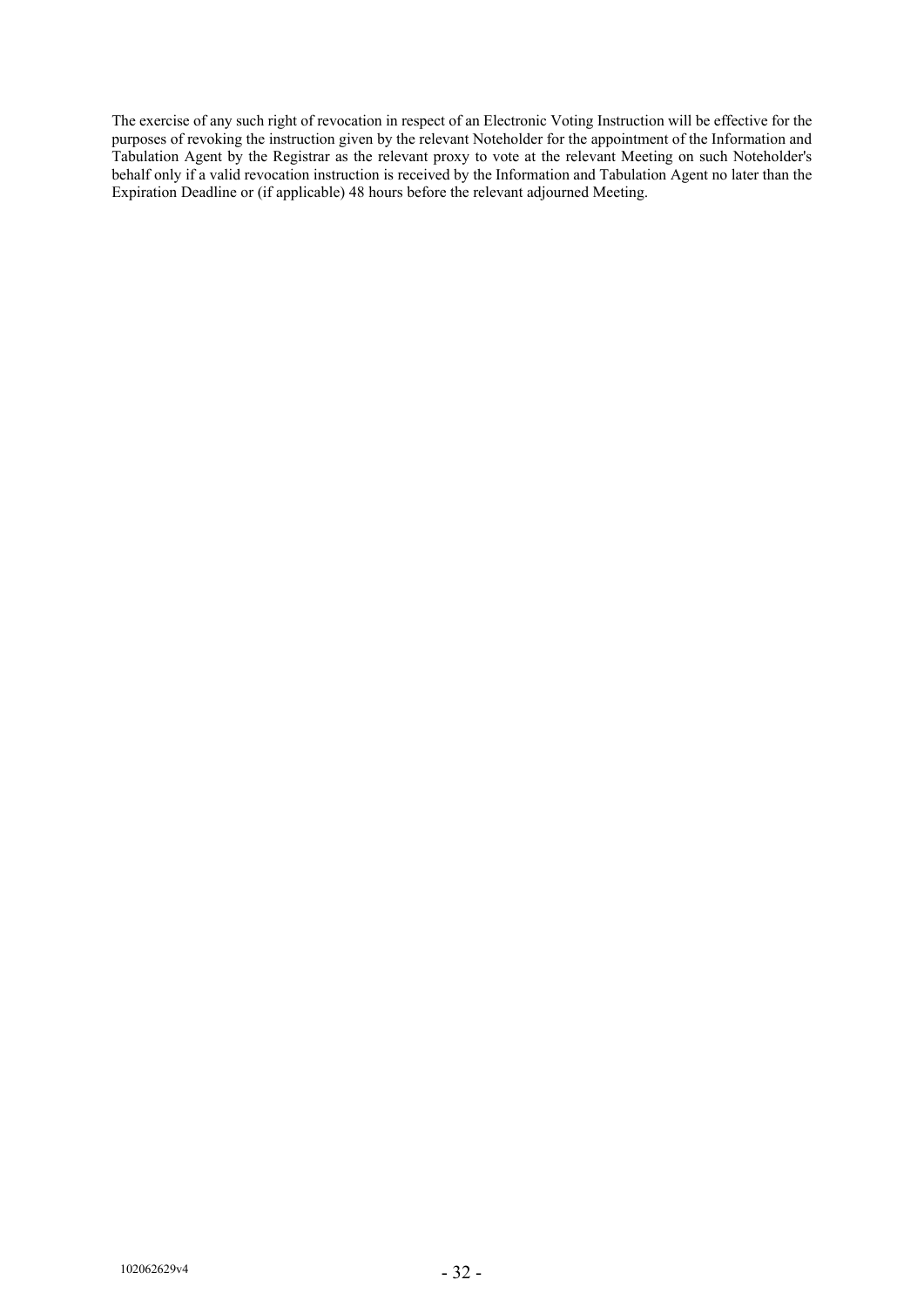The exercise of any such right of revocation in respect of an Electronic Voting Instruction will be effective for the purposes of revoking the instruction given by the relevant Noteholder for the appointment of the Information and Tabulation Agent by the Registrar as the relevant proxy to vote at the relevant Meeting on such Noteholder's behalf only if a valid revocation instruction is received by the Information and Tabulation Agent no later than the Expiration Deadline or (if applicable) 48 hours before the relevant adjourned Meeting.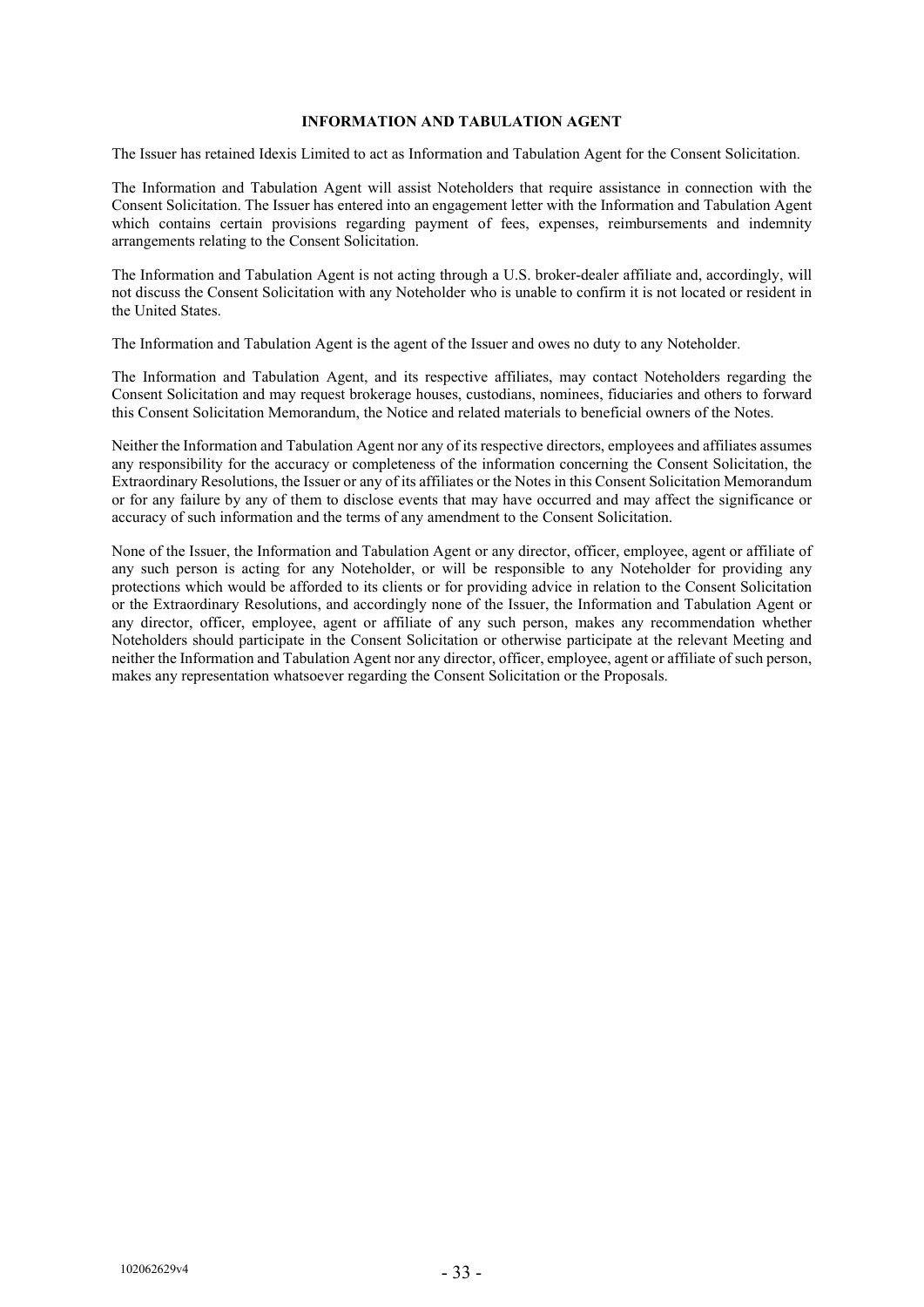# **INFORMATION AND TABULATION AGENT**

The Issuer has retained Idexis Limited to act as Information and Tabulation Agent for the Consent Solicitation.

The Information and Tabulation Agent will assist Noteholders that require assistance in connection with the Consent Solicitation. The Issuer has entered into an engagement letter with the Information and Tabulation Agent which contains certain provisions regarding payment of fees, expenses, reimbursements and indemnity arrangements relating to the Consent Solicitation.

The Information and Tabulation Agent is not acting through a U.S. broker-dealer affiliate and, accordingly, will not discuss the Consent Solicitation with any Noteholder who is unable to confirm it is not located or resident in the United States.

The Information and Tabulation Agent is the agent of the Issuer and owes no duty to any Noteholder.

The Information and Tabulation Agent, and its respective affiliates, may contact Noteholders regarding the Consent Solicitation and may request brokerage houses, custodians, nominees, fiduciaries and others to forward this Consent Solicitation Memorandum, the Notice and related materials to beneficial owners of the Notes.

Neither the Information and Tabulation Agent nor any of its respective directors, employees and affiliates assumes any responsibility for the accuracy or completeness of the information concerning the Consent Solicitation, the Extraordinary Resolutions, the Issuer or any of its affiliates or the Notes in this Consent Solicitation Memorandum or for any failure by any of them to disclose events that may have occurred and may affect the significance or accuracy of such information and the terms of any amendment to the Consent Solicitation.

None of the Issuer, the Information and Tabulation Agent or any director, officer, employee, agent or affiliate of any such person is acting for any Noteholder, or will be responsible to any Noteholder for providing any protections which would be afforded to its clients or for providing advice in relation to the Consent Solicitation or the Extraordinary Resolutions, and accordingly none of the Issuer, the Information and Tabulation Agent or any director, officer, employee, agent or affiliate of any such person, makes any recommendation whether Noteholders should participate in the Consent Solicitation or otherwise participate at the relevant Meeting and neither the Information and Tabulation Agent nor any director, officer, employee, agent or affiliate of such person, makes any representation whatsoever regarding the Consent Solicitation or the Proposals.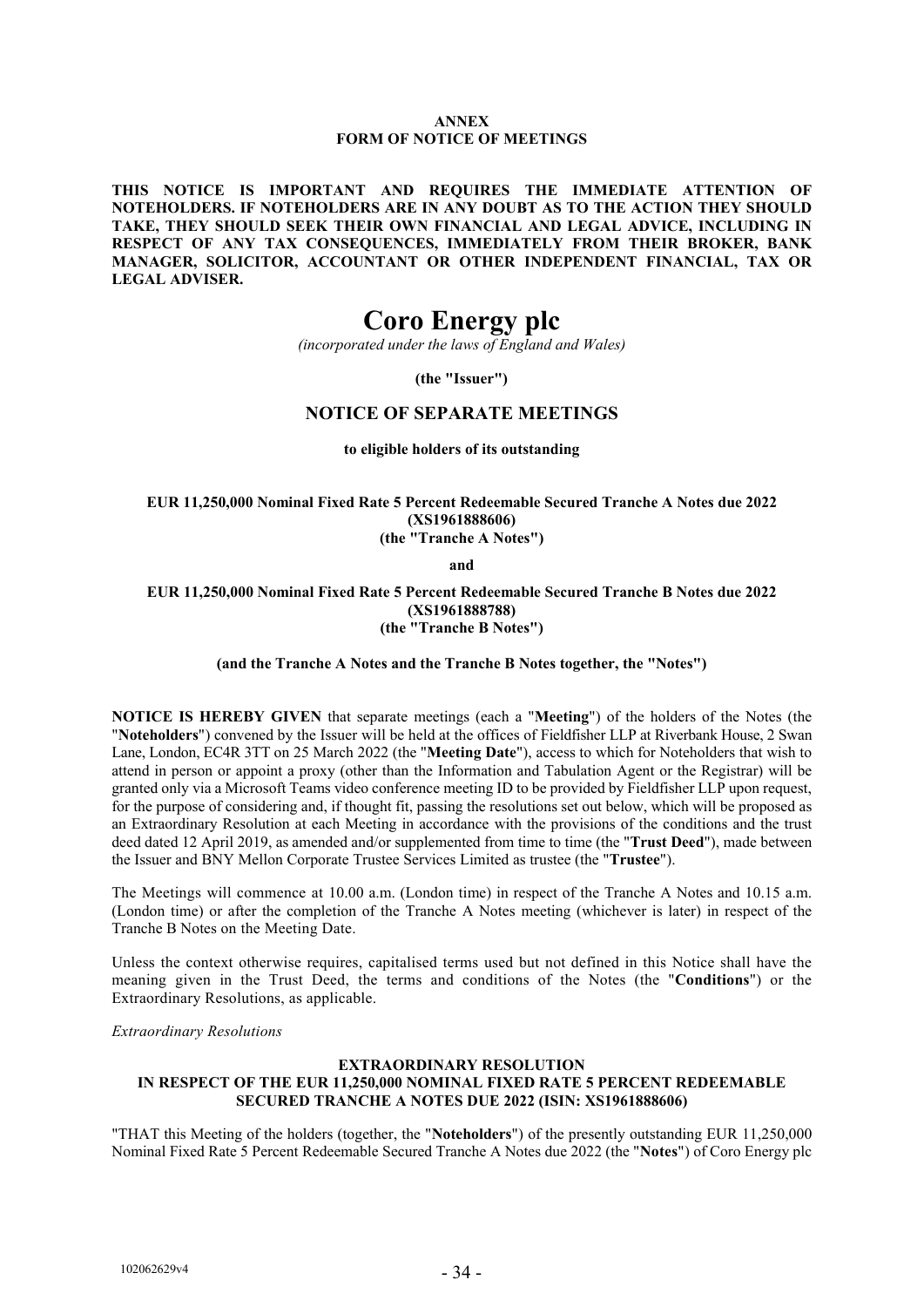# **ANNEX FORM OF NOTICE OF MEETINGS**

**THIS NOTICE IS IMPORTANT AND REQUIRES THE IMMEDIATE ATTENTION OF NOTEHOLDERS. IF NOTEHOLDERS ARE IN ANY DOUBT AS TO THE ACTION THEY SHOULD TAKE, THEY SHOULD SEEK THEIR OWN FINANCIAL AND LEGAL ADVICE, INCLUDING IN RESPECT OF ANY TAX CONSEQUENCES, IMMEDIATELY FROM THEIR BROKER, BANK MANAGER, SOLICITOR, ACCOUNTANT OR OTHER INDEPENDENT FINANCIAL, TAX OR LEGAL ADVISER.**

# **Coro Energy plc**

*(incorporated under the laws of England and Wales)*

**(the "Issuer")**

# **NOTICE OF SEPARATE MEETINGS**

**to eligible holders of its outstanding** 

**EUR 11,250,000 Nominal Fixed Rate 5 Percent Redeemable Secured Tranche A Notes due 2022 (XS1961888606) (the "Tranche A Notes")** 

**and** 

**EUR 11,250,000 Nominal Fixed Rate 5 Percent Redeemable Secured Tranche B Notes due 2022 (XS1961888788) (the "Tranche B Notes")**

**(and the Tranche A Notes and the Tranche B Notes together, the "Notes")**

**NOTICE IS HEREBY GIVEN** that separate meetings (each a "**Meeting**") of the holders of the Notes (the "**Noteholders**") convened by the Issuer will be held at the offices of Fieldfisher LLP at Riverbank House, 2 Swan Lane, London, EC4R 3TT on 25 March 2022 (the "**Meeting Date**"), access to which for Noteholders that wish to attend in person or appoint a proxy (other than the Information and Tabulation Agent or the Registrar) will be granted only via a Microsoft Teams video conference meeting ID to be provided by Fieldfisher LLP upon request, for the purpose of considering and, if thought fit, passing the resolutions set out below, which will be proposed as an Extraordinary Resolution at each Meeting in accordance with the provisions of the conditions and the trust deed dated 12 April 2019, as amended and/or supplemented from time to time (the "**Trust Deed**"), made between the Issuer and BNY Mellon Corporate Trustee Services Limited as trustee (the "**Trustee**").

The Meetings will commence at 10.00 a.m. (London time) in respect of the Tranche A Notes and 10.15 a.m. (London time) or after the completion of the Tranche A Notes meeting (whichever is later) in respect of the Tranche B Notes on the Meeting Date.

Unless the context otherwise requires, capitalised terms used but not defined in this Notice shall have the meaning given in the Trust Deed, the terms and conditions of the Notes (the "**Conditions**") or the Extraordinary Resolutions, as applicable.

*Extraordinary Resolutions* 

# **EXTRAORDINARY RESOLUTION IN RESPECT OF THE EUR 11,250,000 NOMINAL FIXED RATE 5 PERCENT REDEEMABLE SECURED TRANCHE A NOTES DUE 2022 (ISIN: XS1961888606)**

"THAT this Meeting of the holders (together, the "**Noteholders**") of the presently outstanding EUR 11,250,000 Nominal Fixed Rate 5 Percent Redeemable Secured Tranche A Notes due 2022 (the "**Notes**") of Coro Energy plc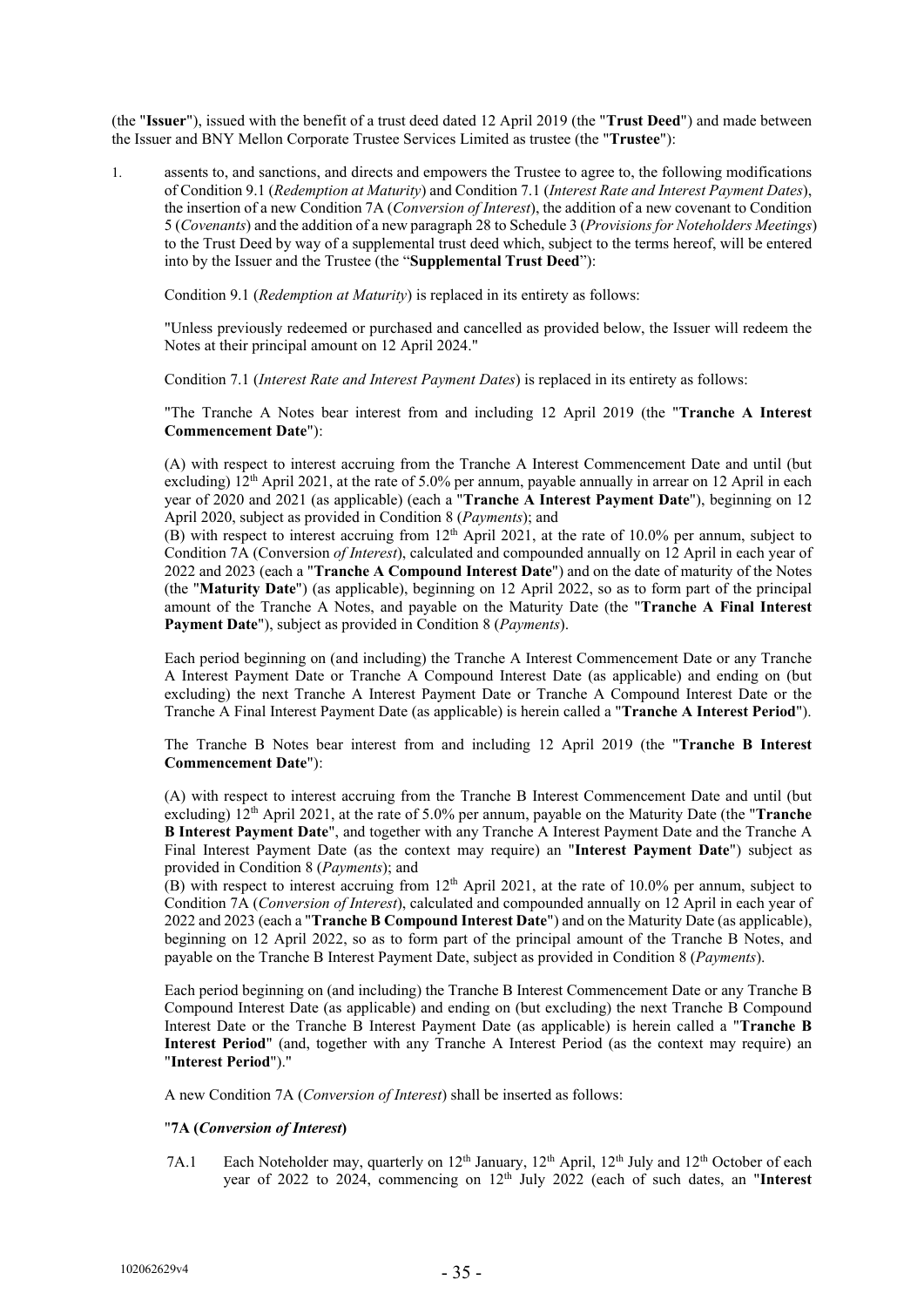(the "**Issuer**"), issued with the benefit of a trust deed dated 12 April 2019 (the "**Trust Deed**") and made between the Issuer and BNY Mellon Corporate Trustee Services Limited as trustee (the "**Trustee**"):

1. assents to, and sanctions, and directs and empowers the Trustee to agree to, the following modifications of Condition 9.1 (*Redemption at Maturity*) and Condition 7.1 (*Interest Rate and Interest Payment Dates*), the insertion of a new Condition 7A (*Conversion of Interest*), the addition of a new covenant to Condition 5 (*Covenants*) and the addition of a new paragraph 28 to Schedule 3 (*Provisions for Noteholders Meetings*) to the Trust Deed by way of a supplemental trust deed which, subject to the terms hereof, will be entered into by the Issuer and the Trustee (the "**Supplemental Trust Deed**"):

Condition 9.1 (*Redemption at Maturity*) is replaced in its entirety as follows:

"Unless previously redeemed or purchased and cancelled as provided below, the Issuer will redeem the Notes at their principal amount on 12 April 2024."

Condition 7.1 (*Interest Rate and Interest Payment Dates*) is replaced in its entirety as follows:

"The Tranche A Notes bear interest from and including 12 April 2019 (the "**Tranche A Interest Commencement Date**"):

(A) with respect to interest accruing from the Tranche A Interest Commencement Date and until (but excluding) 12<sup>th</sup> April 2021, at the rate of 5.0% per annum, payable annually in arrear on 12 April in each year of 2020 and 2021 (as applicable) (each a "**Tranche A Interest Payment Date**"), beginning on 12 April 2020, subject as provided in Condition 8 (*Payments*); and

(B) with respect to interest accruing from  $12<sup>th</sup>$  April 2021, at the rate of 10.0% per annum, subject to Condition 7A (Conversion *of Interest*), calculated and compounded annually on 12 April in each year of 2022 and 2023 (each a "**Tranche A Compound Interest Date**") and on the date of maturity of the Notes (the "**Maturity Date**") (as applicable), beginning on 12 April 2022, so as to form part of the principal amount of the Tranche A Notes, and payable on the Maturity Date (the "**Tranche A Final Interest Payment Date**"), subject as provided in Condition 8 (*Payments*).

Each period beginning on (and including) the Tranche A Interest Commencement Date or any Tranche A Interest Payment Date or Tranche A Compound Interest Date (as applicable) and ending on (but excluding) the next Tranche A Interest Payment Date or Tranche A Compound Interest Date or the Tranche A Final Interest Payment Date (as applicable) is herein called a "**Tranche A Interest Period**").

The Tranche B Notes bear interest from and including 12 April 2019 (the "**Tranche B Interest Commencement Date**"):

(A) with respect to interest accruing from the Tranche B Interest Commencement Date and until (but excluding) 12th April 2021, at the rate of 5.0% per annum, payable on the Maturity Date (the "**Tranche B Interest Payment Date**", and together with any Tranche A Interest Payment Date and the Tranche A Final Interest Payment Date (as the context may require) an "**Interest Payment Date**") subject as provided in Condition 8 (*Payments*); and

(B) with respect to interest accruing from  $12<sup>th</sup>$  April 2021, at the rate of 10.0% per annum, subject to Condition 7A (*Conversion of Interest*), calculated and compounded annually on 12 April in each year of 2022 and 2023 (each a "**Tranche B Compound Interest Date**") and on the Maturity Date (as applicable), beginning on 12 April 2022, so as to form part of the principal amount of the Tranche B Notes, and payable on the Tranche B Interest Payment Date, subject as provided in Condition 8 (*Payments*).

Each period beginning on (and including) the Tranche B Interest Commencement Date or any Tranche B Compound Interest Date (as applicable) and ending on (but excluding) the next Tranche B Compound Interest Date or the Tranche B Interest Payment Date (as applicable) is herein called a "**Tranche B Interest Period**" (and, together with any Tranche A Interest Period (as the context may require) an "**Interest Period**")."

A new Condition 7A (*Conversion of Interest*) shall be inserted as follows:

# "**7A (***Conversion of Interest***)**

7A.1 Each Noteholder may, quarterly on 12<sup>th</sup> January, 12<sup>th</sup> April, 12<sup>th</sup> July and 12<sup>th</sup> October of each year of 2022 to 2024, commencing on 12<sup>th</sup> July 2022 (each of such dates, an "Interest"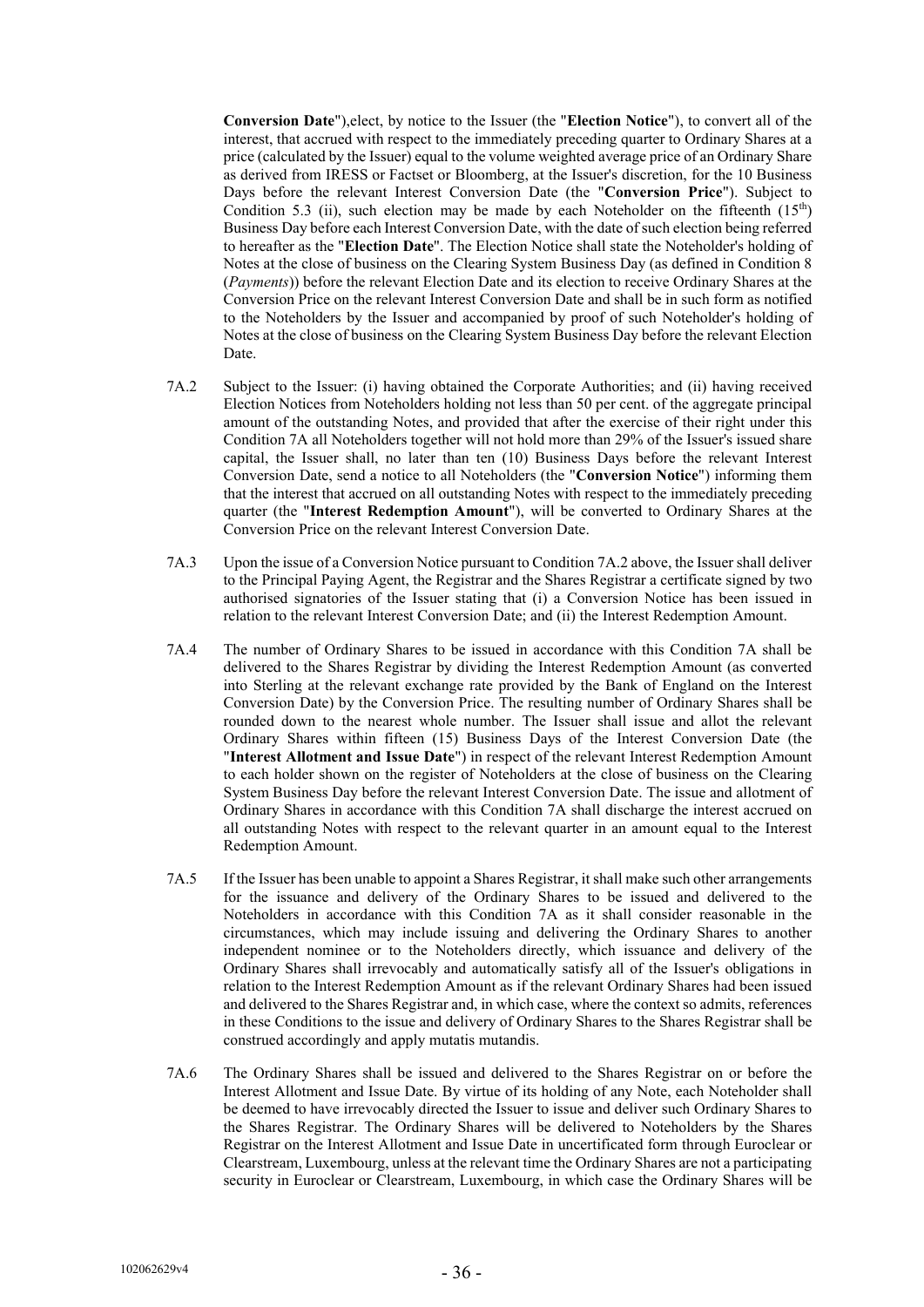**Conversion Date**"),elect, by notice to the Issuer (the "**Election Notice**"), to convert all of the interest, that accrued with respect to the immediately preceding quarter to Ordinary Shares at a price (calculated by the Issuer) equal to the volume weighted average price of an Ordinary Share as derived from IRESS or Factset or Bloomberg, at the Issuer's discretion, for the 10 Business Days before the relevant Interest Conversion Date (the "**Conversion Price**"). Subject to Condition 5.3 (ii), such election may be made by each Noteholder on the fifteenth  $(15<sup>th</sup>)$ Business Day before each Interest Conversion Date, with the date of such election being referred to hereafter as the "**Election Date**". The Election Notice shall state the Noteholder's holding of Notes at the close of business on the Clearing System Business Day (as defined in Condition 8 (*Payments*)) before the relevant Election Date and its election to receive Ordinary Shares at the Conversion Price on the relevant Interest Conversion Date and shall be in such form as notified to the Noteholders by the Issuer and accompanied by proof of such Noteholder's holding of Notes at the close of business on the Clearing System Business Day before the relevant Election Date.

- 7A.2 Subject to the Issuer: (i) having obtained the Corporate Authorities; and (ii) having received Election Notices from Noteholders holding not less than 50 per cent. of the aggregate principal amount of the outstanding Notes, and provided that after the exercise of their right under this Condition 7A all Noteholders together will not hold more than 29% of the Issuer's issued share capital, the Issuer shall, no later than ten (10) Business Days before the relevant Interest Conversion Date, send a notice to all Noteholders (the "**Conversion Notice**") informing them that the interest that accrued on all outstanding Notes with respect to the immediately preceding quarter (the "**Interest Redemption Amount**"), will be converted to Ordinary Shares at the Conversion Price on the relevant Interest Conversion Date.
- 7A.3 Upon the issue of a Conversion Notice pursuant to Condition 7A.2 above, the Issuer shall deliver to the Principal Paying Agent, the Registrar and the Shares Registrar a certificate signed by two authorised signatories of the Issuer stating that (i) a Conversion Notice has been issued in relation to the relevant Interest Conversion Date; and (ii) the Interest Redemption Amount.
- 7A.4 The number of Ordinary Shares to be issued in accordance with this Condition 7A shall be delivered to the Shares Registrar by dividing the Interest Redemption Amount (as converted into Sterling at the relevant exchange rate provided by the Bank of England on the Interest Conversion Date) by the Conversion Price. The resulting number of Ordinary Shares shall be rounded down to the nearest whole number. The Issuer shall issue and allot the relevant Ordinary Shares within fifteen (15) Business Days of the Interest Conversion Date (the "**Interest Allotment and Issue Date**") in respect of the relevant Interest Redemption Amount to each holder shown on the register of Noteholders at the close of business on the Clearing System Business Day before the relevant Interest Conversion Date. The issue and allotment of Ordinary Shares in accordance with this Condition 7A shall discharge the interest accrued on all outstanding Notes with respect to the relevant quarter in an amount equal to the Interest Redemption Amount.
- 7A.5 If the Issuer has been unable to appoint a Shares Registrar, it shall make such other arrangements for the issuance and delivery of the Ordinary Shares to be issued and delivered to the Noteholders in accordance with this Condition 7A as it shall consider reasonable in the circumstances, which may include issuing and delivering the Ordinary Shares to another independent nominee or to the Noteholders directly, which issuance and delivery of the Ordinary Shares shall irrevocably and automatically satisfy all of the Issuer's obligations in relation to the Interest Redemption Amount as if the relevant Ordinary Shares had been issued and delivered to the Shares Registrar and, in which case, where the context so admits, references in these Conditions to the issue and delivery of Ordinary Shares to the Shares Registrar shall be construed accordingly and apply mutatis mutandis.
- 7A.6 The Ordinary Shares shall be issued and delivered to the Shares Registrar on or before the Interest Allotment and Issue Date. By virtue of its holding of any Note, each Noteholder shall be deemed to have irrevocably directed the Issuer to issue and deliver such Ordinary Shares to the Shares Registrar. The Ordinary Shares will be delivered to Noteholders by the Shares Registrar on the Interest Allotment and Issue Date in uncertificated form through Euroclear or Clearstream, Luxembourg, unless at the relevant time the Ordinary Shares are not a participating security in Euroclear or Clearstream, Luxembourg, in which case the Ordinary Shares will be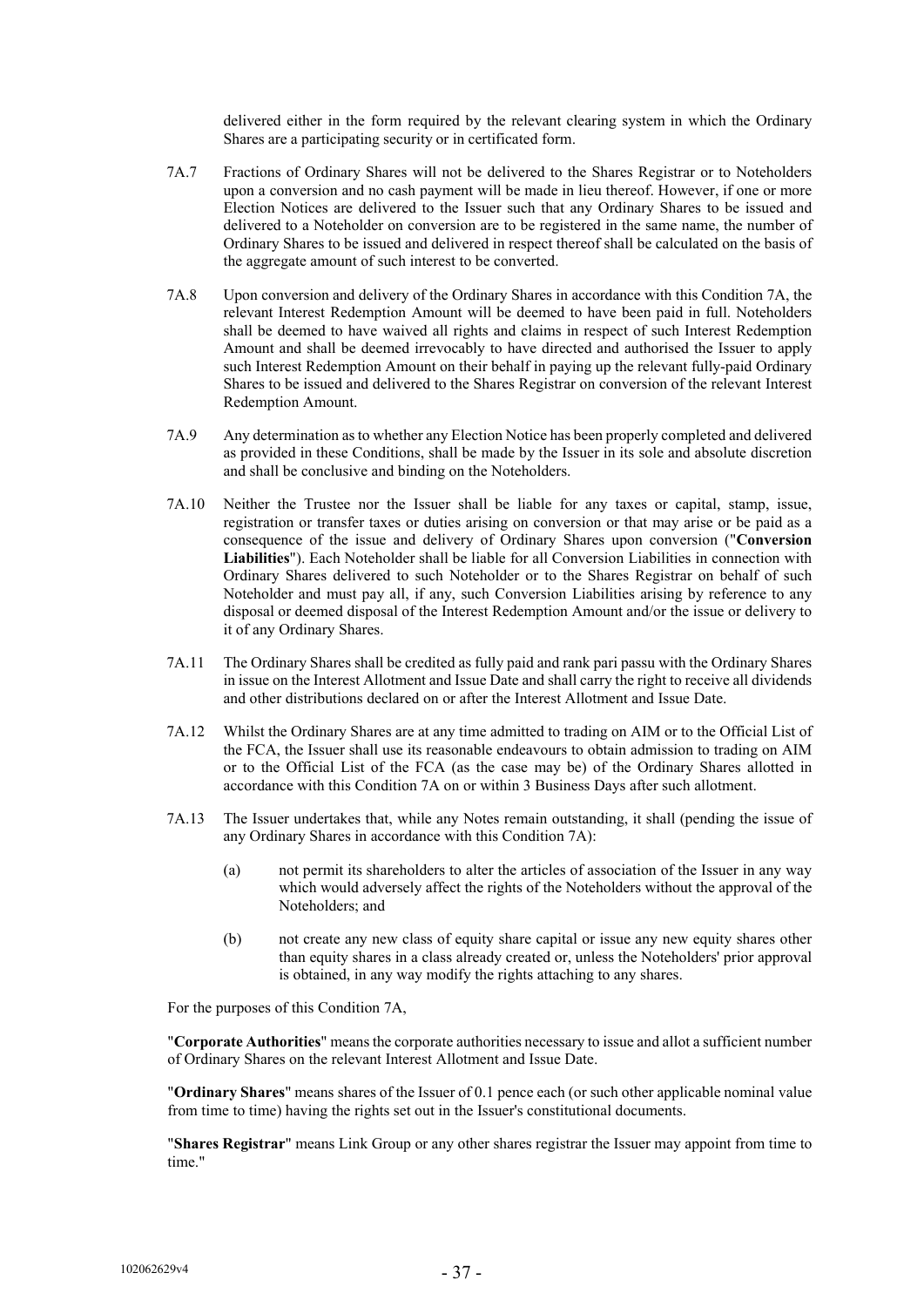delivered either in the form required by the relevant clearing system in which the Ordinary Shares are a participating security or in certificated form.

- 7A.7 Fractions of Ordinary Shares will not be delivered to the Shares Registrar or to Noteholders upon a conversion and no cash payment will be made in lieu thereof. However, if one or more Election Notices are delivered to the Issuer such that any Ordinary Shares to be issued and delivered to a Noteholder on conversion are to be registered in the same name, the number of Ordinary Shares to be issued and delivered in respect thereof shall be calculated on the basis of the aggregate amount of such interest to be converted.
- 7A.8 Upon conversion and delivery of the Ordinary Shares in accordance with this Condition 7A, the relevant Interest Redemption Amount will be deemed to have been paid in full. Noteholders shall be deemed to have waived all rights and claims in respect of such Interest Redemption Amount and shall be deemed irrevocably to have directed and authorised the Issuer to apply such Interest Redemption Amount on their behalf in paying up the relevant fully-paid Ordinary Shares to be issued and delivered to the Shares Registrar on conversion of the relevant Interest Redemption Amount.
- 7A.9 Any determination asto whether any Election Notice has been properly completed and delivered as provided in these Conditions, shall be made by the Issuer in its sole and absolute discretion and shall be conclusive and binding on the Noteholders.
- 7A.10 Neither the Trustee nor the Issuer shall be liable for any taxes or capital, stamp, issue, registration or transfer taxes or duties arising on conversion or that may arise or be paid as a consequence of the issue and delivery of Ordinary Shares upon conversion ("**Conversion Liabilities**"). Each Noteholder shall be liable for all Conversion Liabilities in connection with Ordinary Shares delivered to such Noteholder or to the Shares Registrar on behalf of such Noteholder and must pay all, if any, such Conversion Liabilities arising by reference to any disposal or deemed disposal of the Interest Redemption Amount and/or the issue or delivery to it of any Ordinary Shares.
- 7A.11 The Ordinary Shares shall be credited as fully paid and rank pari passu with the Ordinary Shares in issue on the Interest Allotment and Issue Date and shall carry the right to receive all dividends and other distributions declared on or after the Interest Allotment and Issue Date.
- 7A.12 Whilst the Ordinary Shares are at any time admitted to trading on AIM or to the Official List of the FCA, the Issuer shall use its reasonable endeavours to obtain admission to trading on AIM or to the Official List of the FCA (as the case may be) of the Ordinary Shares allotted in accordance with this Condition 7A on or within 3 Business Days after such allotment.
- 7A.13 The Issuer undertakes that, while any Notes remain outstanding, it shall (pending the issue of any Ordinary Shares in accordance with this Condition 7A):
	- (a) not permit its shareholders to alter the articles of association of the Issuer in any way which would adversely affect the rights of the Noteholders without the approval of the Noteholders; and
	- (b) not create any new class of equity share capital or issue any new equity shares other than equity shares in a class already created or, unless the Noteholders' prior approval is obtained, in any way modify the rights attaching to any shares.

For the purposes of this Condition 7A,

"**Corporate Authorities**" means the corporate authorities necessary to issue and allot a sufficient number of Ordinary Shares on the relevant Interest Allotment and Issue Date.

"**Ordinary Shares**" means shares of the Issuer of 0.1 pence each (or such other applicable nominal value from time to time) having the rights set out in the Issuer's constitutional documents.

"**Shares Registrar**" means Link Group or any other shares registrar the Issuer may appoint from time to time."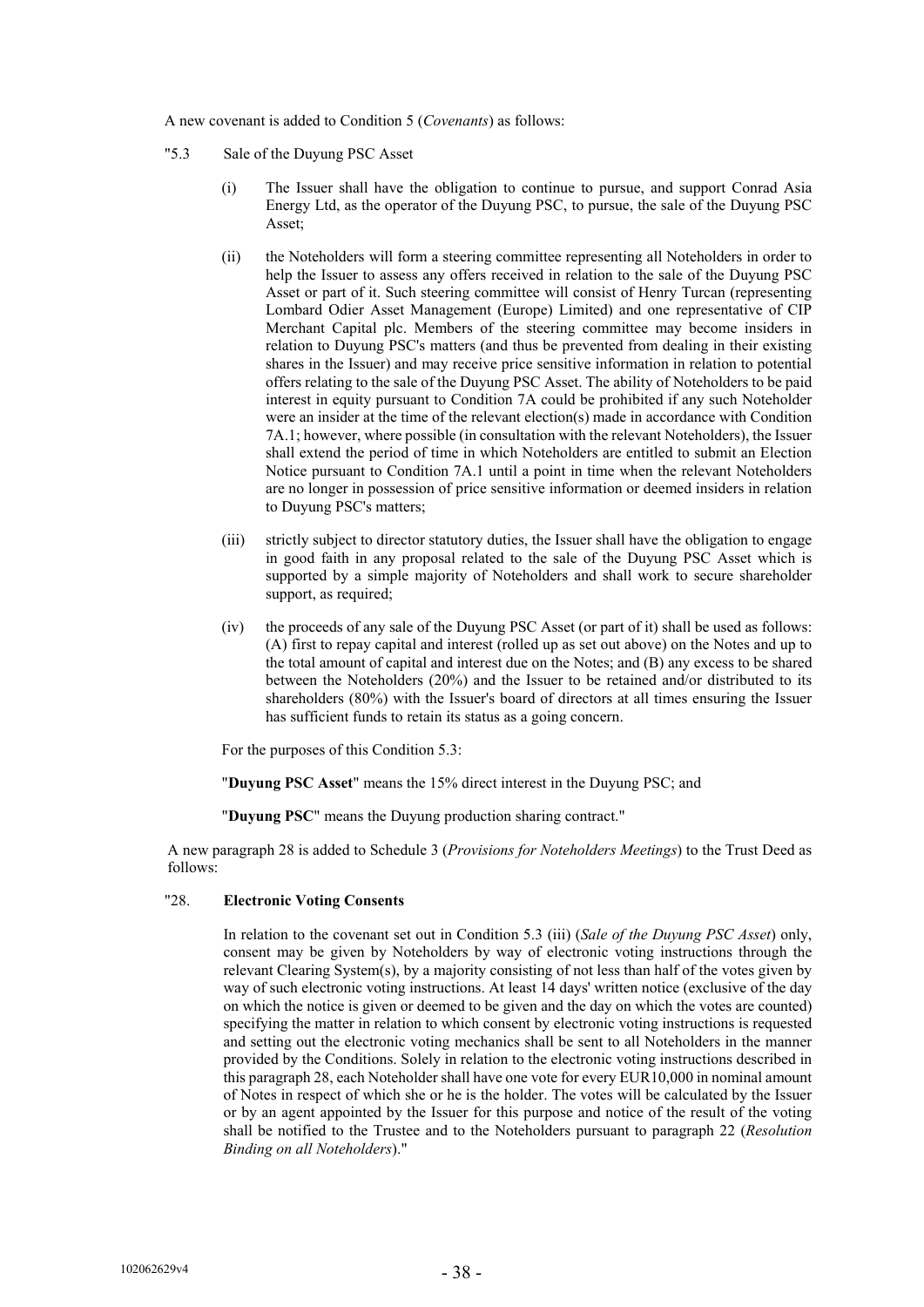A new covenant is added to Condition 5 (*Covenants*) as follows:

- "5.3 Sale of the Duyung PSC Asset
	- (i) The Issuer shall have the obligation to continue to pursue, and support Conrad Asia Energy Ltd, as the operator of the Duyung PSC, to pursue, the sale of the Duyung PSC Asset;
	- (ii) the Noteholders will form a steering committee representing all Noteholders in order to help the Issuer to assess any offers received in relation to the sale of the Duyung PSC Asset or part of it. Such steering committee will consist of Henry Turcan (representing Lombard Odier Asset Management (Europe) Limited) and one representative of CIP Merchant Capital plc. Members of the steering committee may become insiders in relation to Duyung PSC's matters (and thus be prevented from dealing in their existing shares in the Issuer) and may receive price sensitive information in relation to potential offers relating to the sale of the Duyung PSC Asset. The ability of Noteholders to be paid interest in equity pursuant to Condition 7A could be prohibited if any such Noteholder were an insider at the time of the relevant election(s) made in accordance with Condition 7A.1; however, where possible (in consultation with the relevant Noteholders), the Issuer shall extend the period of time in which Noteholders are entitled to submit an Election Notice pursuant to Condition 7A.1 until a point in time when the relevant Noteholders are no longer in possession of price sensitive information or deemed insiders in relation to Duyung PSC's matters;
	- (iii) strictly subject to director statutory duties, the Issuer shall have the obligation to engage in good faith in any proposal related to the sale of the Duyung PSC Asset which is supported by a simple majority of Noteholders and shall work to secure shareholder support, as required;
	- (iv) the proceeds of any sale of the Duyung PSC Asset (or part of it) shall be used as follows: (A) first to repay capital and interest (rolled up as set out above) on the Notes and up to the total amount of capital and interest due on the Notes; and (B) any excess to be shared between the Noteholders (20%) and the Issuer to be retained and/or distributed to its shareholders (80%) with the Issuer's board of directors at all times ensuring the Issuer has sufficient funds to retain its status as a going concern.

For the purposes of this Condition 5.3:

"**Duyung PSC Asset**" means the 15% direct interest in the Duyung PSC; and

"**Duyung PSC**" means the Duyung production sharing contract."

A new paragraph 28 is added to Schedule 3 (*Provisions for Noteholders Meetings*) to the Trust Deed as follows:

# "28. **Electronic Voting Consents**

In relation to the covenant set out in Condition 5.3 (iii) (*Sale of the Duyung PSC Asset*) only, consent may be given by Noteholders by way of electronic voting instructions through the relevant Clearing System(s), by a majority consisting of not less than half of the votes given by way of such electronic voting instructions. At least 14 days' written notice (exclusive of the day on which the notice is given or deemed to be given and the day on which the votes are counted) specifying the matter in relation to which consent by electronic voting instructions is requested and setting out the electronic voting mechanics shall be sent to all Noteholders in the manner provided by the Conditions. Solely in relation to the electronic voting instructions described in this paragraph 28, each Noteholder shall have one vote for every EUR10,000 in nominal amount of Notes in respect of which she or he is the holder. The votes will be calculated by the Issuer or by an agent appointed by the Issuer for this purpose and notice of the result of the voting shall be notified to the Trustee and to the Noteholders pursuant to paragraph 22 (*Resolution Binding on all Noteholders*)."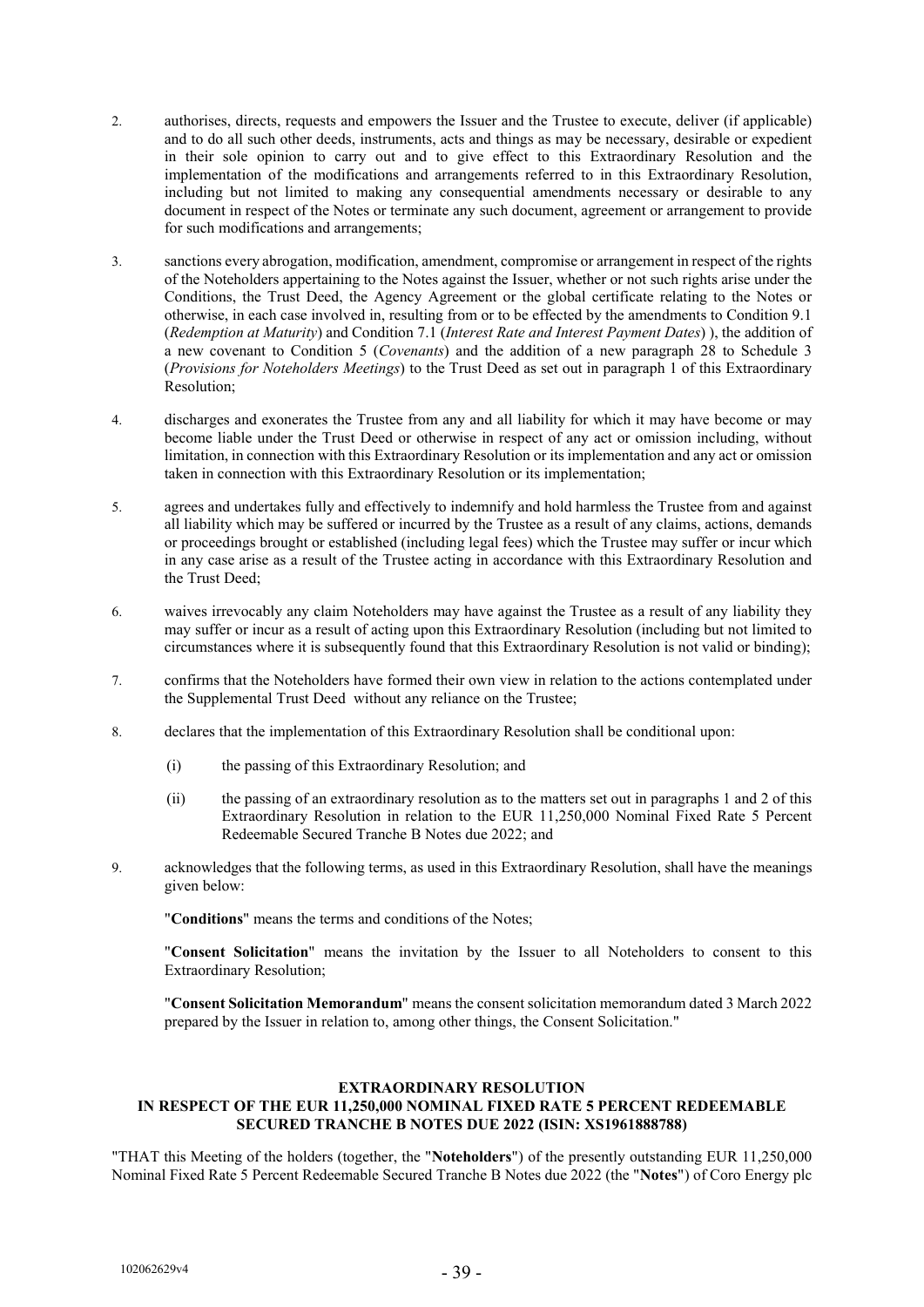- 2. authorises, directs, requests and empowers the Issuer and the Trustee to execute, deliver (if applicable) and to do all such other deeds, instruments, acts and things as may be necessary, desirable or expedient in their sole opinion to carry out and to give effect to this Extraordinary Resolution and the implementation of the modifications and arrangements referred to in this Extraordinary Resolution, including but not limited to making any consequential amendments necessary or desirable to any document in respect of the Notes or terminate any such document, agreement or arrangement to provide for such modifications and arrangements;
- 3. sanctions every abrogation, modification, amendment, compromise or arrangement in respect of the rights of the Noteholders appertaining to the Notes against the Issuer, whether or not such rights arise under the Conditions, the Trust Deed, the Agency Agreement or the global certificate relating to the Notes or otherwise, in each case involved in, resulting from or to be effected by the amendments to Condition 9.1 (*Redemption at Maturity*) and Condition 7.1 (*Interest Rate and Interest Payment Dates*) ), the addition of a new covenant to Condition 5 (*Covenants*) and the addition of a new paragraph 28 to Schedule 3 (*Provisions for Noteholders Meetings*) to the Trust Deed as set out in paragraph 1 of this Extraordinary Resolution:
- 4. discharges and exonerates the Trustee from any and all liability for which it may have become or may become liable under the Trust Deed or otherwise in respect of any act or omission including, without limitation, in connection with this Extraordinary Resolution or its implementation and any act or omission taken in connection with this Extraordinary Resolution or its implementation;
- 5. agrees and undertakes fully and effectively to indemnify and hold harmless the Trustee from and against all liability which may be suffered or incurred by the Trustee as a result of any claims, actions, demands or proceedings brought or established (including legal fees) which the Trustee may suffer or incur which in any case arise as a result of the Trustee acting in accordance with this Extraordinary Resolution and the Trust Deed;
- 6. waives irrevocably any claim Noteholders may have against the Trustee as a result of any liability they may suffer or incur as a result of acting upon this Extraordinary Resolution (including but not limited to circumstances where it is subsequently found that this Extraordinary Resolution is not valid or binding);
- 7. confirms that the Noteholders have formed their own view in relation to the actions contemplated under the Supplemental Trust Deed without any reliance on the Trustee;
- 8. declares that the implementation of this Extraordinary Resolution shall be conditional upon:
	- (i) the passing of this Extraordinary Resolution; and
	- (ii) the passing of an extraordinary resolution as to the matters set out in paragraphs 1 and 2 of this Extraordinary Resolution in relation to the EUR 11,250,000 Nominal Fixed Rate 5 Percent Redeemable Secured Tranche B Notes due 2022; and
- 9. acknowledges that the following terms, as used in this Extraordinary Resolution, shall have the meanings given below:

"**Conditions**" means the terms and conditions of the Notes;

"**Consent Solicitation**" means the invitation by the Issuer to all Noteholders to consent to this Extraordinary Resolution;

"**Consent Solicitation Memorandum**" means the consent solicitation memorandum dated 3 March 2022 prepared by the Issuer in relation to, among other things, the Consent Solicitation."

#### **EXTRAORDINARY RESOLUTION IN RESPECT OF THE EUR 11,250,000 NOMINAL FIXED RATE 5 PERCENT REDEEMABLE SECURED TRANCHE B NOTES DUE 2022 (ISIN: XS1961888788)**

"THAT this Meeting of the holders (together, the "**Noteholders**") of the presently outstanding EUR 11,250,000 Nominal Fixed Rate 5 Percent Redeemable Secured Tranche B Notes due 2022 (the "**Notes**") of Coro Energy plc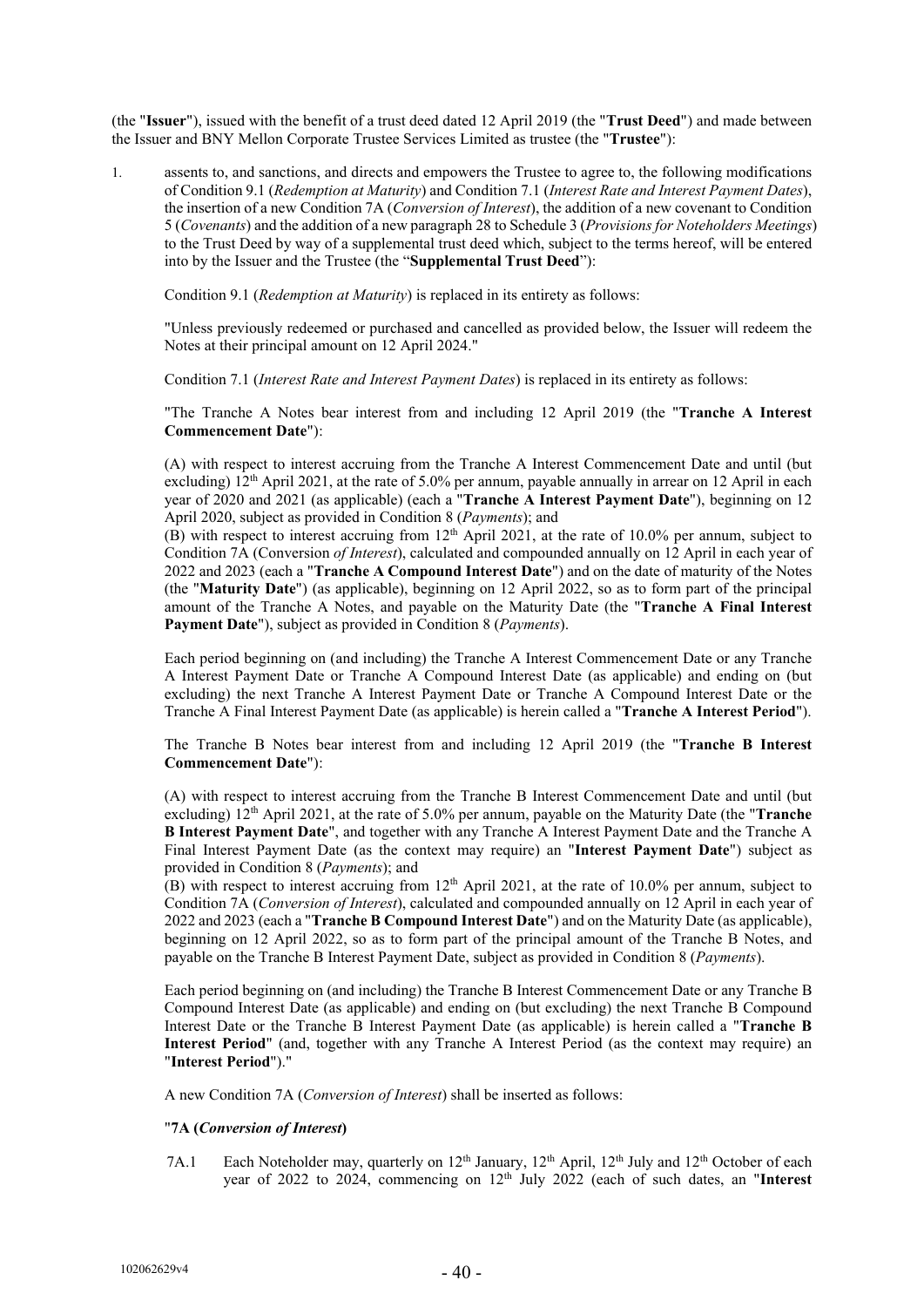(the "**Issuer**"), issued with the benefit of a trust deed dated 12 April 2019 (the "**Trust Deed**") and made between the Issuer and BNY Mellon Corporate Trustee Services Limited as trustee (the "**Trustee**"):

1. assents to, and sanctions, and directs and empowers the Trustee to agree to, the following modifications of Condition 9.1 (*Redemption at Maturity*) and Condition 7.1 (*Interest Rate and Interest Payment Dates*), the insertion of a new Condition 7A (*Conversion of Interest*), the addition of a new covenant to Condition 5 (*Covenants*) and the addition of a new paragraph 28 to Schedule 3 (*Provisions for Noteholders Meetings*) to the Trust Deed by way of a supplemental trust deed which, subject to the terms hereof, will be entered into by the Issuer and the Trustee (the "**Supplemental Trust Deed**"):

Condition 9.1 (*Redemption at Maturity*) is replaced in its entirety as follows:

"Unless previously redeemed or purchased and cancelled as provided below, the Issuer will redeem the Notes at their principal amount on 12 April 2024."

Condition 7.1 (*Interest Rate and Interest Payment Dates*) is replaced in its entirety as follows:

"The Tranche A Notes bear interest from and including 12 April 2019 (the "**Tranche A Interest Commencement Date**"):

(A) with respect to interest accruing from the Tranche A Interest Commencement Date and until (but excluding) 12<sup>th</sup> April 2021, at the rate of 5.0% per annum, payable annually in arrear on 12 April in each year of 2020 and 2021 (as applicable) (each a "**Tranche A Interest Payment Date**"), beginning on 12 April 2020, subject as provided in Condition 8 (*Payments*); and

(B) with respect to interest accruing from  $12<sup>th</sup>$  April 2021, at the rate of 10.0% per annum, subject to Condition 7A (Conversion *of Interest*), calculated and compounded annually on 12 April in each year of 2022 and 2023 (each a "**Tranche A Compound Interest Date**") and on the date of maturity of the Notes (the "**Maturity Date**") (as applicable), beginning on 12 April 2022, so as to form part of the principal amount of the Tranche A Notes, and payable on the Maturity Date (the "**Tranche A Final Interest Payment Date**"), subject as provided in Condition 8 (*Payments*).

Each period beginning on (and including) the Tranche A Interest Commencement Date or any Tranche A Interest Payment Date or Tranche A Compound Interest Date (as applicable) and ending on (but excluding) the next Tranche A Interest Payment Date or Tranche A Compound Interest Date or the Tranche A Final Interest Payment Date (as applicable) is herein called a "**Tranche A Interest Period**").

The Tranche B Notes bear interest from and including 12 April 2019 (the "**Tranche B Interest Commencement Date**"):

(A) with respect to interest accruing from the Tranche B Interest Commencement Date and until (but excluding) 12th April 2021, at the rate of 5.0% per annum, payable on the Maturity Date (the "**Tranche B Interest Payment Date**", and together with any Tranche A Interest Payment Date and the Tranche A Final Interest Payment Date (as the context may require) an "**Interest Payment Date**") subject as provided in Condition 8 (*Payments*); and

(B) with respect to interest accruing from  $12<sup>th</sup>$  April 2021, at the rate of 10.0% per annum, subject to Condition 7A (*Conversion of Interest*), calculated and compounded annually on 12 April in each year of 2022 and 2023 (each a "**Tranche B Compound Interest Date**") and on the Maturity Date (as applicable), beginning on 12 April 2022, so as to form part of the principal amount of the Tranche B Notes, and payable on the Tranche B Interest Payment Date, subject as provided in Condition 8 (*Payments*).

Each period beginning on (and including) the Tranche B Interest Commencement Date or any Tranche B Compound Interest Date (as applicable) and ending on (but excluding) the next Tranche B Compound Interest Date or the Tranche B Interest Payment Date (as applicable) is herein called a "**Tranche B Interest Period**" (and, together with any Tranche A Interest Period (as the context may require) an "**Interest Period**")."

A new Condition 7A (*Conversion of Interest*) shall be inserted as follows:

# "**7A (***Conversion of Interest***)**

7A.1 Each Noteholder may, quarterly on 12<sup>th</sup> January, 12<sup>th</sup> April, 12<sup>th</sup> July and 12<sup>th</sup> October of each year of 2022 to 2024, commencing on 12<sup>th</sup> July 2022 (each of such dates, an "Interest"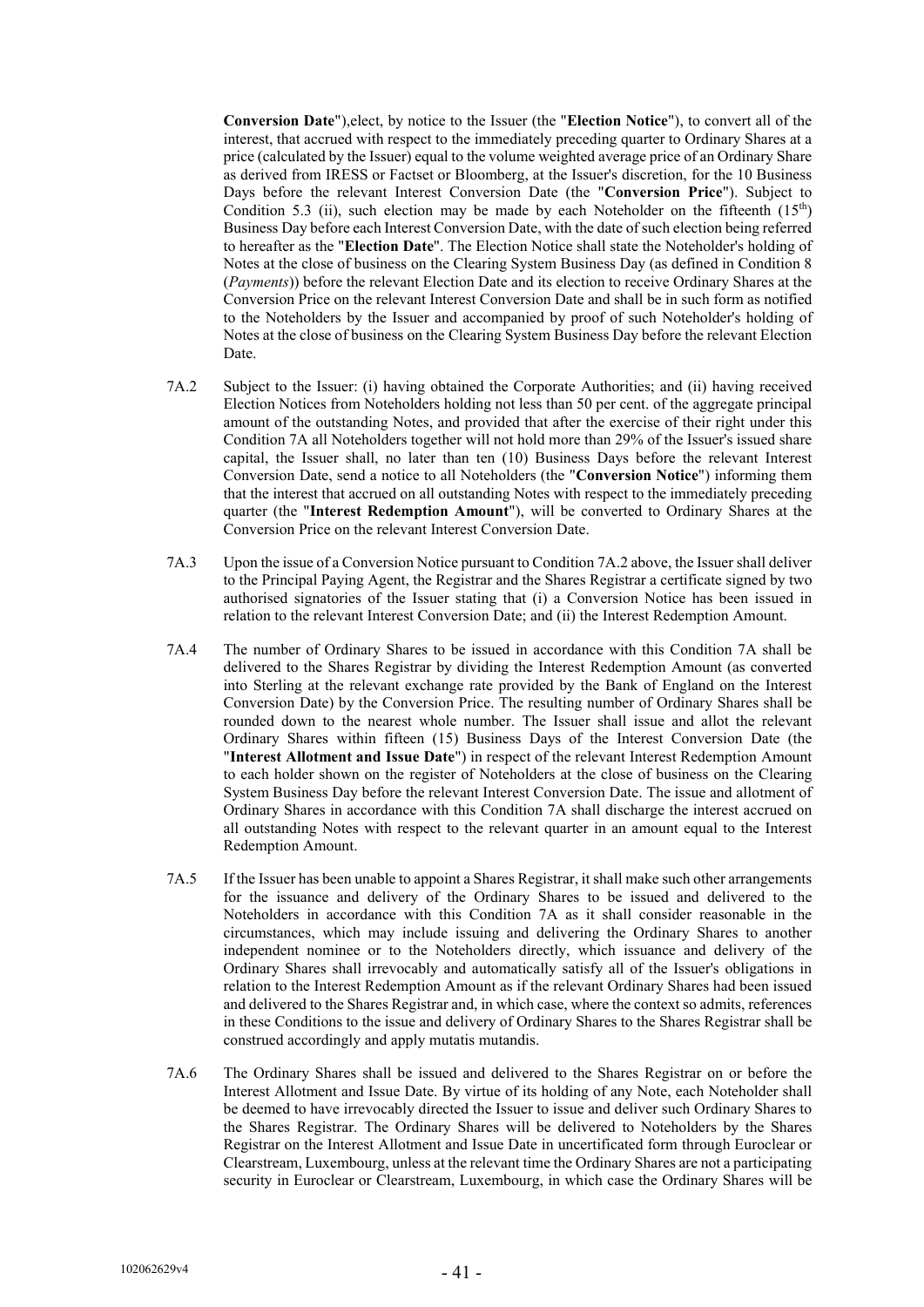**Conversion Date**"),elect, by notice to the Issuer (the "**Election Notice**"), to convert all of the interest, that accrued with respect to the immediately preceding quarter to Ordinary Shares at a price (calculated by the Issuer) equal to the volume weighted average price of an Ordinary Share as derived from IRESS or Factset or Bloomberg, at the Issuer's discretion, for the 10 Business Days before the relevant Interest Conversion Date (the "**Conversion Price**"). Subject to Condition 5.3 (ii), such election may be made by each Noteholder on the fifteenth  $(15<sup>th</sup>)$ Business Day before each Interest Conversion Date, with the date of such election being referred to hereafter as the "**Election Date**". The Election Notice shall state the Noteholder's holding of Notes at the close of business on the Clearing System Business Day (as defined in Condition 8 (*Payments*)) before the relevant Election Date and its election to receive Ordinary Shares at the Conversion Price on the relevant Interest Conversion Date and shall be in such form as notified to the Noteholders by the Issuer and accompanied by proof of such Noteholder's holding of Notes at the close of business on the Clearing System Business Day before the relevant Election Date.

- 7A.2 Subject to the Issuer: (i) having obtained the Corporate Authorities; and (ii) having received Election Notices from Noteholders holding not less than 50 per cent. of the aggregate principal amount of the outstanding Notes, and provided that after the exercise of their right under this Condition 7A all Noteholders together will not hold more than 29% of the Issuer's issued share capital, the Issuer shall, no later than ten (10) Business Days before the relevant Interest Conversion Date, send a notice to all Noteholders (the "**Conversion Notice**") informing them that the interest that accrued on all outstanding Notes with respect to the immediately preceding quarter (the "**Interest Redemption Amount**"), will be converted to Ordinary Shares at the Conversion Price on the relevant Interest Conversion Date.
- 7A.3 Upon the issue of a Conversion Notice pursuant to Condition 7A.2 above, the Issuer shall deliver to the Principal Paying Agent, the Registrar and the Shares Registrar a certificate signed by two authorised signatories of the Issuer stating that (i) a Conversion Notice has been issued in relation to the relevant Interest Conversion Date; and (ii) the Interest Redemption Amount.
- 7A.4 The number of Ordinary Shares to be issued in accordance with this Condition 7A shall be delivered to the Shares Registrar by dividing the Interest Redemption Amount (as converted into Sterling at the relevant exchange rate provided by the Bank of England on the Interest Conversion Date) by the Conversion Price. The resulting number of Ordinary Shares shall be rounded down to the nearest whole number. The Issuer shall issue and allot the relevant Ordinary Shares within fifteen (15) Business Days of the Interest Conversion Date (the "**Interest Allotment and Issue Date**") in respect of the relevant Interest Redemption Amount to each holder shown on the register of Noteholders at the close of business on the Clearing System Business Day before the relevant Interest Conversion Date. The issue and allotment of Ordinary Shares in accordance with this Condition 7A shall discharge the interest accrued on all outstanding Notes with respect to the relevant quarter in an amount equal to the Interest Redemption Amount.
- 7A.5 If the Issuer has been unable to appoint a Shares Registrar, it shall make such other arrangements for the issuance and delivery of the Ordinary Shares to be issued and delivered to the Noteholders in accordance with this Condition 7A as it shall consider reasonable in the circumstances, which may include issuing and delivering the Ordinary Shares to another independent nominee or to the Noteholders directly, which issuance and delivery of the Ordinary Shares shall irrevocably and automatically satisfy all of the Issuer's obligations in relation to the Interest Redemption Amount as if the relevant Ordinary Shares had been issued and delivered to the Shares Registrar and, in which case, where the context so admits, references in these Conditions to the issue and delivery of Ordinary Shares to the Shares Registrar shall be construed accordingly and apply mutatis mutandis.
- 7A.6 The Ordinary Shares shall be issued and delivered to the Shares Registrar on or before the Interest Allotment and Issue Date. By virtue of its holding of any Note, each Noteholder shall be deemed to have irrevocably directed the Issuer to issue and deliver such Ordinary Shares to the Shares Registrar. The Ordinary Shares will be delivered to Noteholders by the Shares Registrar on the Interest Allotment and Issue Date in uncertificated form through Euroclear or Clearstream, Luxembourg, unless at the relevant time the Ordinary Shares are not a participating security in Euroclear or Clearstream, Luxembourg, in which case the Ordinary Shares will be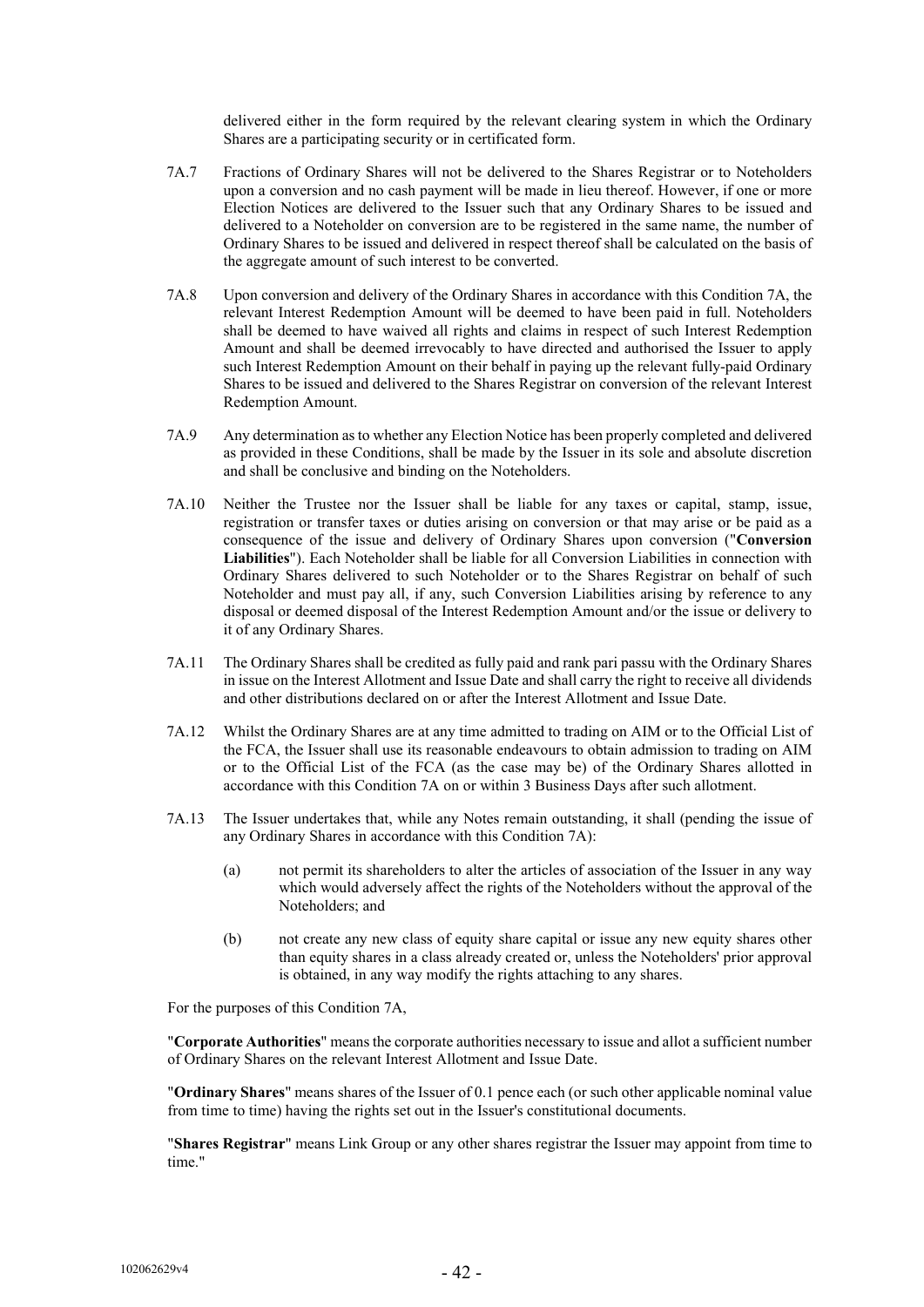delivered either in the form required by the relevant clearing system in which the Ordinary Shares are a participating security or in certificated form.

- 7A.7 Fractions of Ordinary Shares will not be delivered to the Shares Registrar or to Noteholders upon a conversion and no cash payment will be made in lieu thereof. However, if one or more Election Notices are delivered to the Issuer such that any Ordinary Shares to be issued and delivered to a Noteholder on conversion are to be registered in the same name, the number of Ordinary Shares to be issued and delivered in respect thereof shall be calculated on the basis of the aggregate amount of such interest to be converted.
- 7A.8 Upon conversion and delivery of the Ordinary Shares in accordance with this Condition 7A, the relevant Interest Redemption Amount will be deemed to have been paid in full. Noteholders shall be deemed to have waived all rights and claims in respect of such Interest Redemption Amount and shall be deemed irrevocably to have directed and authorised the Issuer to apply such Interest Redemption Amount on their behalf in paying up the relevant fully-paid Ordinary Shares to be issued and delivered to the Shares Registrar on conversion of the relevant Interest Redemption Amount.
- 7A.9 Any determination asto whether any Election Notice has been properly completed and delivered as provided in these Conditions, shall be made by the Issuer in its sole and absolute discretion and shall be conclusive and binding on the Noteholders.
- 7A.10 Neither the Trustee nor the Issuer shall be liable for any taxes or capital, stamp, issue, registration or transfer taxes or duties arising on conversion or that may arise or be paid as a consequence of the issue and delivery of Ordinary Shares upon conversion ("**Conversion Liabilities**"). Each Noteholder shall be liable for all Conversion Liabilities in connection with Ordinary Shares delivered to such Noteholder or to the Shares Registrar on behalf of such Noteholder and must pay all, if any, such Conversion Liabilities arising by reference to any disposal or deemed disposal of the Interest Redemption Amount and/or the issue or delivery to it of any Ordinary Shares.
- 7A.11 The Ordinary Shares shall be credited as fully paid and rank pari passu with the Ordinary Shares in issue on the Interest Allotment and Issue Date and shall carry the right to receive all dividends and other distributions declared on or after the Interest Allotment and Issue Date.
- 7A.12 Whilst the Ordinary Shares are at any time admitted to trading on AIM or to the Official List of the FCA, the Issuer shall use its reasonable endeavours to obtain admission to trading on AIM or to the Official List of the FCA (as the case may be) of the Ordinary Shares allotted in accordance with this Condition 7A on or within 3 Business Days after such allotment.
- 7A.13 The Issuer undertakes that, while any Notes remain outstanding, it shall (pending the issue of any Ordinary Shares in accordance with this Condition 7A):
	- (a) not permit its shareholders to alter the articles of association of the Issuer in any way which would adversely affect the rights of the Noteholders without the approval of the Noteholders; and
	- (b) not create any new class of equity share capital or issue any new equity shares other than equity shares in a class already created or, unless the Noteholders' prior approval is obtained, in any way modify the rights attaching to any shares.

For the purposes of this Condition 7A,

"**Corporate Authorities**" means the corporate authorities necessary to issue and allot a sufficient number of Ordinary Shares on the relevant Interest Allotment and Issue Date.

"**Ordinary Shares**" means shares of the Issuer of 0.1 pence each (or such other applicable nominal value from time to time) having the rights set out in the Issuer's constitutional documents.

"**Shares Registrar**" means Link Group or any other shares registrar the Issuer may appoint from time to time."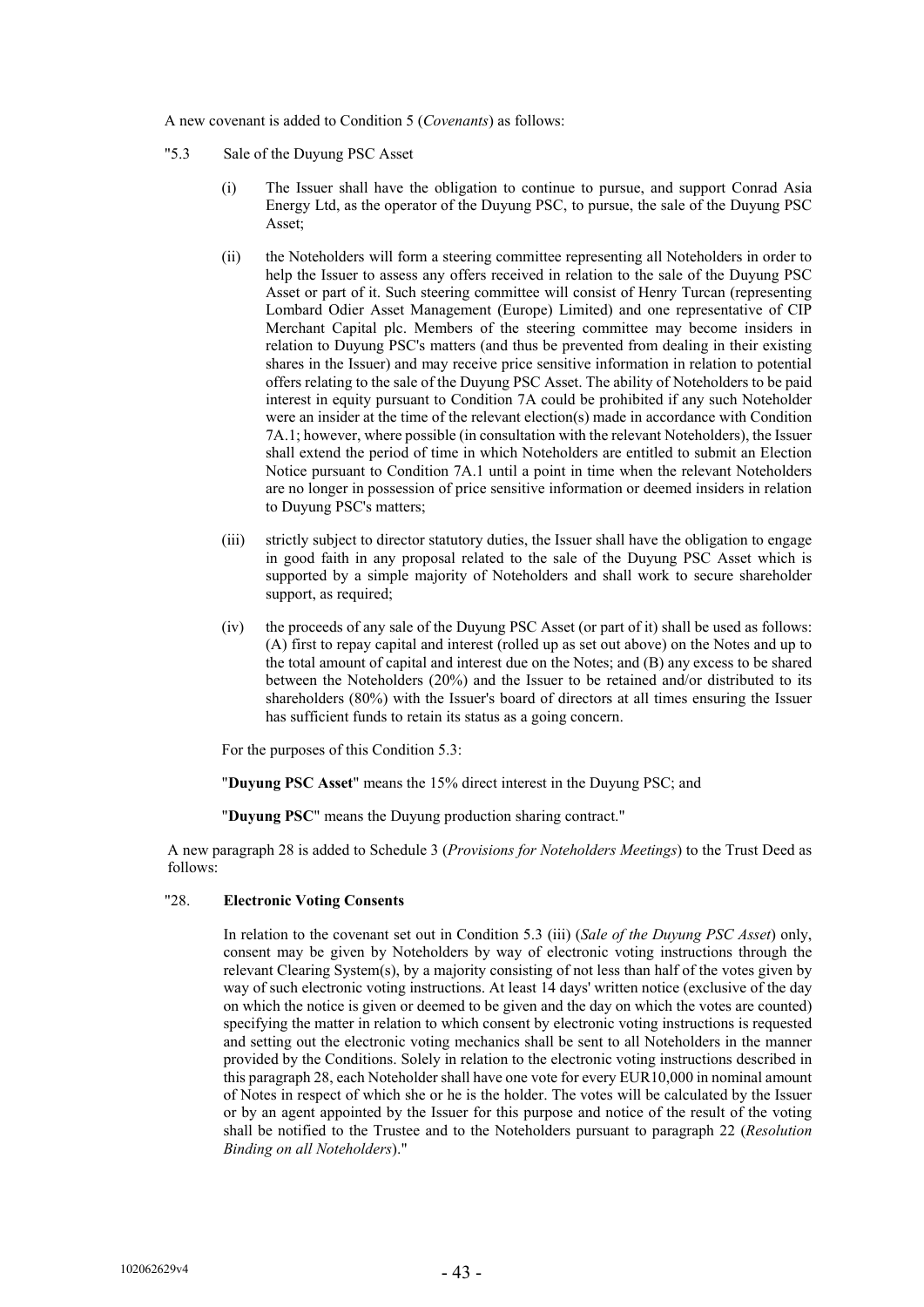A new covenant is added to Condition 5 (*Covenants*) as follows:

- "5.3 Sale of the Duyung PSC Asset
	- (i) The Issuer shall have the obligation to continue to pursue, and support Conrad Asia Energy Ltd, as the operator of the Duyung PSC, to pursue, the sale of the Duyung PSC Asset;
	- (ii) the Noteholders will form a steering committee representing all Noteholders in order to help the Issuer to assess any offers received in relation to the sale of the Duyung PSC Asset or part of it. Such steering committee will consist of Henry Turcan (representing Lombard Odier Asset Management (Europe) Limited) and one representative of CIP Merchant Capital plc. Members of the steering committee may become insiders in relation to Duyung PSC's matters (and thus be prevented from dealing in their existing shares in the Issuer) and may receive price sensitive information in relation to potential offers relating to the sale of the Duyung PSC Asset. The ability of Noteholders to be paid interest in equity pursuant to Condition 7A could be prohibited if any such Noteholder were an insider at the time of the relevant election(s) made in accordance with Condition 7A.1; however, where possible (in consultation with the relevant Noteholders), the Issuer shall extend the period of time in which Noteholders are entitled to submit an Election Notice pursuant to Condition 7A.1 until a point in time when the relevant Noteholders are no longer in possession of price sensitive information or deemed insiders in relation to Duyung PSC's matters;
	- (iii) strictly subject to director statutory duties, the Issuer shall have the obligation to engage in good faith in any proposal related to the sale of the Duyung PSC Asset which is supported by a simple majority of Noteholders and shall work to secure shareholder support, as required;
	- (iv) the proceeds of any sale of the Duyung PSC Asset (or part of it) shall be used as follows: (A) first to repay capital and interest (rolled up as set out above) on the Notes and up to the total amount of capital and interest due on the Notes; and (B) any excess to be shared between the Noteholders (20%) and the Issuer to be retained and/or distributed to its shareholders (80%) with the Issuer's board of directors at all times ensuring the Issuer has sufficient funds to retain its status as a going concern.

For the purposes of this Condition 5.3:

"**Duyung PSC Asset**" means the 15% direct interest in the Duyung PSC; and

"**Duyung PSC**" means the Duyung production sharing contract."

A new paragraph 28 is added to Schedule 3 (*Provisions for Noteholders Meetings*) to the Trust Deed as follows:

# "28. **Electronic Voting Consents**

In relation to the covenant set out in Condition 5.3 (iii) (*Sale of the Duyung PSC Asset*) only, consent may be given by Noteholders by way of electronic voting instructions through the relevant Clearing System(s), by a majority consisting of not less than half of the votes given by way of such electronic voting instructions. At least 14 days' written notice (exclusive of the day on which the notice is given or deemed to be given and the day on which the votes are counted) specifying the matter in relation to which consent by electronic voting instructions is requested and setting out the electronic voting mechanics shall be sent to all Noteholders in the manner provided by the Conditions. Solely in relation to the electronic voting instructions described in this paragraph 28, each Noteholder shall have one vote for every EUR10,000 in nominal amount of Notes in respect of which she or he is the holder. The votes will be calculated by the Issuer or by an agent appointed by the Issuer for this purpose and notice of the result of the voting shall be notified to the Trustee and to the Noteholders pursuant to paragraph 22 (*Resolution Binding on all Noteholders*)."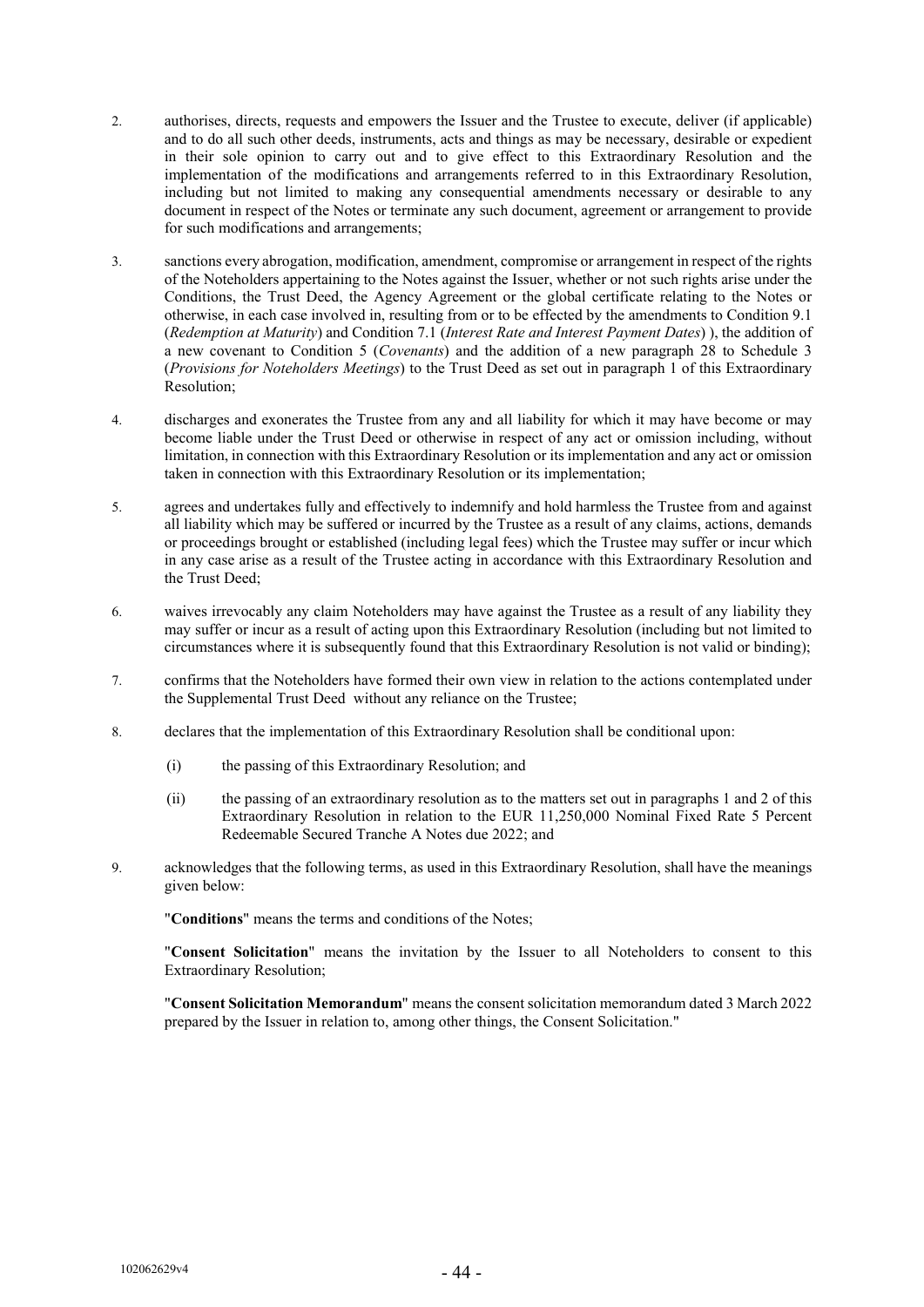- 2. authorises, directs, requests and empowers the Issuer and the Trustee to execute, deliver (if applicable) and to do all such other deeds, instruments, acts and things as may be necessary, desirable or expedient in their sole opinion to carry out and to give effect to this Extraordinary Resolution and the implementation of the modifications and arrangements referred to in this Extraordinary Resolution, including but not limited to making any consequential amendments necessary or desirable to any document in respect of the Notes or terminate any such document, agreement or arrangement to provide for such modifications and arrangements;
- 3. sanctions every abrogation, modification, amendment, compromise or arrangement in respect of the rights of the Noteholders appertaining to the Notes against the Issuer, whether or not such rights arise under the Conditions, the Trust Deed, the Agency Agreement or the global certificate relating to the Notes or otherwise, in each case involved in, resulting from or to be effected by the amendments to Condition 9.1 (*Redemption at Maturity*) and Condition 7.1 (*Interest Rate and Interest Payment Dates*) ), the addition of a new covenant to Condition 5 (*Covenants*) and the addition of a new paragraph 28 to Schedule 3 (*Provisions for Noteholders Meetings*) to the Trust Deed as set out in paragraph 1 of this Extraordinary Resolution:
- 4. discharges and exonerates the Trustee from any and all liability for which it may have become or may become liable under the Trust Deed or otherwise in respect of any act or omission including, without limitation, in connection with this Extraordinary Resolution or its implementation and any act or omission taken in connection with this Extraordinary Resolution or its implementation;
- 5. agrees and undertakes fully and effectively to indemnify and hold harmless the Trustee from and against all liability which may be suffered or incurred by the Trustee as a result of any claims, actions, demands or proceedings brought or established (including legal fees) which the Trustee may suffer or incur which in any case arise as a result of the Trustee acting in accordance with this Extraordinary Resolution and the Trust Deed;
- 6. waives irrevocably any claim Noteholders may have against the Trustee as a result of any liability they may suffer or incur as a result of acting upon this Extraordinary Resolution (including but not limited to circumstances where it is subsequently found that this Extraordinary Resolution is not valid or binding);
- 7. confirms that the Noteholders have formed their own view in relation to the actions contemplated under the Supplemental Trust Deed without any reliance on the Trustee;
- 8. declares that the implementation of this Extraordinary Resolution shall be conditional upon:
	- (i) the passing of this Extraordinary Resolution; and
	- (ii) the passing of an extraordinary resolution as to the matters set out in paragraphs 1 and 2 of this Extraordinary Resolution in relation to the EUR 11,250,000 Nominal Fixed Rate 5 Percent Redeemable Secured Tranche A Notes due 2022; and
- 9. acknowledges that the following terms, as used in this Extraordinary Resolution, shall have the meanings given below:

"**Conditions**" means the terms and conditions of the Notes;

"**Consent Solicitation**" means the invitation by the Issuer to all Noteholders to consent to this Extraordinary Resolution;

"**Consent Solicitation Memorandum**" means the consent solicitation memorandum dated 3 March 2022 prepared by the Issuer in relation to, among other things, the Consent Solicitation."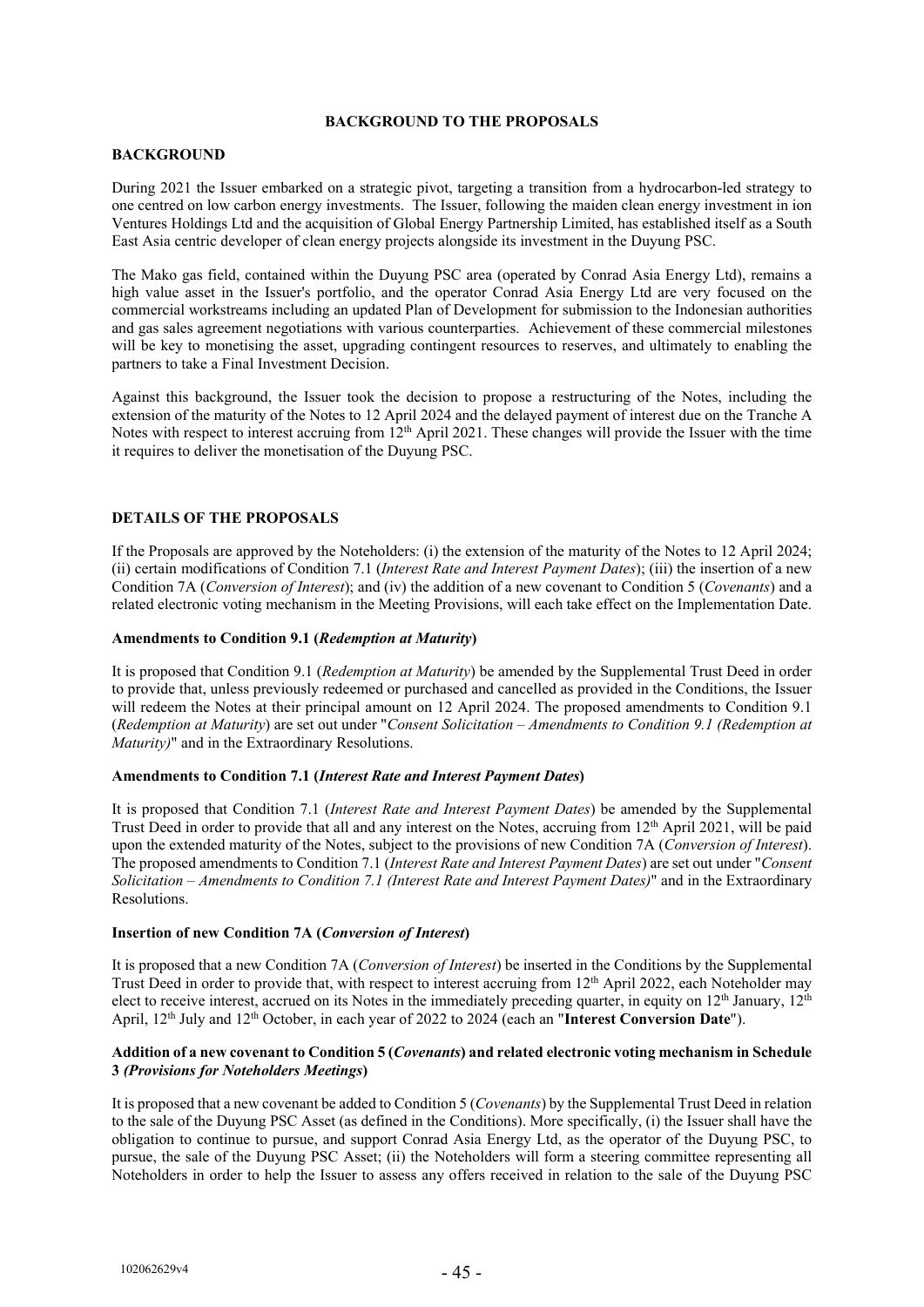# **BACKGROUND TO THE PROPOSALS**

# **BACKGROUND**

During 2021 the Issuer embarked on a strategic pivot, targeting a transition from a hydrocarbon-led strategy to one centred on low carbon energy investments. The Issuer, following the maiden clean energy investment in ion Ventures Holdings Ltd and the acquisition of Global Energy Partnership Limited, has established itself as a South East Asia centric developer of clean energy projects alongside its investment in the Duyung PSC.

The Mako gas field, contained within the Duyung PSC area (operated by Conrad Asia Energy Ltd), remains a high value asset in the Issuer's portfolio, and the operator Conrad Asia Energy Ltd are very focused on the commercial workstreams including an updated Plan of Development for submission to the Indonesian authorities and gas sales agreement negotiations with various counterparties. Achievement of these commercial milestones will be key to monetising the asset, upgrading contingent resources to reserves, and ultimately to enabling the partners to take a Final Investment Decision.

Against this background, the Issuer took the decision to propose a restructuring of the Notes, including the extension of the maturity of the Notes to 12 April 2024 and the delayed payment of interest due on the Tranche A Notes with respect to interest accruing from 12<sup>th</sup> April 2021. These changes will provide the Issuer with the time it requires to deliver the monetisation of the Duyung PSC.

# **DETAILS OF THE PROPOSALS**

If the Proposals are approved by the Noteholders: (i) the extension of the maturity of the Notes to 12 April 2024; (ii) certain modifications of Condition 7.1 (*Interest Rate and Interest Payment Dates*); (iii) the insertion of a new Condition 7A (*Conversion of Interest*); and (iv) the addition of a new covenant to Condition 5 (*Covenants*) and a related electronic voting mechanism in the Meeting Provisions, will each take effect on the Implementation Date.

#### **Amendments to Condition 9.1 (***Redemption at Maturity***)**

It is proposed that Condition 9.1 (*Redemption at Maturity*) be amended by the Supplemental Trust Deed in order to provide that, unless previously redeemed or purchased and cancelled as provided in the Conditions, the Issuer will redeem the Notes at their principal amount on 12 April 2024. The proposed amendments to Condition 9.1 (*Redemption at Maturity*) are set out under "*Consent Solicitation – Amendments to Condition 9.1 (Redemption at Maturity)*" and in the Extraordinary Resolutions.

# **Amendments to Condition 7.1 (***Interest Rate and Interest Payment Dates***)**

It is proposed that Condition 7.1 (*Interest Rate and Interest Payment Dates*) be amended by the Supplemental Trust Deed in order to provide that all and any interest on the Notes, accruing from 12<sup>th</sup> April 2021, will be paid upon the extended maturity of the Notes, subject to the provisions of new Condition 7A (*Conversion of Interest*). The proposed amendments to Condition 7.1 (*Interest Rate and Interest Payment Dates*) are set out under "*Consent Solicitation – Amendments to Condition 7.1 (Interest Rate and Interest Payment Dates)*" and in the Extraordinary Resolutions.

# **Insertion of new Condition 7A (***Conversion of Interest***)**

It is proposed that a new Condition 7A (*Conversion of Interest*) be inserted in the Conditions by the Supplemental Trust Deed in order to provide that, with respect to interest accruing from 12<sup>th</sup> April 2022, each Noteholder may elect to receive interest, accrued on its Notes in the immediately preceding quarter, in equity on 12<sup>th</sup> January, 12<sup>th</sup> April, 12<sup>th</sup> July and 12<sup>th</sup> October, in each year of 2022 to 2024 (each an "**Interest Conversion Date**").

# **Addition of a new covenant to Condition 5 (***Covenants***) and related electronic voting mechanism in Schedule 3** *(Provisions for Noteholders Meetings***)**

It is proposed that a new covenant be added to Condition 5 (*Covenants*) by the Supplemental Trust Deed in relation to the sale of the Duyung PSC Asset (as defined in the Conditions). More specifically, (i) the Issuer shall have the obligation to continue to pursue, and support Conrad Asia Energy Ltd, as the operator of the Duyung PSC, to pursue, the sale of the Duyung PSC Asset; (ii) the Noteholders will form a steering committee representing all Noteholders in order to help the Issuer to assess any offers received in relation to the sale of the Duyung PSC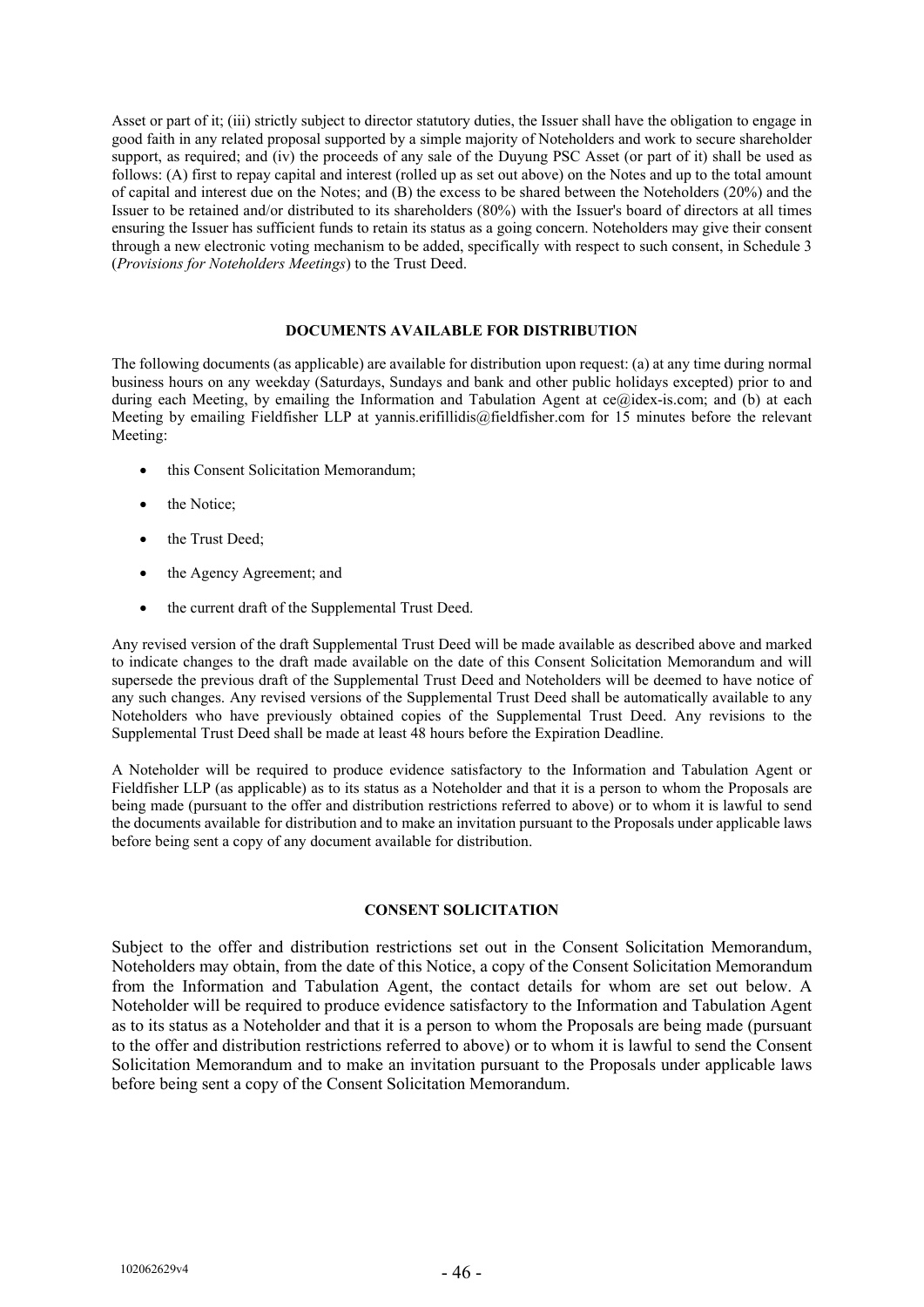Asset or part of it; (iii) strictly subject to director statutory duties, the Issuer shall have the obligation to engage in good faith in any related proposal supported by a simple majority of Noteholders and work to secure shareholder support, as required; and (iv) the proceeds of any sale of the Duyung PSC Asset (or part of it) shall be used as follows: (A) first to repay capital and interest (rolled up as set out above) on the Notes and up to the total amount of capital and interest due on the Notes; and (B) the excess to be shared between the Noteholders (20%) and the Issuer to be retained and/or distributed to its shareholders (80%) with the Issuer's board of directors at all times ensuring the Issuer has sufficient funds to retain its status as a going concern. Noteholders may give their consent through a new electronic voting mechanism to be added, specifically with respect to such consent, in Schedule 3 (*Provisions for Noteholders Meetings*) to the Trust Deed.

# **DOCUMENTS AVAILABLE FOR DISTRIBUTION**

The following documents (as applicable) are available for distribution upon request: (a) at any time during normal business hours on any weekday (Saturdays, Sundays and bank and other public holidays excepted) prior to and during each Meeting, by emailing the Information and Tabulation Agent at ce@idex-is.com; and (b) at each Meeting by emailing Fieldfisher LLP at yannis.erifillidis@fieldfisher.com for 15 minutes before the relevant Meeting:

- this Consent Solicitation Memorandum;
- the Notice;
- the Trust Deed:
- the Agency Agreement; and
- the current draft of the Supplemental Trust Deed.

Any revised version of the draft Supplemental Trust Deed will be made available as described above and marked to indicate changes to the draft made available on the date of this Consent Solicitation Memorandum and will supersede the previous draft of the Supplemental Trust Deed and Noteholders will be deemed to have notice of any such changes. Any revised versions of the Supplemental Trust Deed shall be automatically available to any Noteholders who have previously obtained copies of the Supplemental Trust Deed. Any revisions to the Supplemental Trust Deed shall be made at least 48 hours before the Expiration Deadline.

A Noteholder will be required to produce evidence satisfactory to the Information and Tabulation Agent or Fieldfisher LLP (as applicable) as to its status as a Noteholder and that it is a person to whom the Proposals are being made (pursuant to the offer and distribution restrictions referred to above) or to whom it is lawful to send the documents available for distribution and to make an invitation pursuant to the Proposals under applicable laws before being sent a copy of any document available for distribution.

#### **CONSENT SOLICITATION**

Subject to the offer and distribution restrictions set out in the Consent Solicitation Memorandum, Noteholders may obtain, from the date of this Notice, a copy of the Consent Solicitation Memorandum from the Information and Tabulation Agent, the contact details for whom are set out below. A Noteholder will be required to produce evidence satisfactory to the Information and Tabulation Agent as to its status as a Noteholder and that it is a person to whom the Proposals are being made (pursuant to the offer and distribution restrictions referred to above) or to whom it is lawful to send the Consent Solicitation Memorandum and to make an invitation pursuant to the Proposals under applicable laws before being sent a copy of the Consent Solicitation Memorandum.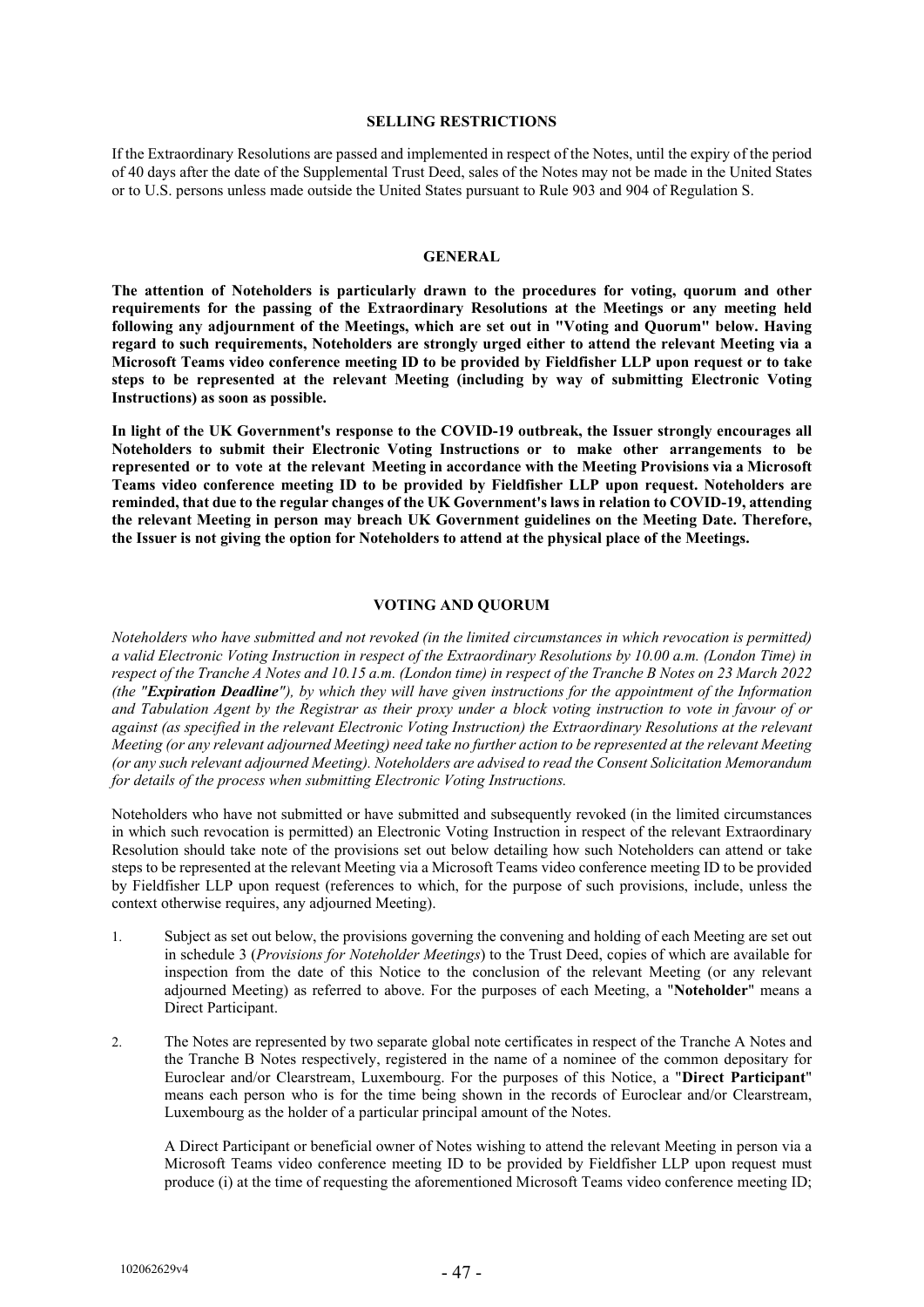#### **SELLING RESTRICTIONS**

If the Extraordinary Resolutions are passed and implemented in respect of the Notes, until the expiry of the period of 40 days after the date of the Supplemental Trust Deed, sales of the Notes may not be made in the United States or to U.S. persons unless made outside the United States pursuant to Rule 903 and 904 of Regulation S.

#### **GENERAL**

**The attention of Noteholders is particularly drawn to the procedures for voting, quorum and other requirements for the passing of the Extraordinary Resolutions at the Meetings or any meeting held following any adjournment of the Meetings, which are set out in "Voting and Quorum" below. Having regard to such requirements, Noteholders are strongly urged either to attend the relevant Meeting via a Microsoft Teams video conference meeting ID to be provided by Fieldfisher LLP upon request or to take steps to be represented at the relevant Meeting (including by way of submitting Electronic Voting Instructions) as soon as possible.**

**In light of the UK Government's response to the COVID-19 outbreak, the Issuer strongly encourages all Noteholders to submit their Electronic Voting Instructions or to make other arrangements to be represented or to vote at the relevant Meeting in accordance with the Meeting Provisions via a Microsoft Teams video conference meeting ID to be provided by Fieldfisher LLP upon request. Noteholders are reminded, that due to the regular changes of the UK Government's laws in relation to COVID-19, attending the relevant Meeting in person may breach UK Government guidelines on the Meeting Date. Therefore, the Issuer is not giving the option for Noteholders to attend at the physical place of the Meetings.** 

#### **VOTING AND QUORUM**

*Noteholders who have submitted and not revoked (in the limited circumstances in which revocation is permitted) a valid Electronic Voting Instruction in respect of the Extraordinary Resolutions by 10.00 a.m. (London Time) in respect of the Tranche A Notes and 10.15 a.m. (London time) in respect of the Tranche B Notes on 23 March 2022 (the "Expiration Deadline"), by which they will have given instructions for the appointment of the Information and Tabulation Agent by the Registrar as their proxy under a block voting instruction to vote in favour of or against (as specified in the relevant Electronic Voting Instruction) the Extraordinary Resolutions at the relevant Meeting (or any relevant adjourned Meeting) need take no further action to be represented at the relevant Meeting (or any such relevant adjourned Meeting). Noteholders are advised to read the Consent Solicitation Memorandum for details of the process when submitting Electronic Voting Instructions.*

Noteholders who have not submitted or have submitted and subsequently revoked (in the limited circumstances in which such revocation is permitted) an Electronic Voting Instruction in respect of the relevant Extraordinary Resolution should take note of the provisions set out below detailing how such Noteholders can attend or take steps to be represented at the relevant Meeting via a Microsoft Teams video conference meeting ID to be provided by Fieldfisher LLP upon request (references to which, for the purpose of such provisions, include, unless the context otherwise requires, any adjourned Meeting).

- 1. Subject as set out below, the provisions governing the convening and holding of each Meeting are set out in schedule 3 (*Provisions for Noteholder Meetings*) to the Trust Deed, copies of which are available for inspection from the date of this Notice to the conclusion of the relevant Meeting (or any relevant adjourned Meeting) as referred to above. For the purposes of each Meeting, a "**Noteholder**" means a Direct Participant.
- 2. The Notes are represented by two separate global note certificates in respect of the Tranche A Notes and the Tranche B Notes respectively, registered in the name of a nominee of the common depositary for Euroclear and/or Clearstream, Luxembourg. For the purposes of this Notice, a "**Direct Participant**" means each person who is for the time being shown in the records of Euroclear and/or Clearstream, Luxembourg as the holder of a particular principal amount of the Notes.

A Direct Participant or beneficial owner of Notes wishing to attend the relevant Meeting in person via a Microsoft Teams video conference meeting ID to be provided by Fieldfisher LLP upon request must produce (i) at the time of requesting the aforementioned Microsoft Teams video conference meeting ID;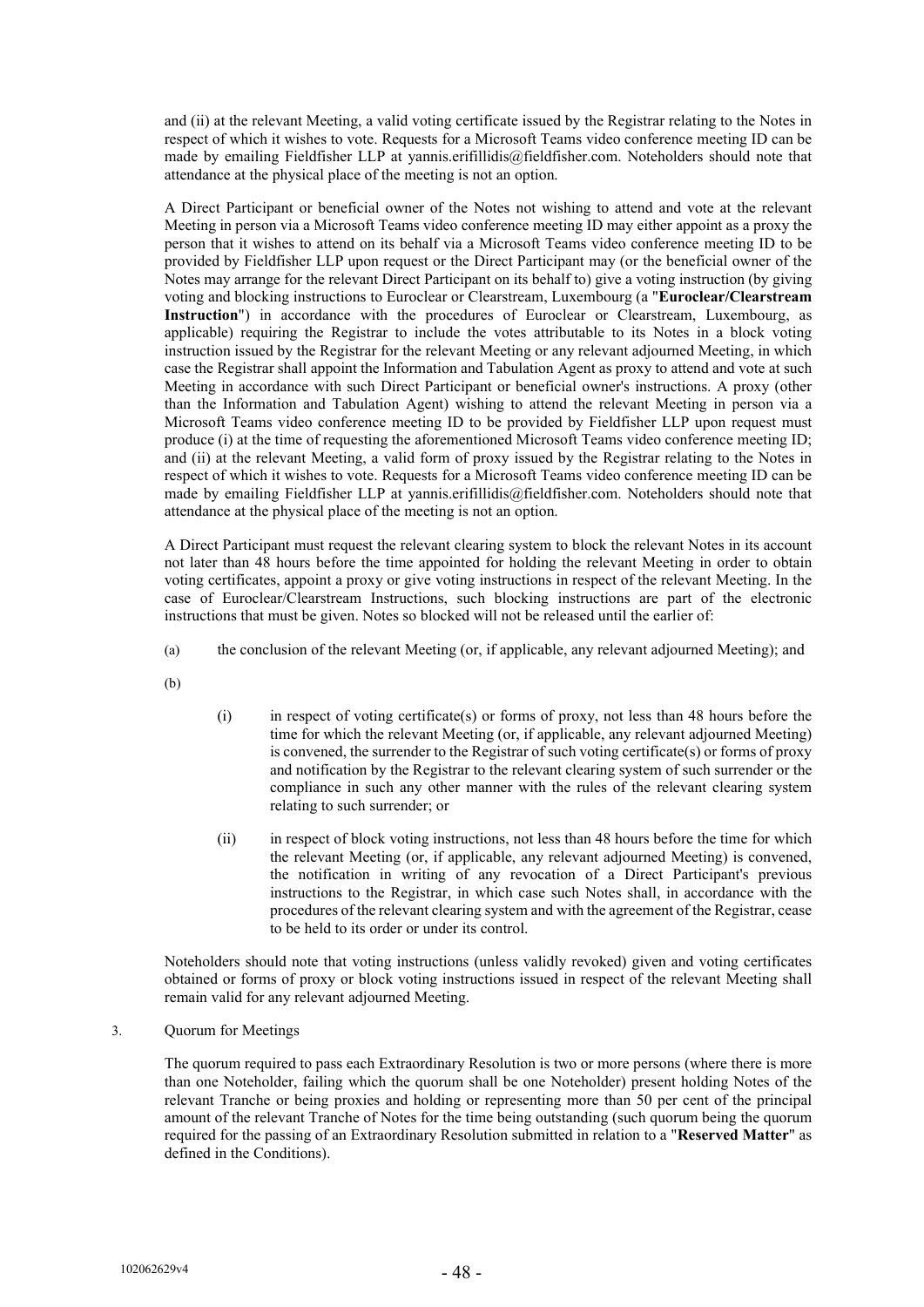and (ii) at the relevant Meeting, a valid voting certificate issued by the Registrar relating to the Notes in respect of which it wishes to vote. Requests for a Microsoft Teams video conference meeting ID can be made by emailing Fieldfisher LLP at yannis.erifillidis@fieldfisher.com. Noteholders should note that attendance at the physical place of the meeting is not an option.

A Direct Participant or beneficial owner of the Notes not wishing to attend and vote at the relevant Meeting in person via a Microsoft Teams video conference meeting ID may either appoint as a proxy the person that it wishes to attend on its behalf via a Microsoft Teams video conference meeting ID to be provided by Fieldfisher LLP upon request or the Direct Participant may (or the beneficial owner of the Notes may arrange for the relevant Direct Participant on its behalf to) give a voting instruction (by giving voting and blocking instructions to Euroclear or Clearstream, Luxembourg (a "**Euroclear/Clearstream Instruction**") in accordance with the procedures of Euroclear or Clearstream, Luxembourg, as applicable) requiring the Registrar to include the votes attributable to its Notes in a block voting instruction issued by the Registrar for the relevant Meeting or any relevant adjourned Meeting, in which case the Registrar shall appoint the Information and Tabulation Agent as proxy to attend and vote at such Meeting in accordance with such Direct Participant or beneficial owner's instructions. A proxy (other than the Information and Tabulation Agent) wishing to attend the relevant Meeting in person via a Microsoft Teams video conference meeting ID to be provided by Fieldfisher LLP upon request must produce (i) at the time of requesting the aforementioned Microsoft Teams video conference meeting ID; and (ii) at the relevant Meeting, a valid form of proxy issued by the Registrar relating to the Notes in respect of which it wishes to vote. Requests for a Microsoft Teams video conference meeting ID can be made by emailing Fieldfisher LLP at yannis.erifillidis@fieldfisher.com. Noteholders should note that attendance at the physical place of the meeting is not an option.

A Direct Participant must request the relevant clearing system to block the relevant Notes in its account not later than 48 hours before the time appointed for holding the relevant Meeting in order to obtain voting certificates, appoint a proxy or give voting instructions in respect of the relevant Meeting. In the case of Euroclear/Clearstream Instructions, such blocking instructions are part of the electronic instructions that must be given. Notes so blocked will not be released until the earlier of:

- (a) the conclusion of the relevant Meeting (or, if applicable, any relevant adjourned Meeting); and
- (b)
- (i) in respect of voting certificate(s) or forms of proxy, not less than 48 hours before the time for which the relevant Meeting (or, if applicable, any relevant adjourned Meeting) is convened, the surrender to the Registrar of such voting certificate(s) or forms of proxy and notification by the Registrar to the relevant clearing system of such surrender or the compliance in such any other manner with the rules of the relevant clearing system relating to such surrender; or
- (ii) in respect of block voting instructions, not less than 48 hours before the time for which the relevant Meeting (or, if applicable, any relevant adjourned Meeting) is convened, the notification in writing of any revocation of a Direct Participant's previous instructions to the Registrar, in which case such Notes shall, in accordance with the procedures of the relevant clearing system and with the agreement of the Registrar, cease to be held to its order or under its control.

Noteholders should note that voting instructions (unless validly revoked) given and voting certificates obtained or forms of proxy or block voting instructions issued in respect of the relevant Meeting shall remain valid for any relevant adjourned Meeting.

# 3. Quorum for Meetings

The quorum required to pass each Extraordinary Resolution is two or more persons (where there is more than one Noteholder, failing which the quorum shall be one Noteholder) present holding Notes of the relevant Tranche or being proxies and holding or representing more than 50 per cent of the principal amount of the relevant Tranche of Notes for the time being outstanding (such quorum being the quorum required for the passing of an Extraordinary Resolution submitted in relation to a "**Reserved Matter**" as defined in the Conditions).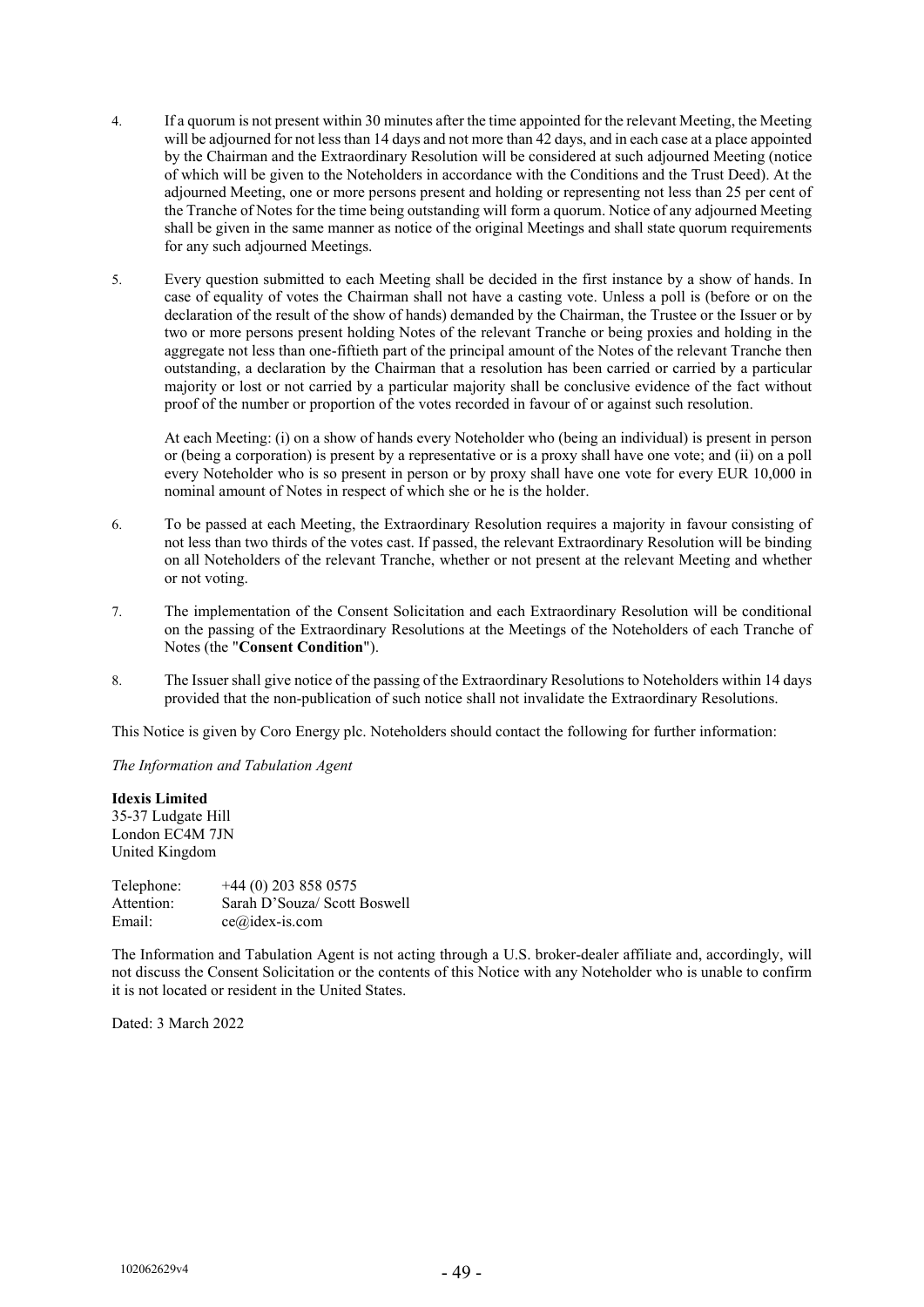- 4. If a quorum is not present within 30 minutes after the time appointed for the relevant Meeting, the Meeting will be adjourned for not less than 14 days and not more than 42 days, and in each case at a place appointed by the Chairman and the Extraordinary Resolution will be considered at such adjourned Meeting (notice of which will be given to the Noteholders in accordance with the Conditions and the Trust Deed). At the adjourned Meeting, one or more persons present and holding or representing not less than 25 per cent of the Tranche of Notes for the time being outstanding will form a quorum. Notice of any adjourned Meeting shall be given in the same manner as notice of the original Meetings and shall state quorum requirements for any such adjourned Meetings.
- 5. Every question submitted to each Meeting shall be decided in the first instance by a show of hands. In case of equality of votes the Chairman shall not have a casting vote. Unless a poll is (before or on the declaration of the result of the show of hands) demanded by the Chairman, the Trustee or the Issuer or by two or more persons present holding Notes of the relevant Tranche or being proxies and holding in the aggregate not less than one-fiftieth part of the principal amount of the Notes of the relevant Tranche then outstanding, a declaration by the Chairman that a resolution has been carried or carried by a particular majority or lost or not carried by a particular majority shall be conclusive evidence of the fact without proof of the number or proportion of the votes recorded in favour of or against such resolution.

At each Meeting: (i) on a show of hands every Noteholder who (being an individual) is present in person or (being a corporation) is present by a representative or is a proxy shall have one vote; and (ii) on a poll every Noteholder who is so present in person or by proxy shall have one vote for every EUR 10,000 in nominal amount of Notes in respect of which she or he is the holder.

- 6. To be passed at each Meeting, the Extraordinary Resolution requires a majority in favour consisting of not less than two thirds of the votes cast. If passed, the relevant Extraordinary Resolution will be binding on all Noteholders of the relevant Tranche, whether or not present at the relevant Meeting and whether or not voting.
- 7. The implementation of the Consent Solicitation and each Extraordinary Resolution will be conditional on the passing of the Extraordinary Resolutions at the Meetings of the Noteholders of each Tranche of Notes (the "**Consent Condition**").
- 8. The Issuer shall give notice of the passing of the Extraordinary Resolutions to Noteholders within 14 days provided that the non-publication of such notice shall not invalidate the Extraordinary Resolutions.

This Notice is given by Coro Energy plc. Noteholders should contact the following for further information:

*The Information and Tabulation Agent*

**Idexis Limited**  35-37 Ludgate Hill London EC4M 7JN United Kingdom

| Telephone: | $+44(0)$ 203 858 0575        |
|------------|------------------------------|
| Attention: | Sarah D'Souza/ Scott Boswell |
| Email:     | $ce@idex-is.com$             |

The Information and Tabulation Agent is not acting through a U.S. broker-dealer affiliate and, accordingly, will not discuss the Consent Solicitation or the contents of this Notice with any Noteholder who is unable to confirm it is not located or resident in the United States.

Dated: 3 March 2022